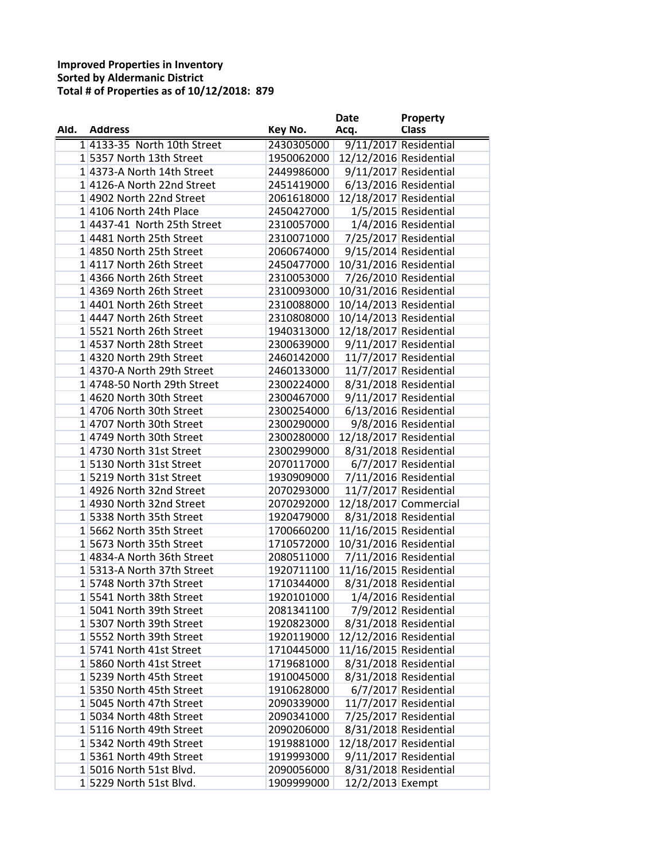## **Improved Properties in Inventory Sorted by Aldermanic District Total # of Properties as of 10/12/2018: 879**

|      |                             |            | <b>Date</b>            | Property              |
|------|-----------------------------|------------|------------------------|-----------------------|
| Ald. | <b>Address</b>              | Key No.    | Acq.                   | <b>Class</b>          |
|      | 1 4133-35 North 10th Street | 2430305000 |                        | 9/11/2017 Residential |
|      | 15357 North 13th Street     | 1950062000 | 12/12/2016 Residential |                       |
|      | 1 4373-A North 14th Street  | 2449986000 |                        | 9/11/2017 Residential |
|      | 14126-A North 22nd Street   | 2451419000 |                        | 6/13/2016 Residential |
|      | 14902 North 22nd Street     | 2061618000 | 12/18/2017 Residential |                       |
|      | 14106 North 24th Place      | 2450427000 |                        | 1/5/2015 Residential  |
|      | 14437-41 North 25th Street  | 2310057000 |                        | 1/4/2016 Residential  |
|      | 14481 North 25th Street     | 2310071000 |                        | 7/25/2017 Residential |
|      | 1 4850 North 25th Street    | 2060674000 |                        | 9/15/2014 Residential |
|      | 14117 North 26th Street     | 2450477000 | 10/31/2016 Residential |                       |
|      | 1 4366 North 26th Street    | 2310053000 |                        | 7/26/2010 Residential |
|      | 1 4369 North 26th Street    | 2310093000 | 10/31/2016 Residential |                       |
|      | 14401 North 26th Street     | 2310088000 | 10/14/2013 Residential |                       |
|      | 14447 North 26th Street     | 2310808000 | 10/14/2013 Residential |                       |
|      | 15521 North 26th Street     | 1940313000 | 12/18/2017 Residential |                       |
|      | 14537 North 28th Street     | 2300639000 |                        | 9/11/2017 Residential |
|      | 14320 North 29th Street     | 2460142000 |                        | 11/7/2017 Residential |
|      | 1 4370-A North 29th Street  | 2460133000 |                        | 11/7/2017 Residential |
|      | 1 4748-50 North 29th Street |            |                        |                       |
|      | 14620 North 30th Street     | 2300224000 |                        | 8/31/2018 Residential |
|      |                             | 2300467000 |                        | 9/11/2017 Residential |
|      | 1 4706 North 30th Street    | 2300254000 |                        | 6/13/2016 Residential |
|      | 14707 North 30th Street     | 2300290000 |                        | 9/8/2016 Residential  |
|      | 14749 North 30th Street     | 2300280000 | 12/18/2017 Residential |                       |
|      | 14730 North 31st Street     | 2300299000 |                        | 8/31/2018 Residential |
|      | 1 5130 North 31st Street    | 2070117000 |                        | 6/7/2017 Residential  |
|      | 1 5219 North 31st Street    | 1930909000 |                        | 7/11/2016 Residential |
|      | 14926 North 32nd Street     | 2070293000 |                        | 11/7/2017 Residential |
|      | 14930 North 32nd Street     | 2070292000 |                        | 12/18/2017 Commercial |
|      | 15338 North 35th Street     | 1920479000 |                        | 8/31/2018 Residential |
|      | 15662 North 35th Street     | 1700660200 | 11/16/2015 Residential |                       |
|      | 15673 North 35th Street     | 1710572000 | 10/31/2016 Residential |                       |
|      | 14834-A North 36th Street   | 2080511000 |                        | 7/11/2016 Residential |
|      | 15313-A North 37th Street   | 1920711100 | 11/16/2015 Residential |                       |
|      | 15748 North 37th Street     | 1710344000 |                        | 8/31/2018 Residential |
|      | 1 5541 North 38th Street    | 1920101000 |                        | 1/4/2016 Residential  |
|      | 15041 North 39th Street     | 2081341100 |                        | 7/9/2012 Residential  |
|      | 15307 North 39th Street     | 1920823000 |                        | 8/31/2018 Residential |
|      | 15552 North 39th Street     | 1920119000 | 12/12/2016 Residential |                       |
|      | 15741 North 41st Street     | 1710445000 | 11/16/2015 Residential |                       |
|      | 15860 North 41st Street     | 1719681000 |                        | 8/31/2018 Residential |
|      | 15239 North 45th Street     | 1910045000 | 8/31/2018 Residential  |                       |
|      | 15350 North 45th Street     | 1910628000 |                        | 6/7/2017 Residential  |
|      | 1 5045 North 47th Street    | 2090339000 |                        | 11/7/2017 Residential |
|      | 1 5034 North 48th Street    | 2090341000 |                        | 7/25/2017 Residential |
|      | 15116 North 49th Street     | 2090206000 |                        | 8/31/2018 Residential |
|      | 15342 North 49th Street     | 1919881000 | 12/18/2017 Residential |                       |
|      | 1 5361 North 49th Street    | 1919993000 |                        | 9/11/2017 Residential |
|      | 15016 North 51st Blvd.      | 2090056000 |                        | 8/31/2018 Residential |
|      | 1 5229 North 51st Blvd.     | 1909999000 | 12/2/2013 Exempt       |                       |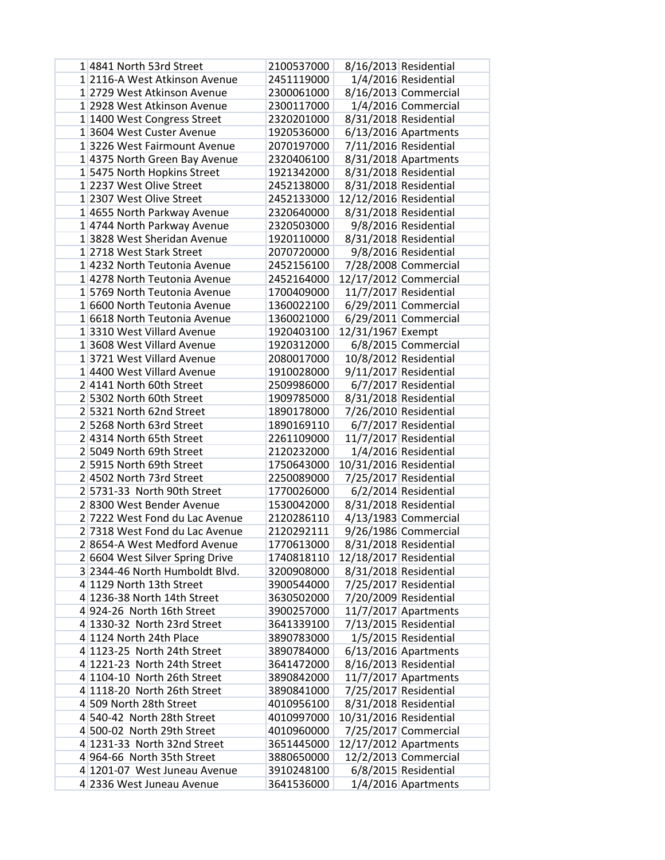| 14841 North 53rd Street         | 2100537000 |                        | 8/16/2013 Residential  |
|---------------------------------|------------|------------------------|------------------------|
| 1 2116-A West Atkinson Avenue   | 2451119000 |                        | 1/4/2016 Residential   |
| 1 2729 West Atkinson Avenue     | 2300061000 |                        | 8/16/2013 Commercial   |
| 1 2928 West Atkinson Avenue     | 2300117000 |                        | 1/4/2016 Commercial    |
| 1 1400 West Congress Street     | 2320201000 |                        | 8/31/2018 Residential  |
| 1 3604 West Custer Avenue       | 1920536000 |                        | $6/13/2016$ Apartments |
| 13226 West Fairmount Avenue     | 2070197000 |                        | 7/11/2016 Residential  |
| 1 4375 North Green Bay Avenue   | 2320406100 |                        | 8/31/2018 Apartments   |
| 1 5475 North Hopkins Street     | 1921342000 |                        | 8/31/2018 Residential  |
| 1 2237 West Olive Street        | 2452138000 |                        | 8/31/2018 Residential  |
| 1 2307 West Olive Street        | 2452133000 | 12/12/2016 Residential |                        |
| 1 4655 North Parkway Avenue     | 2320640000 |                        | 8/31/2018 Residential  |
| 1 4744 North Parkway Avenue     | 2320503000 |                        | 9/8/2016 Residential   |
| 1 3828 West Sheridan Avenue     | 1920110000 |                        | 8/31/2018 Residential  |
| 12718 West Stark Street         | 2070720000 |                        | 9/8/2016 Residential   |
| 1 4232 North Teutonia Avenue    | 2452156100 |                        | 7/28/2008 Commercial   |
| 1 4278 North Teutonia Avenue    | 2452164000 |                        | 12/17/2012 Commercial  |
| 1 5769 North Teutonia Avenue    | 1700409000 |                        | 11/7/2017 Residential  |
| 1 6600 North Teutonia Avenue    | 1360022100 |                        | $6/29/2011$ Commercial |
| 1 6618 North Teutonia Avenue    | 1360021000 |                        | $6/29/2011$ Commercial |
| 13310 West Villard Avenue       | 1920403100 | 12/31/1967 Exempt      |                        |
| 1 3608 West Villard Avenue      | 1920312000 |                        | 6/8/2015 Commercial    |
| 13721 West Villard Avenue       | 2080017000 |                        | 10/8/2012 Residential  |
| 1 4400 West Villard Avenue      | 1910028000 |                        | 9/11/2017 Residential  |
| 2 4141 North 60th Street        | 2509986000 |                        | 6/7/2017 Residential   |
| 2 5302 North 60th Street        | 1909785000 |                        | 8/31/2018 Residential  |
| 2 5321 North 62nd Street        | 1890178000 |                        | 7/26/2010 Residential  |
| 2 5268 North 63rd Street        | 1890169110 |                        | 6/7/2017 Residential   |
| 24314 North 65th Street         | 2261109000 |                        | 11/7/2017 Residential  |
| 2 5049 North 69th Street        | 2120232000 |                        | 1/4/2016 Residential   |
| 2 5915 North 69th Street        | 1750643000 | 10/31/2016 Residential |                        |
| 24502 North 73rd Street         | 2250089000 |                        | 7/25/2017 Residential  |
| 2 5731-33 North 90th Street     | 1770026000 |                        | 6/2/2014 Residential   |
| 28300 West Bender Avenue        | 1530042000 |                        | 8/31/2018 Residential  |
| 2 7222 West Fond du Lac Avenue  | 2120286110 |                        | 4/13/1983 Commercial   |
| 2 7318 West Fond du Lac Avenue  | 2120292111 |                        | 9/26/1986 Commercial   |
| 28654-A West Medford Avenue     | 1770613000 |                        | 8/31/2018 Residential  |
| 2 6604 West Silver Spring Drive | 1740818110 | 12/18/2017 Residential |                        |
| 3 2344-46 North Humboldt Blvd.  | 3200908000 |                        | 8/31/2018 Residential  |
| 4 1129 North 13th Street        | 3900544000 |                        | 7/25/2017 Residential  |
| 4 1236-38 North 14th Street     | 3630502000 |                        | 7/20/2009 Residential  |
| 4 924-26 North 16th Street      | 3900257000 |                        | $11/7/2017$ Apartments |
| 4 1330-32 North 23rd Street     | 3641339100 |                        | 7/13/2015 Residential  |
| 4 1124 North 24th Place         | 3890783000 |                        | 1/5/2015 Residential   |
| 4 1123-25 North 24th Street     | 3890784000 |                        | $6/13/2016$ Apartments |
| 4 1221-23 North 24th Street     | 3641472000 |                        | 8/16/2013 Residential  |
| 4 1104-10 North 26th Street     | 3890842000 |                        | 11/7/2017 Apartments   |
| 4 1118-20 North 26th Street     | 3890841000 |                        | 7/25/2017 Residential  |
| 4 509 North 28th Street         | 4010956100 |                        | 8/31/2018 Residential  |
| 4 540-42 North 28th Street      | 4010997000 | 10/31/2016 Residential |                        |
| 4 500-02 North 29th Street      | 4010960000 |                        | 7/25/2017 Commercial   |
| 4 1231-33 North 32nd Street     | 3651445000 | 12/17/2012 Apartments  |                        |
| 4 964-66 North 35th Street      | 3880650000 |                        | 12/2/2013 Commercial   |
| 4 1201-07 West Juneau Avenue    | 3910248100 |                        | 6/8/2015 Residential   |
| 4 2336 West Juneau Avenue       | 3641536000 |                        | 1/4/2016 Apartments    |
|                                 |            |                        |                        |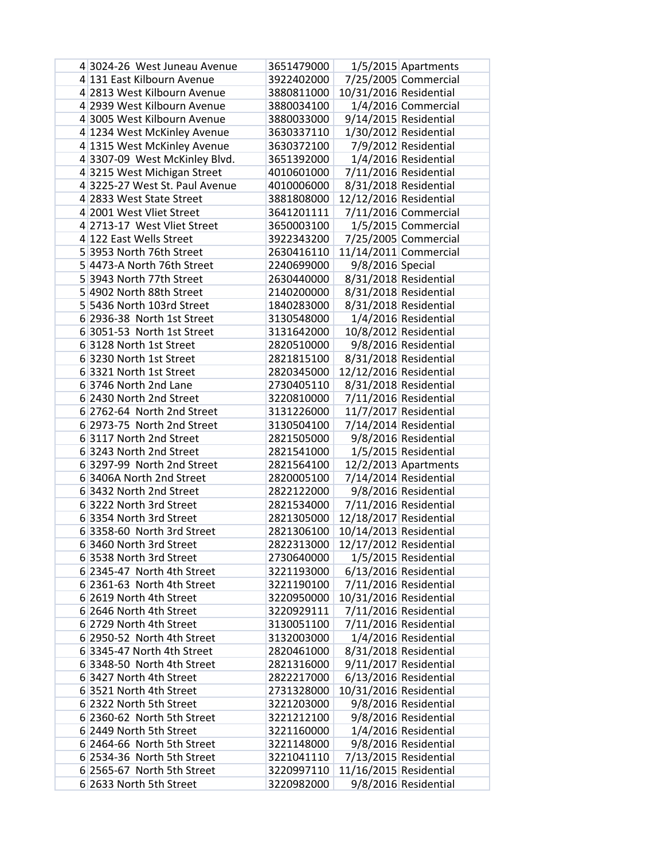| 4 3024-26 West Juneau Avenue                          | 3651479000 |                        | 1/5/2015 Apartments   |
|-------------------------------------------------------|------------|------------------------|-----------------------|
| 4 131 East Kilbourn Avenue                            | 3922402000 |                        | 7/25/2005 Commercial  |
| 4 2813 West Kilbourn Avenue                           | 3880811000 | 10/31/2016 Residential |                       |
| 4 2939 West Kilbourn Avenue                           | 3880034100 |                        | 1/4/2016 Commercial   |
| 4 3005 West Kilbourn Avenue                           | 3880033000 |                        | 9/14/2015 Residential |
| 4 1234 West McKinley Avenue                           | 3630337110 |                        | 1/30/2012 Residential |
| 4 1315 West McKinley Avenue                           | 3630372100 |                        | 7/9/2012 Residential  |
| 4 3307-09 West McKinley Blvd.                         | 3651392000 |                        | 1/4/2016 Residential  |
| 4 3215 West Michigan Street                           | 4010601000 |                        | 7/11/2016 Residential |
| 43225-27 West St. Paul Avenue                         | 4010006000 |                        | 8/31/2018 Residential |
| 4 2833 West State Street                              | 3881808000 | 12/12/2016 Residential |                       |
| 4 2001 West Vliet Street                              | 3641201111 |                        | 7/11/2016 Commercial  |
| 4 2713-17 West Vliet Street                           | 3650003100 |                        | 1/5/2015 Commercial   |
| 4 122 East Wells Street                               | 3922343200 |                        | 7/25/2005 Commercial  |
| 5 3953 North 76th Street                              | 2630416110 |                        | 11/14/2011 Commercial |
| 5 4473-A North 76th Street                            | 2240699000 | 9/8/2016 Special       |                       |
| 5 3943 North 77th Street                              | 2630440000 |                        | 8/31/2018 Residential |
| 5 4902 North 88th Street                              | 2140200000 |                        | 8/31/2018 Residential |
| 5 5436 North 103rd Street                             | 1840283000 |                        | 8/31/2018 Residential |
| 6 2936-38 North 1st Street                            | 3130548000 |                        | 1/4/2016 Residential  |
| 6 3051-53 North 1st Street                            | 3131642000 |                        | 10/8/2012 Residential |
| 6 3128 North 1st Street                               | 2820510000 |                        | 9/8/2016 Residential  |
| 6 3230 North 1st Street                               | 2821815100 |                        | 8/31/2018 Residential |
| 6 3321 North 1st Street                               | 2820345000 | 12/12/2016 Residential |                       |
| 6 3746 North 2nd Lane                                 | 2730405110 |                        | 8/31/2018 Residential |
| 6 2430 North 2nd Street                               | 3220810000 |                        | 7/11/2016 Residential |
| 6 2762-64 North 2nd Street                            | 3131226000 |                        | 11/7/2017 Residential |
| 6 2973-75 North 2nd Street                            | 3130504100 |                        | 7/14/2014 Residential |
| 63117 North 2nd Street                                | 2821505000 |                        | 9/8/2016 Residential  |
| 6 3243 North 2nd Street                               | 2821541000 |                        | 1/5/2015 Residential  |
| 6 3297-99 North 2nd Street                            | 2821564100 |                        | 12/2/2013 Apartments  |
| 6 3406A North 2nd Street                              | 2820005100 |                        | 7/14/2014 Residential |
| 6 3432 North 2nd Street                               | 2822122000 |                        | 9/8/2016 Residential  |
| 6 3222 North 3rd Street                               | 2821534000 |                        |                       |
|                                                       |            |                        | 7/11/2016 Residential |
| 6 3354 North 3rd Street                               | 2821305000 | 12/18/2017 Residential |                       |
| 6 3358-60 North 3rd Street<br>6 3460 North 3rd Street | 2821306100 | 10/14/2013 Residential |                       |
|                                                       | 2822313000 | 12/17/2012 Residential |                       |
| 6 3538 North 3rd Street                               | 2730640000 |                        | 1/5/2015 Residential  |
| 6 2345-47 North 4th Street                            | 3221193000 |                        | 6/13/2016 Residential |
| 6 2361-63 North 4th Street                            | 3221190100 |                        | 7/11/2016 Residential |
| 6 2619 North 4th Street                               | 3220950000 | 10/31/2016 Residential |                       |
| 6 2646 North 4th Street                               | 3220929111 |                        | 7/11/2016 Residential |
| 6 2729 North 4th Street                               | 3130051100 |                        | 7/11/2016 Residential |
| 6 2950-52 North 4th Street                            | 3132003000 |                        | 1/4/2016 Residential  |
| 6 3345-47 North 4th Street                            | 2820461000 |                        | 8/31/2018 Residential |
| 63348-50 North 4th Street                             | 2821316000 |                        | 9/11/2017 Residential |
| 6 3427 North 4th Street                               | 2822217000 |                        | 6/13/2016 Residential |
| 6 3521 North 4th Street                               | 2731328000 | 10/31/2016 Residential |                       |
| 6 2322 North 5th Street                               | 3221203000 |                        | 9/8/2016 Residential  |
| 6 2360-62 North 5th Street                            | 3221212100 |                        | 9/8/2016 Residential  |
| 6 2449 North 5th Street                               | 3221160000 |                        | 1/4/2016 Residential  |
| 6 2464-66 North 5th Street                            | 3221148000 |                        | 9/8/2016 Residential  |
| 6 2534-36 North 5th Street                            | 3221041110 |                        | 7/13/2015 Residential |
| 6 2565-67 North 5th Street                            | 3220997110 | 11/16/2015 Residential |                       |
| 6 2633 North 5th Street                               | 3220982000 |                        | 9/8/2016 Residential  |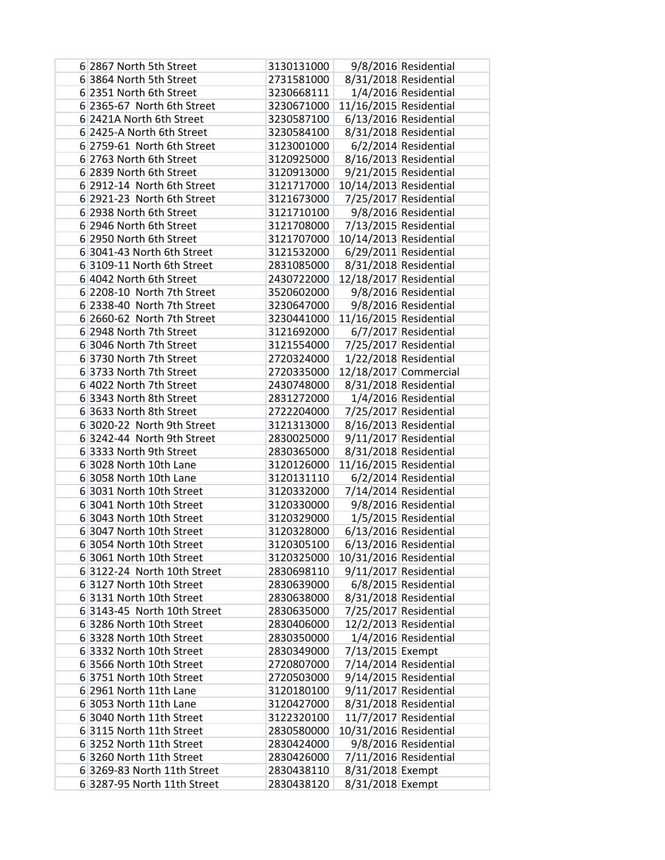| 6 2867 North 5th Street                                | 3130131000 |                        | 9/8/2016 Residential  |
|--------------------------------------------------------|------------|------------------------|-----------------------|
| 6 3864 North 5th Street                                | 2731581000 |                        | 8/31/2018 Residential |
| 6 2351 North 6th Street                                | 3230668111 |                        | 1/4/2016 Residential  |
| 6 2365-67 North 6th Street                             | 3230671000 | 11/16/2015 Residential |                       |
| 6 2421A North 6th Street                               | 3230587100 |                        | 6/13/2016 Residential |
| 6 2425-A North 6th Street                              | 3230584100 |                        | 8/31/2018 Residential |
| 6 2759-61 North 6th Street                             | 3123001000 |                        | 6/2/2014 Residential  |
| 6 2763 North 6th Street                                | 3120925000 |                        | 8/16/2013 Residential |
| 6 2839 North 6th Street                                | 3120913000 |                        | 9/21/2015 Residential |
| 6 2912-14 North 6th Street                             | 3121717000 | 10/14/2013 Residential |                       |
| 6 2921-23 North 6th Street                             | 3121673000 |                        | 7/25/2017 Residential |
| 6 2938 North 6th Street                                | 3121710100 |                        | 9/8/2016 Residential  |
| 6 2946 North 6th Street                                | 3121708000 |                        | 7/13/2015 Residential |
| 6 2950 North 6th Street                                | 3121707000 | 10/14/2013 Residential |                       |
| 6 3041-43 North 6th Street                             | 3121532000 |                        | 6/29/2011 Residential |
| 6 3109-11 North 6th Street                             | 2831085000 |                        | 8/31/2018 Residential |
| 6 4042 North 6th Street                                | 2430722000 | 12/18/2017 Residential |                       |
| 6 2208-10 North 7th Street                             | 3520602000 |                        | 9/8/2016 Residential  |
| 6 2338-40 North 7th Street                             | 3230647000 |                        | 9/8/2016 Residential  |
| 6 2660-62 North 7th Street                             | 3230441000 | 11/16/2015 Residential |                       |
| 6 2948 North 7th Street                                | 3121692000 |                        | 6/7/2017 Residential  |
| 6 3046 North 7th Street                                | 3121554000 |                        | 7/25/2017 Residential |
| 6 3730 North 7th Street                                | 2720324000 |                        | 1/22/2018 Residential |
| 6 3733 North 7th Street                                | 2720335000 |                        | 12/18/2017 Commercial |
| 6 4022 North 7th Street                                | 2430748000 |                        | 8/31/2018 Residential |
| 6 3343 North 8th Street                                | 2831272000 |                        | 1/4/2016 Residential  |
| 6 3633 North 8th Street                                | 2722204000 |                        | 7/25/2017 Residential |
| 6 3020-22 North 9th Street                             | 3121313000 |                        | 8/16/2013 Residential |
| 63242-44 North 9th Street                              | 2830025000 |                        | 9/11/2017 Residential |
| 63333 North 9th Street                                 | 2830365000 |                        | 8/31/2018 Residential |
| 6 3028 North 10th Lane                                 | 3120126000 | 11/16/2015 Residential |                       |
| 6 3058 North 10th Lane                                 | 3120131110 |                        | 6/2/2014 Residential  |
| 6 3031 North 10th Street                               | 3120332000 |                        | 7/14/2014 Residential |
| 6 3041 North 10th Street                               | 3120330000 |                        | 9/8/2016 Residential  |
| 6 3043 North 10th Street                               | 3120329000 |                        | 1/5/2015 Residential  |
| 6 3047 North 10th Street                               | 3120328000 |                        | 6/13/2016 Residential |
| 6 3054 North 10th Street                               | 3120305100 |                        | 6/13/2016 Residential |
| 6 3061 North 10th Street                               | 3120325000 | 10/31/2016 Residential |                       |
| 6 3122-24 North 10th Street                            | 2830698110 |                        | 9/11/2017 Residential |
| 6 3127 North 10th Street                               | 2830639000 |                        | 6/8/2015 Residential  |
| 6 3131 North 10th Street                               | 2830638000 |                        | 8/31/2018 Residential |
| 6 3143-45 North 10th Street                            | 2830635000 |                        | 7/25/2017 Residential |
| 63286 North 10th Street                                | 2830406000 |                        | 12/2/2013 Residential |
| 63328 North 10th Street                                | 2830350000 |                        | 1/4/2016 Residential  |
| 6 3332 North 10th Street                               | 2830349000 | 7/13/2015 Exempt       |                       |
| 6 3566 North 10th Street                               | 2720807000 |                        | 7/14/2014 Residential |
| 63751 North 10th Street                                | 2720503000 |                        | 9/14/2015 Residential |
| 6 2961 North 11th Lane                                 | 3120180100 |                        | 9/11/2017 Residential |
| 6 3053 North 11th Lane                                 | 3120427000 |                        | 8/31/2018 Residential |
| 6 3040 North 11th Street<br>63115 North 11th Street    | 3122320100 |                        | 11/7/2017 Residential |
|                                                        | 2830580000 | 10/31/2016 Residential |                       |
| 63252 North 11th Street                                | 2830424000 |                        | 9/8/2016 Residential  |
| 63260 North 11th Street<br>6 3269-83 North 11th Street | 2830426000 |                        | 7/11/2016 Residential |
| 6 3287-95 North 11th Street                            | 2830438110 | 8/31/2018 Exempt       |                       |
|                                                        | 2830438120 | 8/31/2018 Exempt       |                       |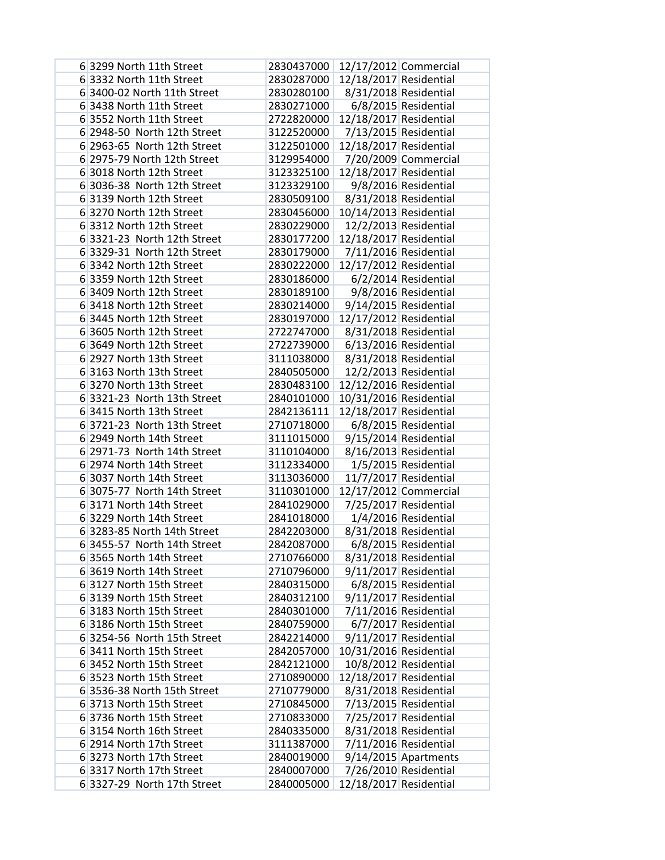| 6 3299 North 11th Street                             | 2830437000               |                        | 12/17/2012 Commercial                          |
|------------------------------------------------------|--------------------------|------------------------|------------------------------------------------|
| 6 3332 North 11th Street                             | 2830287000               | 12/18/2017 Residential |                                                |
| 6 3400-02 North 11th Street                          | 2830280100               |                        | 8/31/2018 Residential                          |
| 6 3438 North 11th Street                             | 2830271000               |                        | 6/8/2015 Residential                           |
| 6 3552 North 11th Street                             | 2722820000               | 12/18/2017 Residential |                                                |
| 6 2948-50 North 12th Street                          | 3122520000               |                        | 7/13/2015 Residential                          |
| 6 2963-65 North 12th Street                          | 3122501000               | 12/18/2017 Residential |                                                |
| 6 2975-79 North 12th Street                          | 3129954000               |                        | 7/20/2009 Commercial                           |
| 6 3018 North 12th Street                             | 3123325100               | 12/18/2017 Residential |                                                |
| 6 3036-38 North 12th Street                          | 3123329100               |                        | 9/8/2016 Residential                           |
| 6 3139 North 12th Street                             | 2830509100               |                        | 8/31/2018 Residential                          |
| 63270 North 12th Street                              | 2830456000               | 10/14/2013 Residential |                                                |
| 6 3312 North 12th Street                             | 2830229000               |                        | 12/2/2013 Residential                          |
| 6 3321-23 North 12th Street                          | 2830177200               | 12/18/2017 Residential |                                                |
| 6 3329-31 North 12th Street                          | 2830179000               |                        | 7/11/2016 Residential                          |
| 6 3342 North 12th Street                             | 2830222000               | 12/17/2012 Residential |                                                |
| 6 3359 North 12th Street                             | 2830186000               |                        | 6/2/2014 Residential                           |
| 6 3409 North 12th Street                             | 2830189100               |                        | 9/8/2016 Residential                           |
| 6 3418 North 12th Street                             | 2830214000               |                        | 9/14/2015 Residential                          |
| 6 3445 North 12th Street                             | 2830197000               | 12/17/2012 Residential |                                                |
| 6 3605 North 12th Street                             | 2722747000               |                        | 8/31/2018 Residential                          |
| 6 3649 North 12th Street                             | 2722739000               |                        | 6/13/2016 Residential                          |
| 6 2927 North 13th Street                             | 3111038000               |                        | 8/31/2018 Residential                          |
| 6 3163 North 13th Street                             | 2840505000               |                        | 12/2/2013 Residential                          |
| 63270 North 13th Street                              | 2830483100               | 12/12/2016 Residential |                                                |
| 6 3321-23 North 13th Street                          | 2840101000               | 10/31/2016 Residential |                                                |
| 6 3415 North 13th Street                             | 2842136111               | 12/18/2017 Residential |                                                |
| 6 3721-23 North 13th Street                          | 2710718000               |                        | 6/8/2015 Residential                           |
| 6 2949 North 14th Street                             | 3111015000               |                        | 9/15/2014 Residential                          |
| 6 2971-73 North 14th Street                          | 3110104000               |                        | 8/16/2013 Residential                          |
| 6 2974 North 14th Street                             | 3112334000               |                        | 1/5/2015 Residential                           |
| 6 3037 North 14th Street                             | 3113036000               |                        | 11/7/2017 Residential                          |
| 6 3075-77 North 14th Street                          | 3110301000               |                        | 12/17/2012 Commercial                          |
| 6 3171 North 14th Street                             | 2841029000               |                        | 7/25/2017 Residential                          |
| 6 3229 North 14th Street                             | 2841018000               |                        | 1/4/2016 Residential                           |
| 6 3283-85 North 14th Street                          | 2842203000               |                        | 8/31/2018 Residential                          |
| 6 3455-57 North 14th Street                          | 2842087000               |                        | 6/8/2015 Residential                           |
| 6 3565 North 14th Street<br>6 3619 North 14th Street | 2710766000               |                        | 8/31/2018 Residential                          |
|                                                      | 2710796000               |                        | 9/11/2017 Residential<br>6/8/2015 Residential  |
| 63127 North 15th Street<br>63139 North 15th Street   | 2840315000<br>2840312100 |                        |                                                |
| 63183 North 15th Street                              | 2840301000               |                        | 9/11/2017 Residential<br>7/11/2016 Residential |
| 63186 North 15th Street                              | 2840759000               |                        | 6/7/2017 Residential                           |
| 6 3254-56 North 15th Street                          | 2842214000               |                        | 9/11/2017 Residential                          |
| 6 3411 North 15th Street                             | 2842057000               | 10/31/2016 Residential |                                                |
| 6 3452 North 15th Street                             | 2842121000               |                        | 10/8/2012 Residential                          |
| 63523 North 15th Street                              | 2710890000               | 12/18/2017 Residential |                                                |
| 6 3536-38 North 15th Street                          | 2710779000               |                        | 8/31/2018 Residential                          |
| 6 3713 North 15th Street                             | 2710845000               |                        | 7/13/2015 Residential                          |
| 6 3736 North 15th Street                             | 2710833000               |                        | 7/25/2017 Residential                          |
| 6 3154 North 16th Street                             | 2840335000               |                        | 8/31/2018 Residential                          |
| 6 2914 North 17th Street                             | 3111387000               |                        | 7/11/2016 Residential                          |
| 6 3273 North 17th Street                             | 2840019000               |                        | $9/14/2015$ Apartments                         |
| 6 3317 North 17th Street                             | 2840007000               |                        | 7/26/2010 Residential                          |
| 6 3327-29 North 17th Street                          | 2840005000               | 12/18/2017 Residential |                                                |
|                                                      |                          |                        |                                                |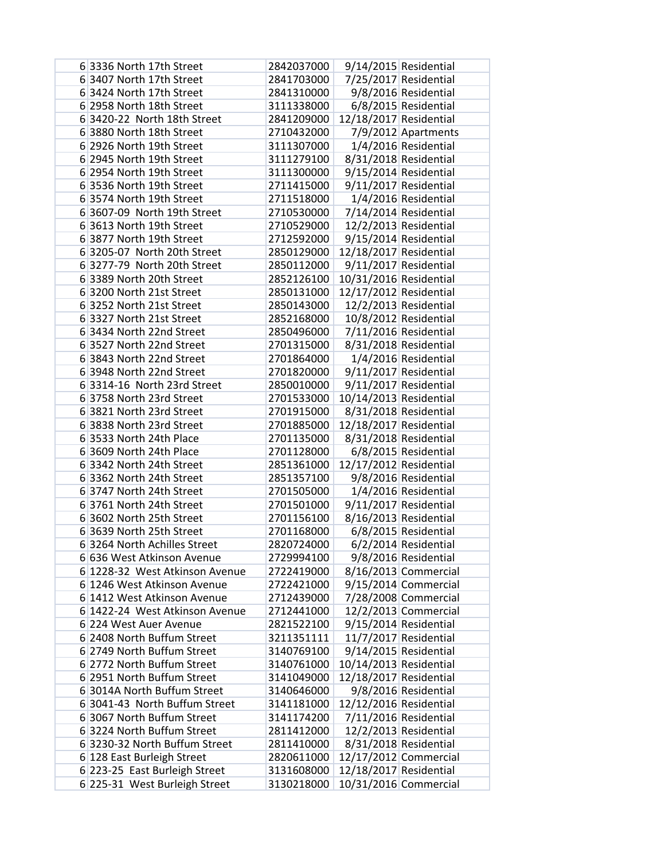| 6 3336 North 17th Street       | 2842037000 |                        | 9/14/2015 Residential  |
|--------------------------------|------------|------------------------|------------------------|
| 6 3407 North 17th Street       | 2841703000 |                        | 7/25/2017 Residential  |
| 63424 North 17th Street        | 2841310000 |                        | 9/8/2016 Residential   |
| 6 2958 North 18th Street       | 3111338000 |                        | 6/8/2015 Residential   |
| 6 3420-22 North 18th Street    | 2841209000 | 12/18/2017 Residential |                        |
| 6 3880 North 18th Street       | 2710432000 |                        | 7/9/2012 Apartments    |
| 6 2926 North 19th Street       | 3111307000 |                        | 1/4/2016 Residential   |
| 6 2945 North 19th Street       | 3111279100 |                        | 8/31/2018 Residential  |
| 6 2954 North 19th Street       | 3111300000 |                        | 9/15/2014 Residential  |
| 6 3536 North 19th Street       | 2711415000 |                        | 9/11/2017 Residential  |
| 6 3574 North 19th Street       | 2711518000 |                        | 1/4/2016 Residential   |
| 6 3607-09 North 19th Street    | 2710530000 |                        | 7/14/2014 Residential  |
| 6 3613 North 19th Street       | 2710529000 |                        | 12/2/2013 Residential  |
| 6 3877 North 19th Street       | 2712592000 |                        | 9/15/2014 Residential  |
| 6 3205-07 North 20th Street    | 2850129000 | 12/18/2017 Residential |                        |
| 6 3277-79 North 20th Street    | 2850112000 |                        | 9/11/2017 Residential  |
| 6 3389 North 20th Street       | 2852126100 | 10/31/2016 Residential |                        |
| 63200 North 21st Street        | 2850131000 | 12/17/2012 Residential |                        |
| 63252 North 21st Street        | 2850143000 |                        | 12/2/2013 Residential  |
| 6 3327 North 21st Street       | 2852168000 |                        | 10/8/2012 Residential  |
| 6 3434 North 22nd Street       | 2850496000 |                        | 7/11/2016 Residential  |
| 6 3527 North 22nd Street       | 2701315000 |                        | 8/31/2018 Residential  |
| 6 3843 North 22nd Street       | 2701864000 |                        | 1/4/2016 Residential   |
| 6 3948 North 22nd Street       | 2701820000 |                        | 9/11/2017 Residential  |
| 6 3314-16 North 23rd Street    | 2850010000 |                        | 9/11/2017 Residential  |
| 63758 North 23rd Street        | 2701533000 | 10/14/2013 Residential |                        |
| 6 3821 North 23rd Street       | 2701915000 |                        | 8/31/2018 Residential  |
| 6 3838 North 23rd Street       | 2701885000 | 12/18/2017 Residential |                        |
| 6 3533 North 24th Place        | 2701135000 |                        | 8/31/2018 Residential  |
| 6 3609 North 24th Place        | 2701128000 |                        | 6/8/2015 Residential   |
| 6 3342 North 24th Street       | 2851361000 | 12/17/2012 Residential |                        |
| 6 3362 North 24th Street       | 2851357100 |                        | 9/8/2016 Residential   |
| 6 3747 North 24th Street       | 2701505000 |                        | 1/4/2016 Residential   |
| 6 3761 North 24th Street       | 2701501000 |                        | 9/11/2017 Residential  |
| 6 3602 North 25th Street       | 2701156100 |                        | 8/16/2013 Residential  |
| 6 3639 North 25th Street       | 2701168000 |                        | 6/8/2015 Residential   |
| 6 3264 North Achilles Street   | 2820724000 |                        | 6/2/2014 Residential   |
| 6 636 West Atkinson Avenue     | 2729994100 |                        | 9/8/2016 Residential   |
| 6 1228-32 West Atkinson Avenue | 2722419000 |                        | 8/16/2013 Commercial   |
| 6 1246 West Atkinson Avenue    | 2722421000 |                        | $9/15/2014$ Commercial |
| 6 1412 West Atkinson Avenue    | 2712439000 |                        | 7/28/2008 Commercial   |
| 6 1422-24 West Atkinson Avenue | 2712441000 |                        | 12/2/2013 Commercial   |
| 6 224 West Auer Avenue         | 2821522100 |                        | 9/15/2014 Residential  |
| 6 2408 North Buffum Street     | 3211351111 |                        | 11/7/2017 Residential  |
| 6 2749 North Buffum Street     | 3140769100 |                        | 9/14/2015 Residential  |
| 6 2772 North Buffum Street     | 3140761000 | 10/14/2013 Residential |                        |
| 6 2951 North Buffum Street     | 3141049000 | 12/18/2017 Residential |                        |
| 6 3014A North Buffum Street    | 3140646000 |                        | 9/8/2016 Residential   |
| 6 3041-43 North Buffum Street  | 3141181000 | 12/12/2016 Residential |                        |
| 6 3067 North Buffum Street     | 3141174200 |                        | 7/11/2016 Residential  |
| 6 3224 North Buffum Street     | 2811412000 |                        | 12/2/2013 Residential  |
| 6 3230-32 North Buffum Street  | 2811410000 |                        | 8/31/2018 Residential  |
| 6 128 East Burleigh Street     | 2820611000 |                        | 12/17/2012 Commercial  |
| 6 223-25 East Burleigh Street  | 3131608000 | 12/18/2017 Residential |                        |
| 6 225-31 West Burleigh Street  | 3130218000 |                        | 10/31/2016 Commercial  |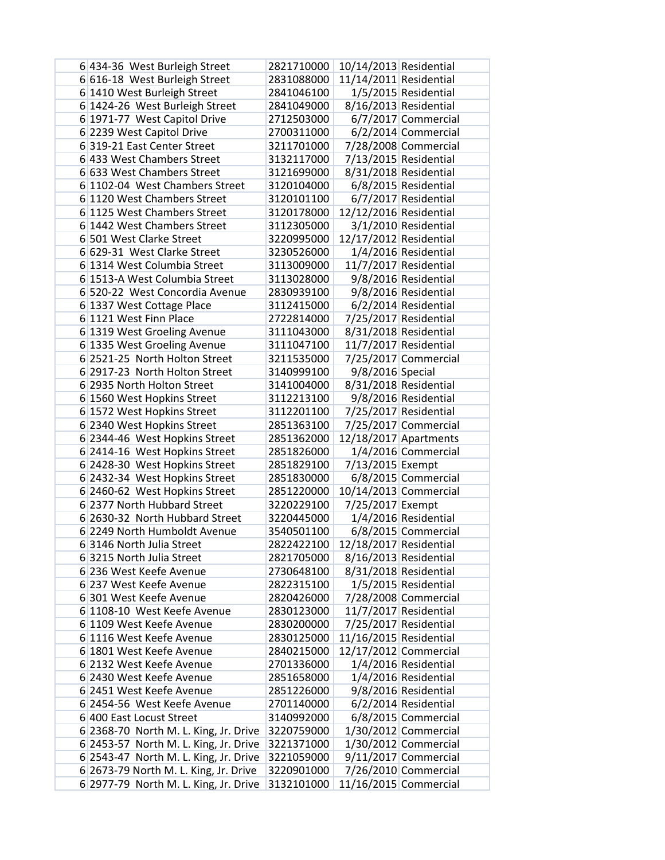| 6 434-36 West Burleigh Street         | 2821710000 | 10/14/2013 Residential |                       |
|---------------------------------------|------------|------------------------|-----------------------|
| 6 616-18 West Burleigh Street         | 2831088000 | 11/14/2011 Residential |                       |
| 6 1410 West Burleigh Street           | 2841046100 |                        | 1/5/2015 Residential  |
| 6 1424-26 West Burleigh Street        | 2841049000 |                        | 8/16/2013 Residential |
| 6 1971-77 West Capitol Drive          | 2712503000 |                        | 6/7/2017 Commercial   |
| 6 2239 West Capitol Drive             | 2700311000 |                        | 6/2/2014 Commercial   |
| 6319-21 East Center Street            | 3211701000 |                        | 7/28/2008 Commercial  |
| 6 433 West Chambers Street            | 3132117000 |                        | 7/13/2015 Residential |
| 6 633 West Chambers Street            | 3121699000 |                        | 8/31/2018 Residential |
| 6 1102-04 West Chambers Street        | 3120104000 |                        | 6/8/2015 Residential  |
| 6 1120 West Chambers Street           | 3120101100 |                        | 6/7/2017 Residential  |
| 6 1125 West Chambers Street           | 3120178000 | 12/12/2016 Residential |                       |
| 6 1442 West Chambers Street           | 3112305000 |                        | 3/1/2010 Residential  |
| 6 501 West Clarke Street              | 3220995000 | 12/17/2012 Residential |                       |
| 6 629-31 West Clarke Street           | 3230526000 |                        | 1/4/2016 Residential  |
| 6 1314 West Columbia Street           | 3113009000 |                        | 11/7/2017 Residential |
| 6 1513-A West Columbia Street         | 3113028000 |                        | 9/8/2016 Residential  |
| 6 520-22 West Concordia Avenue        | 2830939100 |                        | 9/8/2016 Residential  |
| 6 1337 West Cottage Place             | 3112415000 |                        | 6/2/2014 Residential  |
| 6 1121 West Finn Place                | 2722814000 |                        | 7/25/2017 Residential |
| 6 1319 West Groeling Avenue           | 3111043000 |                        | 8/31/2018 Residential |
| 6 1335 West Groeling Avenue           | 3111047100 |                        | 11/7/2017 Residential |
| 6 2521-25 North Holton Street         | 3211535000 |                        | 7/25/2017 Commercial  |
| 6 2917-23 North Holton Street         | 3140999100 | 9/8/2016 Special       |                       |
| 6 2935 North Holton Street            | 3141004000 |                        | 8/31/2018 Residential |
| 6 1560 West Hopkins Street            | 3112213100 |                        | 9/8/2016 Residential  |
| 6 1572 West Hopkins Street            | 3112201100 |                        | 7/25/2017 Residential |
| 6 2340 West Hopkins Street            | 2851363100 |                        | 7/25/2017 Commercial  |
| 6 2344-46 West Hopkins Street         | 2851362000 |                        | 12/18/2017 Apartments |
| 6 2414-16 West Hopkins Street         | 2851826000 |                        | 1/4/2016 Commercial   |
| 6 2428-30 West Hopkins Street         | 2851829100 | 7/13/2015 Exempt       |                       |
| 6 2432-34 West Hopkins Street         | 2851830000 |                        | 6/8/2015 Commercial   |
| 6 2460-62 West Hopkins Street         | 2851220000 |                        | 10/14/2013 Commercial |
| 6 2377 North Hubbard Street           | 3220229100 | 7/25/2017 Exempt       |                       |
| 6 2630-32 North Hubbard Street        | 3220445000 |                        | 1/4/2016 Residential  |
| 6 2249 North Humboldt Avenue          | 3540501100 |                        | 6/8/2015 Commercial   |
| 63146 North Julia Street              | 2822422100 | 12/18/2017 Residential |                       |
| 63215 North Julia Street              | 2821705000 |                        | 8/16/2013 Residential |
| 6 236 West Keefe Avenue               | 2730648100 |                        | 8/31/2018 Residential |
| 6 237 West Keefe Avenue               | 2822315100 |                        | 1/5/2015 Residential  |
| 6 301 West Keefe Avenue               | 2820426000 |                        | 7/28/2008 Commercial  |
| 6 1108-10 West Keefe Avenue           | 2830123000 |                        | 11/7/2017 Residential |
| 6 1109 West Keefe Avenue              | 2830200000 |                        | 7/25/2017 Residential |
| 6 1116 West Keefe Avenue              | 2830125000 | 11/16/2015 Residential |                       |
| 6 1801 West Keefe Avenue              | 2840215000 |                        | 12/17/2012 Commercial |
| 6 2132 West Keefe Avenue              | 2701336000 |                        | 1/4/2016 Residential  |
| 6 2430 West Keefe Avenue              | 2851658000 |                        | 1/4/2016 Residential  |
| 6 2451 West Keefe Avenue              | 2851226000 |                        | 9/8/2016 Residential  |
| 6 2454-56 West Keefe Avenue           | 2701140000 |                        | 6/2/2014 Residential  |
| 6 400 East Locust Street              | 3140992000 |                        | 6/8/2015 Commercial   |
| 6 2368-70 North M. L. King, Jr. Drive | 3220759000 |                        | 1/30/2012 Commercial  |
| 6 2453-57 North M. L. King, Jr. Drive | 3221371000 |                        | 1/30/2012 Commercial  |
| 6 2543-47 North M. L. King, Jr. Drive | 3221059000 |                        | 9/11/2017 Commercial  |
| 6 2673-79 North M. L. King, Jr. Drive | 3220901000 |                        | 7/26/2010 Commercial  |
| 6 2977-79 North M. L. King, Jr. Drive | 3132101000 |                        | 11/16/2015 Commercial |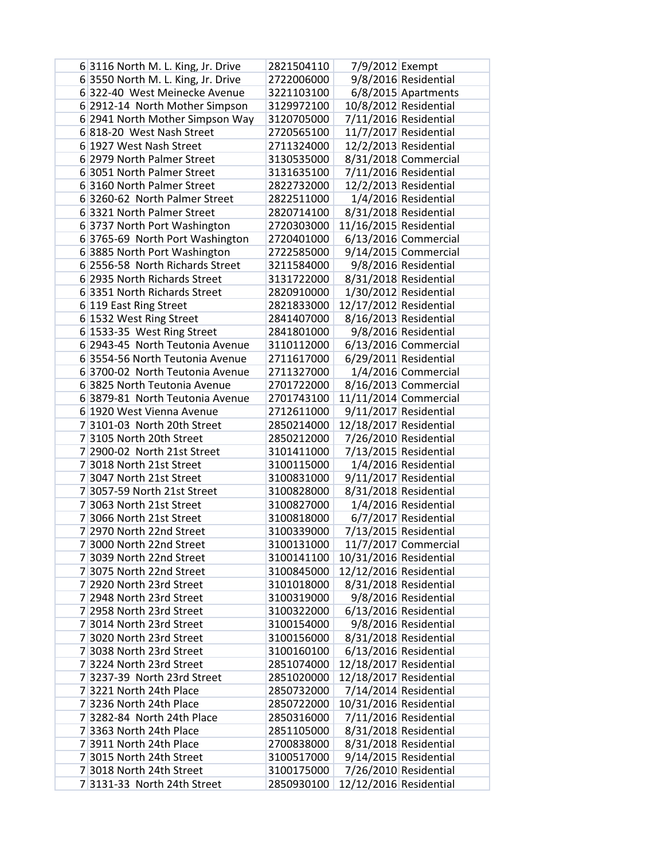| 6 3116 North M. L. King, Jr. Drive | 2821504110 | 7/9/2012 Exempt        |                        |
|------------------------------------|------------|------------------------|------------------------|
| 6 3550 North M. L. King, Jr. Drive | 2722006000 |                        | 9/8/2016 Residential   |
| 6322-40 West Meinecke Avenue       | 3221103100 |                        | 6/8/2015 Apartments    |
| 6 2912-14 North Mother Simpson     | 3129972100 |                        | 10/8/2012 Residential  |
| 6 2941 North Mother Simpson Way    | 3120705000 |                        | 7/11/2016 Residential  |
| 6 818-20 West Nash Street          | 2720565100 |                        | 11/7/2017 Residential  |
| 6 1927 West Nash Street            | 2711324000 |                        | 12/2/2013 Residential  |
| 6 2979 North Palmer Street         | 3130535000 |                        | 8/31/2018 Commercial   |
| 6 3051 North Palmer Street         | 3131635100 |                        | 7/11/2016 Residential  |
| 6 3160 North Palmer Street         | 2822732000 |                        | 12/2/2013 Residential  |
| 6 3260-62 North Palmer Street      | 2822511000 |                        | 1/4/2016 Residential   |
| 63321 North Palmer Street          | 2820714100 |                        | 8/31/2018 Residential  |
| 6 3737 North Port Washington       | 2720303000 | 11/16/2015 Residential |                        |
| 6 3765-69 North Port Washington    | 2720401000 |                        | 6/13/2016 Commercial   |
| 6 3885 North Port Washington       | 2722585000 |                        | $9/14/2015$ Commercial |
| 6 2556-58 North Richards Street    | 3211584000 |                        | 9/8/2016 Residential   |
| 6 2935 North Richards Street       | 3131722000 |                        | 8/31/2018 Residential  |
| 6 3351 North Richards Street       | 2820910000 |                        | 1/30/2012 Residential  |
| 6 119 East Ring Street             | 2821833000 | 12/17/2012 Residential |                        |
| 6 1532 West Ring Street            | 2841407000 |                        | 8/16/2013 Residential  |
| 6 1533-35 West Ring Street         | 2841801000 |                        | 9/8/2016 Residential   |
| 6 2943-45 North Teutonia Avenue    | 3110112000 |                        | $6/13/2016$ Commercial |
| 6 3554-56 North Teutonia Avenue    | 2711617000 |                        | 6/29/2011 Residential  |
| 6 3700-02 North Teutonia Avenue    | 2711327000 |                        | 1/4/2016 Commercial    |
| 6 3825 North Teutonia Avenue       | 2701722000 |                        | 8/16/2013 Commercial   |
| 6 3879-81 North Teutonia Avenue    | 2701743100 |                        | 11/11/2014 Commercial  |
| 6 1920 West Vienna Avenue          | 2712611000 |                        | 9/11/2017 Residential  |
| 7 3101-03 North 20th Street        | 2850214000 | 12/18/2017 Residential |                        |
| 7 3105 North 20th Street           | 2850212000 |                        | 7/26/2010 Residential  |
| 7 2900-02 North 21st Street        | 3101411000 |                        | 7/13/2015 Residential  |
| 7 3018 North 21st Street           | 3100115000 |                        | 1/4/2016 Residential   |
| 7 3047 North 21st Street           | 3100831000 |                        | 9/11/2017 Residential  |
| 7 3057-59 North 21st Street        | 3100828000 |                        | 8/31/2018 Residential  |
| 7 3063 North 21st Street           | 3100827000 |                        | 1/4/2016 Residential   |
| 7 3066 North 21st Street           | 3100818000 |                        | 6/7/2017 Residential   |
| 7 2970 North 22nd Street           | 3100339000 |                        | 7/13/2015 Residential  |
| 7 3000 North 22nd Street           | 3100131000 |                        | 11/7/2017 Commercial   |
| 7 3039 North 22nd Street           | 3100141100 | 10/31/2016 Residential |                        |
| 73075 North 22nd Street            | 3100845000 | 12/12/2016 Residential |                        |
| 7 2920 North 23rd Street           | 3101018000 |                        | 8/31/2018 Residential  |
| 7 2948 North 23rd Street           | 3100319000 |                        | 9/8/2016 Residential   |
| 7 2958 North 23rd Street           | 3100322000 |                        | 6/13/2016 Residential  |
| 7 3014 North 23rd Street           | 3100154000 |                        | 9/8/2016 Residential   |
| 73020 North 23rd Street            | 3100156000 |                        | 8/31/2018 Residential  |
| 7 3038 North 23rd Street           | 3100160100 |                        | 6/13/2016 Residential  |
| 73224 North 23rd Street            | 2851074000 | 12/18/2017 Residential |                        |
| 7 3237-39 North 23rd Street        | 2851020000 | 12/18/2017 Residential |                        |
| 7 3221 North 24th Place            | 2850732000 |                        | 7/14/2014 Residential  |
| 7 3236 North 24th Place            | 2850722000 | 10/31/2016 Residential |                        |
| 7 3282-84 North 24th Place         | 2850316000 |                        | 7/11/2016 Residential  |
| 7 3363 North 24th Place            | 2851105000 |                        | 8/31/2018 Residential  |
| 7 3911 North 24th Place            | 2700838000 |                        | 8/31/2018 Residential  |
| 73015 North 24th Street            | 3100517000 |                        | 9/14/2015 Residential  |
| 7 3018 North 24th Street           | 3100175000 |                        | 7/26/2010 Residential  |
| 7 3131-33 North 24th Street        | 2850930100 | 12/12/2016 Residential |                        |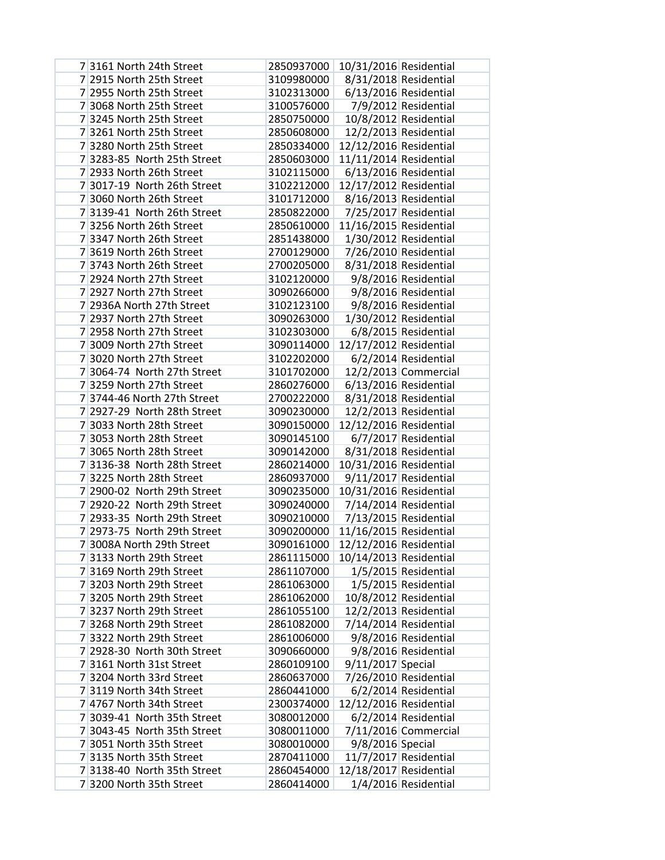| 73161 North 24th Street                             | 2850937000               | 10/31/2016 Residential |                       |
|-----------------------------------------------------|--------------------------|------------------------|-----------------------|
| 7 2915 North 25th Street                            | 3109980000               |                        | 8/31/2018 Residential |
| 7 2955 North 25th Street                            | 3102313000               |                        | 6/13/2016 Residential |
| 7 3068 North 25th Street                            | 3100576000               |                        | 7/9/2012 Residential  |
| 73245 North 25th Street                             | 2850750000               |                        | 10/8/2012 Residential |
| 73261 North 25th Street                             | 2850608000               |                        | 12/2/2013 Residential |
| 73280 North 25th Street                             | 2850334000               | 12/12/2016 Residential |                       |
| 7 3283-85 North 25th Street                         | 2850603000               | 11/11/2014 Residential |                       |
| 7 2933 North 26th Street                            | 3102115000               |                        | 6/13/2016 Residential |
| 7 3017-19 North 26th Street                         | 3102212000               | 12/17/2012 Residential |                       |
| 7 3060 North 26th Street                            | 3101712000               |                        | 8/16/2013 Residential |
| 7 3139-41 North 26th Street                         | 2850822000               |                        | 7/25/2017 Residential |
| 7 3256 North 26th Street                            | 2850610000               | 11/16/2015 Residential |                       |
| 7 3347 North 26th Street                            | 2851438000               |                        | 1/30/2012 Residential |
| 7 3619 North 26th Street                            | 2700129000               |                        | 7/26/2010 Residential |
| 73743 North 26th Street                             | 2700205000               |                        | 8/31/2018 Residential |
| 7 2924 North 27th Street                            | 3102120000               |                        | 9/8/2016 Residential  |
| 7 2927 North 27th Street                            | 3090266000               |                        | 9/8/2016 Residential  |
| 7 2936A North 27th Street                           | 3102123100               |                        | 9/8/2016 Residential  |
| 7 2937 North 27th Street                            | 3090263000               |                        | 1/30/2012 Residential |
| 7 2958 North 27th Street                            | 3102303000               |                        | 6/8/2015 Residential  |
| 7 3009 North 27th Street                            | 3090114000               | 12/17/2012 Residential |                       |
| 7 3020 North 27th Street                            | 3102202000               |                        | 6/2/2014 Residential  |
| 7 3064-74 North 27th Street                         | 3101702000               |                        | 12/2/2013 Commercial  |
| 7 3259 North 27th Street                            | 2860276000               |                        | 6/13/2016 Residential |
| 7 3744-46 North 27th Street                         | 2700222000               |                        | 8/31/2018 Residential |
| 7 2927-29 North 28th Street                         | 3090230000               |                        | 12/2/2013 Residential |
| 7 3033 North 28th Street                            | 3090150000               | 12/12/2016 Residential |                       |
| 7 3053 North 28th Street                            | 3090145100               |                        | 6/7/2017 Residential  |
| 7 3065 North 28th Street                            | 3090142000               |                        | 8/31/2018 Residential |
| 7 3136-38 North 28th Street                         | 2860214000               | 10/31/2016 Residential |                       |
| 73225 North 28th Street                             | 2860937000               |                        | 9/11/2017 Residential |
| 7 2900-02 North 29th Street                         | 3090235000               | 10/31/2016 Residential |                       |
| 7 2920-22 North 29th Street                         | 3090240000               |                        | 7/14/2014 Residential |
| 7 2933-35 North 29th Street                         | 3090210000               |                        | 7/13/2015 Residential |
| 7 2973-75 North 29th Street                         | 3090200000               | 11/16/2015 Residential |                       |
| 7 3008A North 29th Street                           | 3090161000               | 12/12/2016 Residential |                       |
| 7 3133 North 29th Street                            | 2861115000               | 10/14/2013 Residential |                       |
| 7 3169 North 29th Street                            | 2861107000               |                        | 1/5/2015 Residential  |
| 73203 North 29th Street                             | 2861063000               |                        | 1/5/2015 Residential  |
| 73205 North 29th Street                             | 2861062000               |                        | 10/8/2012 Residential |
| 73237 North 29th Street                             | 2861055100               |                        | 12/2/2013 Residential |
| 7 3268 North 29th Street                            | 2861082000               |                        | 7/14/2014 Residential |
| 73322 North 29th Street                             | 2861006000               |                        | 9/8/2016 Residential  |
| 7 2928-30 North 30th Street                         | 3090660000               |                        | 9/8/2016 Residential  |
| 73161 North 31st Street                             | 2860109100               | 9/11/2017 Special      |                       |
| 73204 North 33rd Street<br>7 3119 North 34th Street | 2860637000<br>2860441000 |                        | 7/26/2010 Residential |
| 7 4767 North 34th Street                            | 2300374000               |                        | 6/2/2014 Residential  |
| 7 3039-41 North 35th Street                         | 3080012000               | 12/12/2016 Residential | 6/2/2014 Residential  |
| 7 3043-45 North 35th Street                         | 3080011000               |                        | 7/11/2016 Commercial  |
| 7 3051 North 35th Street                            | 3080010000               | 9/8/2016 Special       |                       |
| 73135 North 35th Street                             | 2870411000               |                        | 11/7/2017 Residential |
| 7 3138-40 North 35th Street                         | 2860454000               | 12/18/2017 Residential |                       |
| 73200 North 35th Street                             | 2860414000               |                        | 1/4/2016 Residential  |
|                                                     |                          |                        |                       |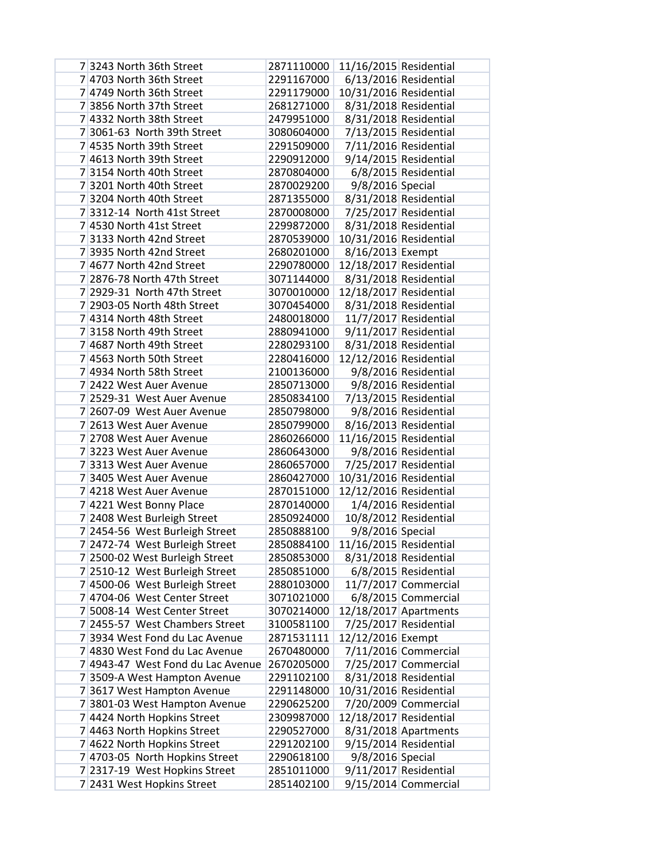| 7 3243 North 36th Street          | 2871110000 | 11/16/2015 Residential |                       |
|-----------------------------------|------------|------------------------|-----------------------|
| 7 4703 North 36th Street          | 2291167000 |                        | 6/13/2016 Residential |
| 7 4749 North 36th Street          | 2291179000 | 10/31/2016 Residential |                       |
| 7 3856 North 37th Street          | 2681271000 |                        | 8/31/2018 Residential |
| 7 4332 North 38th Street          | 2479951000 |                        | 8/31/2018 Residential |
| 7 3061-63 North 39th Street       | 3080604000 |                        | 7/13/2015 Residential |
| 7 4535 North 39th Street          | 2291509000 |                        | 7/11/2016 Residential |
| 7 4613 North 39th Street          | 2290912000 |                        | 9/14/2015 Residential |
| 73154 North 40th Street           | 2870804000 |                        | 6/8/2015 Residential  |
| 73201 North 40th Street           | 2870029200 | 9/8/2016 Special       |                       |
| 73204 North 40th Street           | 2871355000 |                        | 8/31/2018 Residential |
| 7 3312-14 North 41st Street       | 2870008000 |                        | 7/25/2017 Residential |
| 7 4530 North 41st Street          | 2299872000 |                        | 8/31/2018 Residential |
| 7 3133 North 42nd Street          | 2870539000 | 10/31/2016 Residential |                       |
| 7 3935 North 42nd Street          | 2680201000 | 8/16/2013 Exempt       |                       |
| 7 4677 North 42nd Street          | 2290780000 | 12/18/2017 Residential |                       |
| 7 2876-78 North 47th Street       | 3071144000 |                        | 8/31/2018 Residential |
| 7 2929-31 North 47th Street       | 3070010000 | 12/18/2017 Residential |                       |
| 7 2903-05 North 48th Street       | 3070454000 |                        | 8/31/2018 Residential |
| 7 4314 North 48th Street          | 2480018000 |                        | 11/7/2017 Residential |
| 73158 North 49th Street           | 2880941000 |                        | 9/11/2017 Residential |
| 7 4687 North 49th Street          | 2280293100 |                        | 8/31/2018 Residential |
| 7 4563 North 50th Street          | 2280416000 | 12/12/2016 Residential |                       |
| 7 4934 North 58th Street          | 2100136000 |                        | 9/8/2016 Residential  |
| 7 2422 West Auer Avenue           | 2850713000 |                        | 9/8/2016 Residential  |
| 7 2529-31 West Auer Avenue        | 2850834100 |                        | 7/13/2015 Residential |
| 7 2607-09 West Auer Avenue        | 2850798000 |                        | 9/8/2016 Residential  |
| 7 2613 West Auer Avenue           | 2850799000 |                        | 8/16/2013 Residential |
| 7 2708 West Auer Avenue           | 2860266000 | 11/16/2015 Residential |                       |
| 73223 West Auer Avenue            | 2860643000 |                        | 9/8/2016 Residential  |
| 7 3313 West Auer Avenue           | 2860657000 |                        | 7/25/2017 Residential |
| 7 3405 West Auer Avenue           | 2860427000 | 10/31/2016 Residential |                       |
| 7 4218 West Auer Avenue           | 2870151000 | 12/12/2016 Residential |                       |
| 7 4221 West Bonny Place           | 2870140000 |                        | 1/4/2016 Residential  |
| 7 2408 West Burleigh Street       | 2850924000 |                        | 10/8/2012 Residential |
| 7 2454-56 West Burleigh Street    | 2850888100 | 9/8/2016 Special       |                       |
| 7 2472-74 West Burleigh Street    | 2850884100 | 11/16/2015 Residential |                       |
| 7 2500-02 West Burleigh Street    | 2850853000 |                        | 8/31/2018 Residential |
| 7 2510-12 West Burleigh Street    | 2850851000 |                        | 6/8/2015 Residential  |
| 7 4500-06 West Burleigh Street    | 2880103000 |                        | 11/7/2017 Commercial  |
| 7 4704-06 West Center Street      | 3071021000 |                        | 6/8/2015 Commercial   |
| 7 5008-14 West Center Street      | 3070214000 |                        | 12/18/2017 Apartments |
| 7 2455-57 West Chambers Street    | 3100581100 |                        | 7/25/2017 Residential |
| 73934 West Fond du Lac Avenue     | 2871531111 | 12/12/2016 Exempt      |                       |
| 7 4830 West Fond du Lac Avenue    | 2670480000 |                        | 7/11/2016 Commercial  |
| 7 4943-47 West Fond du Lac Avenue | 2670205000 |                        | 7/25/2017 Commercial  |
| 73509-A West Hampton Avenue       | 2291102100 |                        | 8/31/2018 Residential |
| 7 3617 West Hampton Avenue        | 2291148000 | 10/31/2016 Residential |                       |
| 7 3801-03 West Hampton Avenue     | 2290625200 |                        | 7/20/2009 Commercial  |
| 7 4424 North Hopkins Street       | 2309987000 | 12/18/2017 Residential |                       |
| 7 4463 North Hopkins Street       | 2290527000 |                        | 8/31/2018 Apartments  |
| 7 4622 North Hopkins Street       | 2291202100 |                        | 9/15/2014 Residential |
| 7 4703-05 North Hopkins Street    | 2290618100 | 9/8/2016 Special       |                       |
| 7 2317-19 West Hopkins Street     | 2851011000 |                        | 9/11/2017 Residential |
| 7 2431 West Hopkins Street        | 2851402100 |                        | 9/15/2014 Commercial  |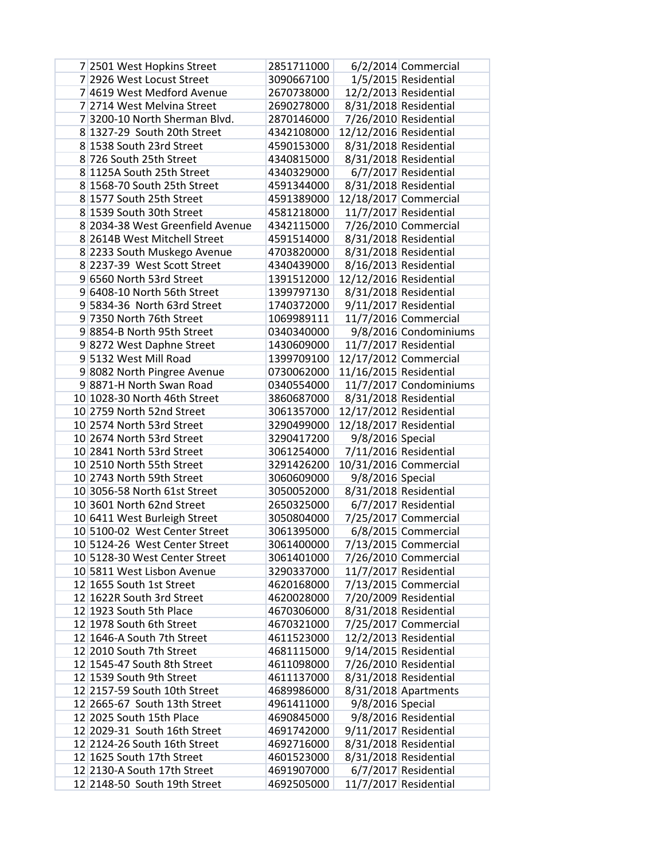| 7 2501 West Hopkins Street       | 2851711000 |                        | 6/2/2014 Commercial    |
|----------------------------------|------------|------------------------|------------------------|
| 7 2926 West Locust Street        | 3090667100 |                        | 1/5/2015 Residential   |
| 7 4619 West Medford Avenue       | 2670738000 |                        | 12/2/2013 Residential  |
| 7 2714 West Melvina Street       | 2690278000 |                        | 8/31/2018 Residential  |
| 7 3200-10 North Sherman Blvd.    | 2870146000 |                        | 7/26/2010 Residential  |
| 8 1327-29 South 20th Street      | 4342108000 | 12/12/2016 Residential |                        |
| 8 1538 South 23rd Street         | 4590153000 |                        | 8/31/2018 Residential  |
| 8 726 South 25th Street          | 4340815000 |                        | 8/31/2018 Residential  |
| 8 1125A South 25th Street        | 4340329000 |                        | 6/7/2017 Residential   |
| 8 1568-70 South 25th Street      | 4591344000 |                        | 8/31/2018 Residential  |
| 8 1577 South 25th Street         | 4591389000 |                        | 12/18/2017 Commercial  |
| 8 1539 South 30th Street         | 4581218000 |                        | 11/7/2017 Residential  |
| 8 2034-38 West Greenfield Avenue | 4342115000 |                        | 7/26/2010 Commercial   |
| 8 2614B West Mitchell Street     | 4591514000 |                        | 8/31/2018 Residential  |
| 8 2233 South Muskego Avenue      | 4703820000 |                        | 8/31/2018 Residential  |
| 8 2237-39 West Scott Street      | 4340439000 |                        | 8/16/2013 Residential  |
| 9 6560 North 53rd Street         | 1391512000 | 12/12/2016 Residential |                        |
| 9 6408-10 North 56th Street      | 1399797130 |                        | 8/31/2018 Residential  |
| 9 5834-36 North 63rd Street      | 1740372000 |                        | 9/11/2017 Residential  |
| 9 7350 North 76th Street         | 1069989111 |                        | 11/7/2016 Commercial   |
| 98854-B North 95th Street        | 0340340000 |                        | 9/8/2016 Condominiums  |
| 98272 West Daphne Street         | 1430609000 |                        | 11/7/2017 Residential  |
| 9 5132 West Mill Road            | 1399709100 |                        | 12/17/2012 Commercial  |
| 9 8082 North Pingree Avenue      | 0730062000 | 11/16/2015 Residential |                        |
| 98871-H North Swan Road          | 0340554000 |                        | 11/7/2017 Condominiums |
| 10 1028-30 North 46th Street     | 3860687000 |                        | 8/31/2018 Residential  |
| 10 2759 North 52nd Street        | 3061357000 | 12/17/2012 Residential |                        |
| 10 2574 North 53rd Street        | 3290499000 | 12/18/2017 Residential |                        |
| 10 2674 North 53rd Street        | 3290417200 | 9/8/2016 Special       |                        |
| 10 2841 North 53rd Street        | 3061254000 |                        | 7/11/2016 Residential  |
| 10 2510 North 55th Street        | 3291426200 |                        | 10/31/2016 Commercial  |
| 10 2743 North 59th Street        | 3060609000 | 9/8/2016 Special       |                        |
| 10 3056-58 North 61st Street     | 3050052000 |                        | 8/31/2018 Residential  |
| 10 3601 North 62nd Street        | 2650325000 |                        | 6/7/2017 Residential   |
| 10 6411 West Burleigh Street     | 3050804000 |                        | 7/25/2017 Commercial   |
| 10 5100-02 West Center Street    | 3061395000 |                        | 6/8/2015 Commercial    |
| 10 5124-26 West Center Street    | 3061400000 |                        | 7/13/2015 Commercial   |
| 10 5128-30 West Center Street    | 3061401000 |                        | 7/26/2010 Commercial   |
| 10 5811 West Lisbon Avenue       | 3290337000 |                        | 11/7/2017 Residential  |
| 12 1655 South 1st Street         | 4620168000 |                        | 7/13/2015 Commercial   |
| 12 1622R South 3rd Street        | 4620028000 |                        | 7/20/2009 Residential  |
| 12 1923 South 5th Place          | 4670306000 |                        | 8/31/2018 Residential  |
| 12 1978 South 6th Street         | 4670321000 |                        | 7/25/2017 Commercial   |
| 12 1646-A South 7th Street       | 4611523000 |                        | 12/2/2013 Residential  |
| 12 2010 South 7th Street         | 4681115000 |                        | 9/14/2015 Residential  |
| 12 1545-47 South 8th Street      | 4611098000 |                        | 7/26/2010 Residential  |
| 12 1539 South 9th Street         | 4611137000 |                        | 8/31/2018 Residential  |
| 12 2157-59 South 10th Street     | 4689986000 |                        | 8/31/2018 Apartments   |
| 12 2665-67 South 13th Street     | 4961411000 | 9/8/2016 Special       |                        |
| 12 2025 South 15th Place         | 4690845000 |                        | 9/8/2016 Residential   |
| 12 2029-31 South 16th Street     | 4691742000 |                        | 9/11/2017 Residential  |
| 12 2124-26 South 16th Street     | 4692716000 |                        | 8/31/2018 Residential  |
| 12 1625 South 17th Street        | 4601523000 |                        | 8/31/2018 Residential  |
| 12 2130-A South 17th Street      | 4691907000 |                        | 6/7/2017 Residential   |
| 12 2148-50 South 19th Street     | 4692505000 |                        | 11/7/2017 Residential  |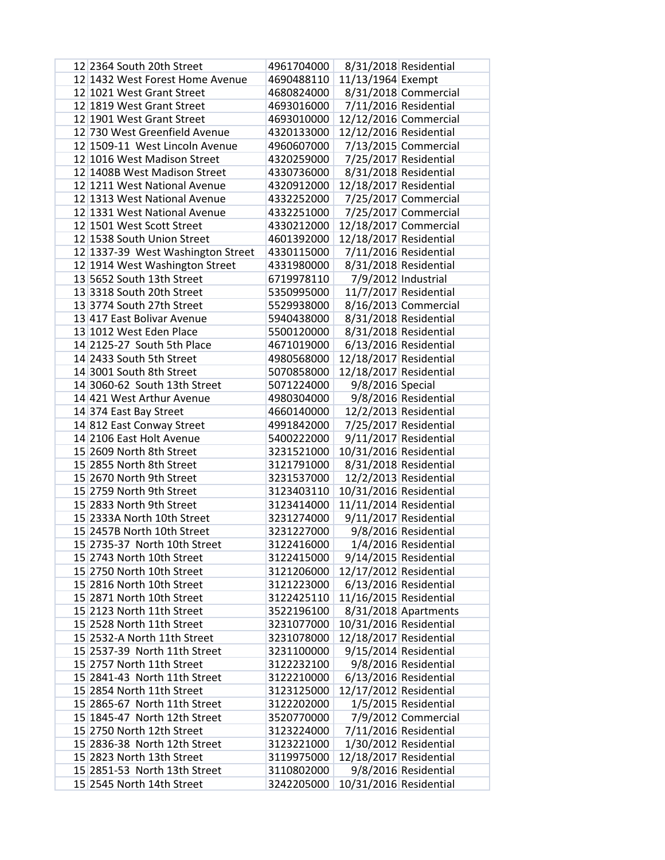| 12 2364 South 20th Street         | 4961704000 |                        | 8/31/2018 Residential |
|-----------------------------------|------------|------------------------|-----------------------|
| 12 1432 West Forest Home Avenue   | 4690488110 | 11/13/1964 Exempt      |                       |
| 12 1021 West Grant Street         | 4680824000 |                        | 8/31/2018 Commercial  |
| 12 1819 West Grant Street         | 4693016000 |                        | 7/11/2016 Residential |
| 12 1901 West Grant Street         | 4693010000 |                        | 12/12/2016 Commercial |
| 12 730 West Greenfield Avenue     | 4320133000 | 12/12/2016 Residential |                       |
| 12 1509-11 West Lincoln Avenue    | 4960607000 |                        | 7/13/2015 Commercial  |
| 12 1016 West Madison Street       | 4320259000 |                        | 7/25/2017 Residential |
| 12 1408B West Madison Street      | 4330736000 |                        | 8/31/2018 Residential |
| 12 1211 West National Avenue      | 4320912000 | 12/18/2017 Residential |                       |
| 12 1313 West National Avenue      | 4332252000 |                        | 7/25/2017 Commercial  |
| 12 1331 West National Avenue      | 4332251000 |                        | 7/25/2017 Commercial  |
| 12 1501 West Scott Street         | 4330212000 |                        | 12/18/2017 Commercial |
| 12 1538 South Union Street        | 4601392000 | 12/18/2017 Residential |                       |
| 12 1337-39 West Washington Street | 4330115000 |                        | 7/11/2016 Residential |
| 12 1914 West Washington Street    | 4331980000 |                        | 8/31/2018 Residential |
| 13 5652 South 13th Street         | 6719978110 |                        | 7/9/2012 Industrial   |
| 13 3318 South 20th Street         | 5350995000 |                        | 11/7/2017 Residential |
| 13 3774 South 27th Street         | 5529938000 |                        | 8/16/2013 Commercial  |
| 13 417 East Bolivar Avenue        | 5940438000 |                        | 8/31/2018 Residential |
| 13 1012 West Eden Place           | 5500120000 |                        | 8/31/2018 Residential |
| 14 2125-27 South 5th Place        | 4671019000 |                        | 6/13/2016 Residential |
| 14 2433 South 5th Street          | 4980568000 | 12/18/2017 Residential |                       |
| 14 3001 South 8th Street          | 5070858000 | 12/18/2017 Residential |                       |
| 14 3060-62 South 13th Street      | 5071224000 | 9/8/2016 Special       |                       |
| 14 421 West Arthur Avenue         | 4980304000 |                        | 9/8/2016 Residential  |
| 14 374 East Bay Street            | 4660140000 |                        | 12/2/2013 Residential |
| 14 812 East Conway Street         | 4991842000 |                        | 7/25/2017 Residential |
| 14 2106 East Holt Avenue          | 5400222000 |                        | 9/11/2017 Residential |
| 15 2609 North 8th Street          | 3231521000 | 10/31/2016 Residential |                       |
| 15 2855 North 8th Street          | 3121791000 |                        | 8/31/2018 Residential |
| 15 2670 North 9th Street          | 3231537000 |                        | 12/2/2013 Residential |
| 15 2759 North 9th Street          | 3123403110 | 10/31/2016 Residential |                       |
| 15 2833 North 9th Street          | 3123414000 | 11/11/2014 Residential |                       |
| 15 2333A North 10th Street        | 3231274000 |                        | 9/11/2017 Residential |
| 15 2457B North 10th Street        | 3231227000 |                        | 9/8/2016 Residential  |
| 15 2735-37 North 10th Street      | 3122416000 |                        | 1/4/2016 Residential  |
| 15 2743 North 10th Street         | 3122415000 |                        | 9/14/2015 Residential |
| 15 2750 North 10th Street         | 3121206000 | 12/17/2012 Residential |                       |
| 15 2816 North 10th Street         | 3121223000 |                        | 6/13/2016 Residential |
| 15 2871 North 10th Street         | 3122425110 | 11/16/2015 Residential |                       |
| 15 2123 North 11th Street         | 3522196100 |                        | 8/31/2018 Apartments  |
| 15 2528 North 11th Street         | 3231077000 | 10/31/2016 Residential |                       |
| 15 2532-A North 11th Street       | 3231078000 | 12/18/2017 Residential |                       |
| 15 2537-39 North 11th Street      | 3231100000 |                        | 9/15/2014 Residential |
| 15 2757 North 11th Street         | 3122232100 |                        | 9/8/2016 Residential  |
| 15 2841-43 North 11th Street      | 3122210000 |                        | 6/13/2016 Residential |
| 15 2854 North 11th Street         | 3123125000 | 12/17/2012 Residential |                       |
| 15 2865-67 North 11th Street      | 3122202000 |                        | 1/5/2015 Residential  |
| 15 1845-47 North 12th Street      | 3520770000 |                        | 7/9/2012 Commercial   |
| 15 2750 North 12th Street         | 3123224000 |                        | 7/11/2016 Residential |
| 15 2836-38 North 12th Street      | 3123221000 |                        | 1/30/2012 Residential |
| 15 2823 North 13th Street         | 3119975000 | 12/18/2017 Residential |                       |
| 15 2851-53 North 13th Street      | 3110802000 |                        | 9/8/2016 Residential  |
| 15 2545 North 14th Street         | 3242205000 | 10/31/2016 Residential |                       |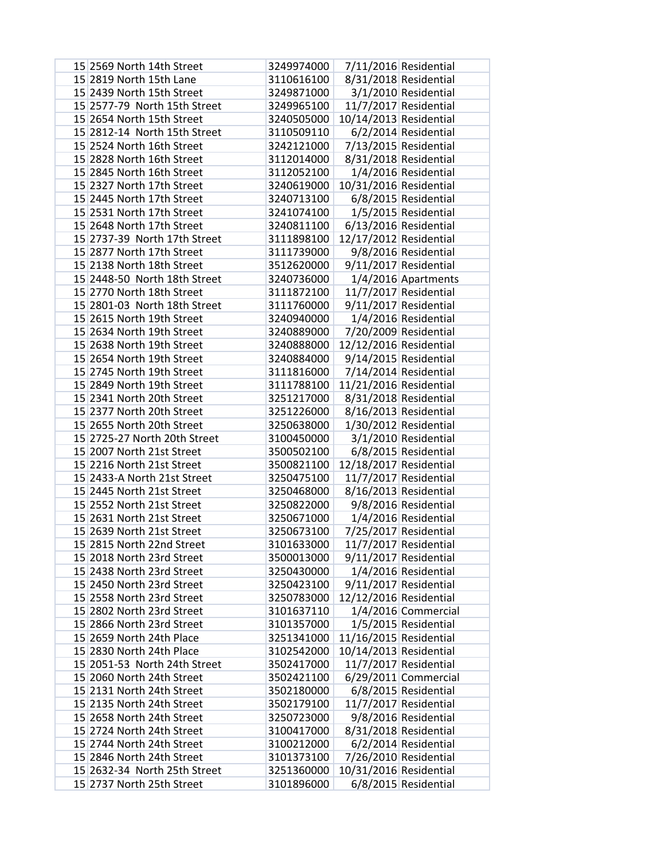| 15 2569 North 14th Street    | 3249974000 |                        | 7/11/2016 Residential  |
|------------------------------|------------|------------------------|------------------------|
| 15 2819 North 15th Lane      | 3110616100 |                        | 8/31/2018 Residential  |
| 15 2439 North 15th Street    | 3249871000 |                        | 3/1/2010 Residential   |
| 15 2577-79 North 15th Street | 3249965100 |                        | 11/7/2017 Residential  |
| 15 2654 North 15th Street    | 3240505000 | 10/14/2013 Residential |                        |
| 15 2812-14 North 15th Street | 3110509110 |                        | 6/2/2014 Residential   |
| 15 2524 North 16th Street    | 3242121000 |                        | 7/13/2015 Residential  |
| 15 2828 North 16th Street    | 3112014000 |                        | 8/31/2018 Residential  |
| 15 2845 North 16th Street    | 3112052100 |                        | 1/4/2016 Residential   |
| 15 2327 North 17th Street    | 3240619000 | 10/31/2016 Residential |                        |
| 15 2445 North 17th Street    | 3240713100 |                        | 6/8/2015 Residential   |
| 15 2531 North 17th Street    | 3241074100 |                        | 1/5/2015 Residential   |
| 15 2648 North 17th Street    | 3240811100 |                        | 6/13/2016 Residential  |
| 15 2737-39 North 17th Street | 3111898100 | 12/17/2012 Residential |                        |
| 15 2877 North 17th Street    | 3111739000 |                        | 9/8/2016 Residential   |
| 15 2138 North 18th Street    | 3512620000 |                        | 9/11/2017 Residential  |
| 15 2448-50 North 18th Street | 3240736000 |                        | 1/4/2016 Apartments    |
| 15 2770 North 18th Street    | 3111872100 |                        | 11/7/2017 Residential  |
| 15 2801-03 North 18th Street | 3111760000 |                        | 9/11/2017 Residential  |
| 15 2615 North 19th Street    | 3240940000 |                        | 1/4/2016 Residential   |
| 15 2634 North 19th Street    | 3240889000 |                        | 7/20/2009 Residential  |
| 15 2638 North 19th Street    | 3240888000 | 12/12/2016 Residential |                        |
| 15 2654 North 19th Street    | 3240884000 |                        | 9/14/2015 Residential  |
| 15 2745 North 19th Street    | 3111816000 |                        | 7/14/2014 Residential  |
| 15 2849 North 19th Street    | 3111788100 | 11/21/2016 Residential |                        |
| 15 2341 North 20th Street    | 3251217000 |                        | 8/31/2018 Residential  |
| 15 2377 North 20th Street    | 3251226000 |                        | 8/16/2013 Residential  |
| 15 2655 North 20th Street    | 3250638000 |                        | 1/30/2012 Residential  |
| 15 2725-27 North 20th Street | 3100450000 |                        | 3/1/2010 Residential   |
| 15 2007 North 21st Street    | 3500502100 |                        | 6/8/2015 Residential   |
| 15 2216 North 21st Street    | 3500821100 | 12/18/2017 Residential |                        |
| 15 2433-A North 21st Street  | 3250475100 |                        | 11/7/2017 Residential  |
| 15 2445 North 21st Street    | 3250468000 |                        | 8/16/2013 Residential  |
| 15 2552 North 21st Street    | 3250822000 |                        | 9/8/2016 Residential   |
| 15 2631 North 21st Street    | 3250671000 |                        | 1/4/2016 Residential   |
| 15 2639 North 21st Street    | 3250673100 |                        | 7/25/2017 Residential  |
| 15 2815 North 22nd Street    | 3101633000 |                        | 11/7/2017 Residential  |
| 15 2018 North 23rd Street    | 3500013000 |                        | 9/11/2017 Residential  |
| 15 2438 North 23rd Street    | 3250430000 |                        | 1/4/2016 Residential   |
| 15 2450 North 23rd Street    | 3250423100 |                        | 9/11/2017 Residential  |
| 15 2558 North 23rd Street    | 3250783000 | 12/12/2016 Residential |                        |
| 15 2802 North 23rd Street    | 3101637110 |                        | 1/4/2016 Commercial    |
| 15 2866 North 23rd Street    | 3101357000 |                        | 1/5/2015 Residential   |
| 15 2659 North 24th Place     | 3251341000 | 11/16/2015 Residential |                        |
| 15 2830 North 24th Place     | 3102542000 | 10/14/2013 Residential |                        |
| 15 2051-53 North 24th Street | 3502417000 |                        | 11/7/2017 Residential  |
| 15 2060 North 24th Street    | 3502421100 |                        | $6/29/2011$ Commercial |
| 15 2131 North 24th Street    | 3502180000 |                        | 6/8/2015 Residential   |
| 15 2135 North 24th Street    | 3502179100 |                        | 11/7/2017 Residential  |
| 15 2658 North 24th Street    | 3250723000 |                        | 9/8/2016 Residential   |
| 15 2724 North 24th Street    | 3100417000 |                        | 8/31/2018 Residential  |
| 15 2744 North 24th Street    | 3100212000 |                        | 6/2/2014 Residential   |
| 15 2846 North 24th Street    | 3101373100 |                        | 7/26/2010 Residential  |
| 15 2632-34 North 25th Street | 3251360000 | 10/31/2016 Residential |                        |
| 15 2737 North 25th Street    | 3101896000 |                        | 6/8/2015 Residential   |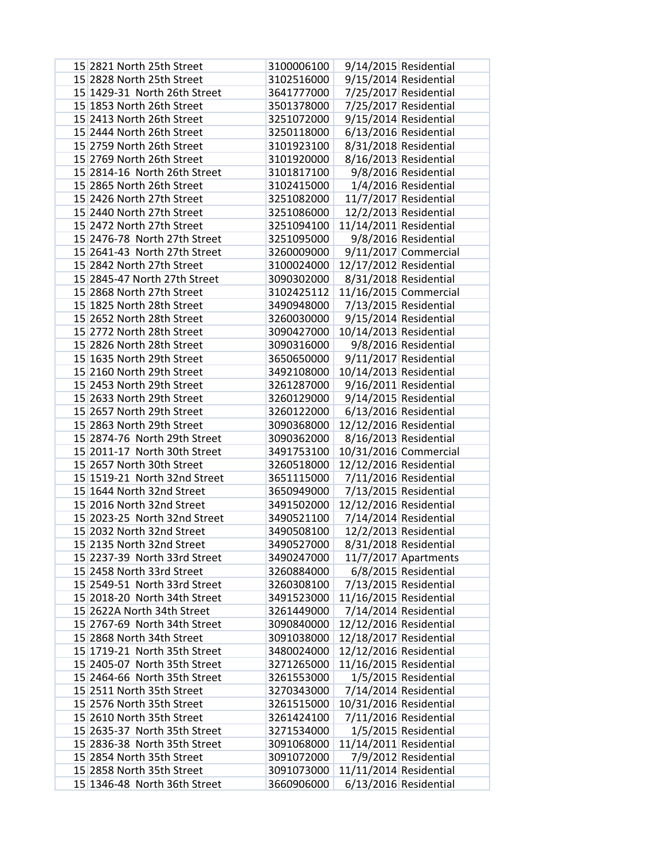| 15 2821 North 25th Street    | 3100006100 |                        | 9/14/2015 Residential  |
|------------------------------|------------|------------------------|------------------------|
| 15 2828 North 25th Street    | 3102516000 |                        | 9/15/2014 Residential  |
| 15 1429-31 North 26th Street | 3641777000 |                        | 7/25/2017 Residential  |
| 15 1853 North 26th Street    | 3501378000 |                        | 7/25/2017 Residential  |
| 15 2413 North 26th Street    | 3251072000 |                        | 9/15/2014 Residential  |
| 15 2444 North 26th Street    | 3250118000 |                        | 6/13/2016 Residential  |
| 15 2759 North 26th Street    | 3101923100 |                        | 8/31/2018 Residential  |
| 15 2769 North 26th Street    | 3101920000 |                        | 8/16/2013 Residential  |
| 15 2814-16 North 26th Street | 3101817100 |                        | 9/8/2016 Residential   |
| 15 2865 North 26th Street    | 3102415000 |                        | 1/4/2016 Residential   |
| 15 2426 North 27th Street    | 3251082000 |                        | 11/7/2017 Residential  |
| 15 2440 North 27th Street    | 3251086000 |                        | 12/2/2013 Residential  |
| 15 2472 North 27th Street    | 3251094100 | 11/14/2011 Residential |                        |
| 15 2476-78 North 27th Street | 3251095000 |                        | 9/8/2016 Residential   |
| 15 2641-43 North 27th Street | 3260009000 |                        | 9/11/2017 Commercial   |
| 15 2842 North 27th Street    | 3100024000 | 12/17/2012 Residential |                        |
| 15 2845-47 North 27th Street | 3090302000 |                        | 8/31/2018 Residential  |
| 15 2868 North 27th Street    | 3102425112 |                        | 11/16/2015 Commercial  |
| 15 1825 North 28th Street    | 3490948000 |                        | 7/13/2015 Residential  |
| 15 2652 North 28th Street    | 3260030000 |                        | 9/15/2014 Residential  |
| 15 2772 North 28th Street    | 3090427000 | 10/14/2013 Residential |                        |
| 15 2826 North 28th Street    | 3090316000 |                        | 9/8/2016 Residential   |
| 15 1635 North 29th Street    | 3650650000 |                        | 9/11/2017 Residential  |
| 15 2160 North 29th Street    | 3492108000 | 10/14/2013 Residential |                        |
| 15 2453 North 29th Street    | 3261287000 |                        | 9/16/2011 Residential  |
| 15 2633 North 29th Street    | 3260129000 |                        | 9/14/2015 Residential  |
| 15 2657 North 29th Street    | 3260122000 |                        | 6/13/2016 Residential  |
| 15 2863 North 29th Street    | 3090368000 | 12/12/2016 Residential |                        |
| 15 2874-76 North 29th Street | 3090362000 |                        | 8/16/2013 Residential  |
| 15 2011-17 North 30th Street | 3491753100 |                        | 10/31/2016 Commercial  |
| 15 2657 North 30th Street    | 3260518000 | 12/12/2016 Residential |                        |
| 15 1519-21 North 32nd Street | 3651115000 |                        | 7/11/2016 Residential  |
| 15 1644 North 32nd Street    | 3650949000 |                        | 7/13/2015 Residential  |
| 15 2016 North 32nd Street    | 3491502000 | 12/12/2016 Residential |                        |
| 15 2023-25 North 32nd Street | 3490521100 |                        | 7/14/2014 Residential  |
| 15 2032 North 32nd Street    | 3490508100 |                        | 12/2/2013 Residential  |
| 15 2135 North 32nd Street    | 3490527000 |                        | 8/31/2018 Residential  |
| 15 2237-39 North 33rd Street | 3490247000 |                        | $11/7/2017$ Apartments |
| 15 2458 North 33rd Street    | 3260884000 |                        | 6/8/2015 Residential   |
| 15 2549-51 North 33rd Street | 3260308100 |                        | 7/13/2015 Residential  |
| 15 2018-20 North 34th Street | 3491523000 | 11/16/2015 Residential |                        |
| 15 2622A North 34th Street   | 3261449000 |                        | 7/14/2014 Residential  |
| 15 2767-69 North 34th Street | 3090840000 | 12/12/2016 Residential |                        |
| 15 2868 North 34th Street    | 3091038000 | 12/18/2017 Residential |                        |
| 15 1719-21 North 35th Street | 3480024000 | 12/12/2016 Residential |                        |
| 15 2405-07 North 35th Street | 3271265000 | 11/16/2015 Residential |                        |
| 15 2464-66 North 35th Street | 3261553000 |                        | 1/5/2015 Residential   |
| 15 2511 North 35th Street    | 3270343000 |                        | 7/14/2014 Residential  |
| 15 2576 North 35th Street    | 3261515000 | 10/31/2016 Residential |                        |
| 15 2610 North 35th Street    | 3261424100 |                        | 7/11/2016 Residential  |
| 15 2635-37 North 35th Street | 3271534000 |                        | 1/5/2015 Residential   |
| 15 2836-38 North 35th Street | 3091068000 | 11/14/2011 Residential |                        |
| 15 2854 North 35th Street    | 3091072000 |                        | 7/9/2012 Residential   |
| 15 2858 North 35th Street    | 3091073000 | 11/11/2014 Residential |                        |
| 15 1346-48 North 36th Street | 3660906000 |                        | 6/13/2016 Residential  |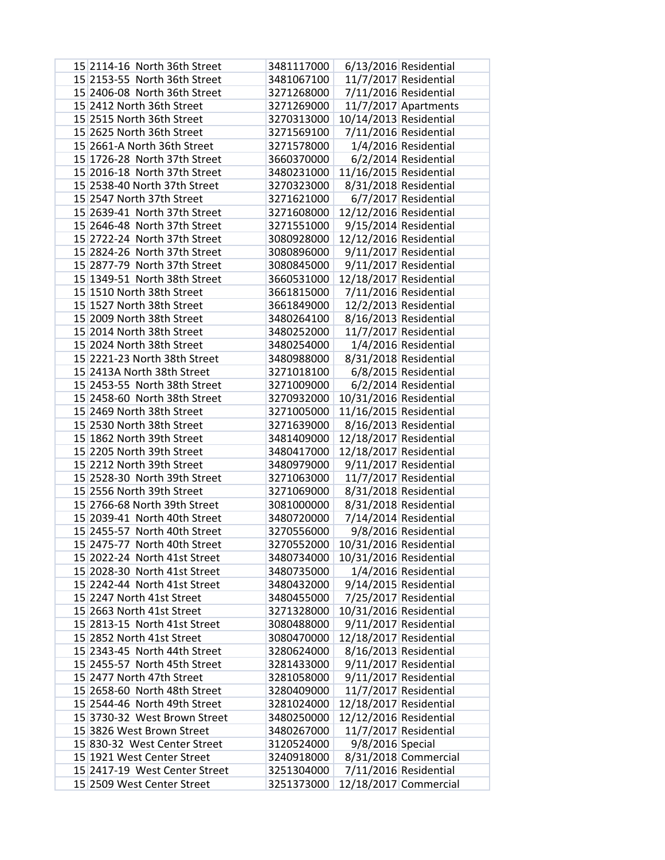|  | 15 2114-16 North 36th Street  | 3481117000 |                        | 6/13/2016 Residential  |
|--|-------------------------------|------------|------------------------|------------------------|
|  | 15 2153-55 North 36th Street  | 3481067100 |                        | 11/7/2017 Residential  |
|  | 15 2406-08 North 36th Street  | 3271268000 |                        | 7/11/2016 Residential  |
|  | 15 2412 North 36th Street     | 3271269000 |                        | $11/7/2017$ Apartments |
|  | 15 2515 North 36th Street     | 3270313000 | 10/14/2013 Residential |                        |
|  | 15 2625 North 36th Street     | 3271569100 |                        | 7/11/2016 Residential  |
|  | 15 2661-A North 36th Street   | 3271578000 |                        | 1/4/2016 Residential   |
|  | 15 1726-28 North 37th Street  | 3660370000 |                        | 6/2/2014 Residential   |
|  | 15 2016-18 North 37th Street  | 3480231000 | 11/16/2015 Residential |                        |
|  | 15 2538-40 North 37th Street  | 3270323000 |                        | 8/31/2018 Residential  |
|  | 15 2547 North 37th Street     | 3271621000 |                        | 6/7/2017 Residential   |
|  | 15 2639-41 North 37th Street  | 3271608000 | 12/12/2016 Residential |                        |
|  | 15 2646-48 North 37th Street  | 3271551000 |                        | 9/15/2014 Residential  |
|  | 15 2722-24 North 37th Street  | 3080928000 | 12/12/2016 Residential |                        |
|  | 15 2824-26 North 37th Street  | 3080896000 |                        | 9/11/2017 Residential  |
|  | 15 2877-79 North 37th Street  | 3080845000 |                        | 9/11/2017 Residential  |
|  | 15 1349-51 North 38th Street  | 3660531000 | 12/18/2017 Residential |                        |
|  | 15 1510 North 38th Street     | 3661815000 |                        | 7/11/2016 Residential  |
|  | 15 1527 North 38th Street     | 3661849000 |                        | 12/2/2013 Residential  |
|  | 15 2009 North 38th Street     | 3480264100 |                        | 8/16/2013 Residential  |
|  | 15 2014 North 38th Street     | 3480252000 |                        | 11/7/2017 Residential  |
|  | 15 2024 North 38th Street     | 3480254000 |                        | 1/4/2016 Residential   |
|  | 15 2221-23 North 38th Street  | 3480988000 |                        | 8/31/2018 Residential  |
|  | 15 2413A North 38th Street    | 3271018100 |                        | 6/8/2015 Residential   |
|  | 15 2453-55 North 38th Street  | 3271009000 |                        | 6/2/2014 Residential   |
|  | 15 2458-60 North 38th Street  | 3270932000 | 10/31/2016 Residential |                        |
|  | 15 2469 North 38th Street     | 3271005000 | 11/16/2015 Residential |                        |
|  | 15 2530 North 38th Street     | 3271639000 |                        | 8/16/2013 Residential  |
|  | 15 1862 North 39th Street     | 3481409000 | 12/18/2017 Residential |                        |
|  | 15 2205 North 39th Street     | 3480417000 | 12/18/2017 Residential |                        |
|  | 15 2212 North 39th Street     | 3480979000 |                        | 9/11/2017 Residential  |
|  | 15 2528-30 North 39th Street  | 3271063000 |                        | 11/7/2017 Residential  |
|  | 15 2556 North 39th Street     | 3271069000 |                        | 8/31/2018 Residential  |
|  | 15 2766-68 North 39th Street  | 3081000000 |                        | 8/31/2018 Residential  |
|  | 15 2039-41 North 40th Street  | 3480720000 |                        | 7/14/2014 Residential  |
|  | 15 2455-57 North 40th Street  | 3270556000 |                        | 9/8/2016 Residential   |
|  | 15 2475-77 North 40th Street  | 3270552000 | 10/31/2016 Residential |                        |
|  | 15 2022-24 North 41st Street  | 3480734000 | 10/31/2016 Residential |                        |
|  | 15 2028-30 North 41st Street  | 3480735000 |                        | 1/4/2016 Residential   |
|  | 15 2242-44 North 41st Street  | 3480432000 |                        | 9/14/2015 Residential  |
|  | 15 2247 North 41st Street     | 3480455000 |                        | 7/25/2017 Residential  |
|  | 15 2663 North 41st Street     | 3271328000 | 10/31/2016 Residential |                        |
|  | 15 2813-15 North 41st Street  | 3080488000 |                        | 9/11/2017 Residential  |
|  | 15 2852 North 41st Street     | 3080470000 | 12/18/2017 Residential |                        |
|  | 15 2343-45 North 44th Street  | 3280624000 |                        | 8/16/2013 Residential  |
|  | 15 2455-57 North 45th Street  | 3281433000 |                        | 9/11/2017 Residential  |
|  | 15 2477 North 47th Street     | 3281058000 |                        | 9/11/2017 Residential  |
|  | 15 2658-60 North 48th Street  | 3280409000 |                        | 11/7/2017 Residential  |
|  | 15 2544-46 North 49th Street  | 3281024000 | 12/18/2017 Residential |                        |
|  | 15 3730-32 West Brown Street  | 3480250000 | 12/12/2016 Residential |                        |
|  | 15 3826 West Brown Street     | 3480267000 |                        | 11/7/2017 Residential  |
|  | 15 830-32 West Center Street  | 3120524000 | 9/8/2016 Special       |                        |
|  | 15 1921 West Center Street    | 3240918000 |                        | 8/31/2018 Commercial   |
|  | 15 2417-19 West Center Street | 3251304000 |                        | 7/11/2016 Residential  |
|  | 15 2509 West Center Street    | 3251373000 |                        | 12/18/2017 Commercial  |
|  |                               |            |                        |                        |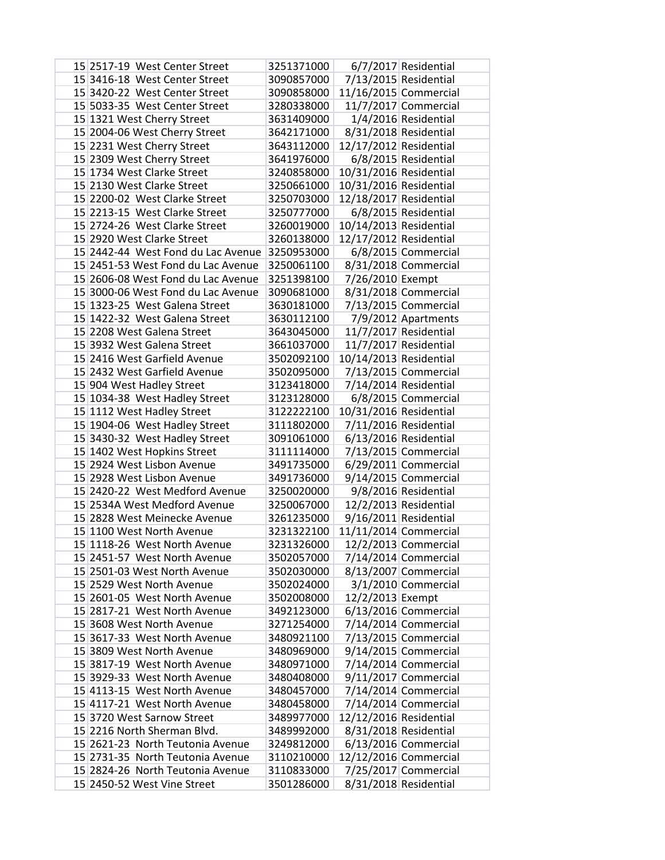| 15 2517-19 West Center Street      | 3251371000 |                        | 6/7/2017 Residential   |
|------------------------------------|------------|------------------------|------------------------|
| 15 3416-18 West Center Street      | 3090857000 |                        | 7/13/2015 Residential  |
| 15 3420-22 West Center Street      | 3090858000 |                        | 11/16/2015 Commercial  |
| 15 5033-35 West Center Street      | 3280338000 |                        | 11/7/2017 Commercial   |
| 15 1321 West Cherry Street         | 3631409000 |                        | 1/4/2016 Residential   |
| 15 2004-06 West Cherry Street      | 3642171000 |                        | 8/31/2018 Residential  |
| 15 2231 West Cherry Street         | 3643112000 | 12/17/2012 Residential |                        |
| 15 2309 West Cherry Street         | 3641976000 |                        | 6/8/2015 Residential   |
| 15 1734 West Clarke Street         | 3240858000 | 10/31/2016 Residential |                        |
| 15 2130 West Clarke Street         | 3250661000 | 10/31/2016 Residential |                        |
| 15 2200-02 West Clarke Street      | 3250703000 | 12/18/2017 Residential |                        |
| 15 2213-15 West Clarke Street      | 3250777000 |                        | 6/8/2015 Residential   |
| 15 2724-26 West Clarke Street      | 3260019000 | 10/14/2013 Residential |                        |
| 15 2920 West Clarke Street         | 3260138000 | 12/17/2012 Residential |                        |
| 15 2442-44 West Fond du Lac Avenue | 3250953000 |                        | 6/8/2015 Commercial    |
| 15 2451-53 West Fond du Lac Avenue | 3250061100 |                        | 8/31/2018 Commercial   |
| 15 2606-08 West Fond du Lac Avenue | 3251398100 | 7/26/2010 Exempt       |                        |
| 15 3000-06 West Fond du Lac Avenue | 3090681000 |                        | 8/31/2018 Commercial   |
| 15 1323-25 West Galena Street      | 3630181000 |                        | $7/13/2015$ Commercial |
| 15 1422-32 West Galena Street      | 3630112100 |                        | 7/9/2012 Apartments    |
| 15 2208 West Galena Street         | 3643045000 |                        | 11/7/2017 Residential  |
| 15 3932 West Galena Street         | 3661037000 |                        | 11/7/2017 Residential  |
| 15 2416 West Garfield Avenue       | 3502092100 | 10/14/2013 Residential |                        |
| 15 2432 West Garfield Avenue       | 3502095000 |                        | 7/13/2015 Commercial   |
| 15 904 West Hadley Street          | 3123418000 |                        | 7/14/2014 Residential  |
| 15 1034-38 West Hadley Street      | 3123128000 |                        | 6/8/2015 Commercial    |
| 15 1112 West Hadley Street         | 3122222100 | 10/31/2016 Residential |                        |
| 15 1904-06 West Hadley Street      | 3111802000 |                        | 7/11/2016 Residential  |
| 15 3430-32 West Hadley Street      | 3091061000 |                        | 6/13/2016 Residential  |
| 15 1402 West Hopkins Street        | 3111114000 |                        | 7/13/2015 Commercial   |
| 15 2924 West Lisbon Avenue         | 3491735000 |                        | $6/29/2011$ Commercial |
| 15 2928 West Lisbon Avenue         | 3491736000 |                        | $9/14/2015$ Commercial |
| 15 2420-22 West Medford Avenue     | 3250020000 |                        | 9/8/2016 Residential   |
| 15 2534A West Medford Avenue       | 3250067000 |                        | 12/2/2013 Residential  |
| 15 2828 West Meinecke Avenue       | 3261235000 |                        | 9/16/2011 Residential  |
| 15 1100 West North Avenue          | 3231322100 |                        | 11/11/2014 Commercial  |
| 15 1118-26 West North Avenue       | 3231326000 |                        | 12/2/2013 Commercial   |
| 15 2451-57 West North Avenue       | 3502057000 |                        | 7/14/2014 Commercial   |
| 15 2501-03 West North Avenue       | 3502030000 |                        | 8/13/2007 Commercial   |
| 15 2529 West North Avenue          | 3502024000 |                        | 3/1/2010 Commercial    |
| 15 2601-05 West North Avenue       | 3502008000 | 12/2/2013 Exempt       |                        |
| 15 2817-21 West North Avenue       | 3492123000 |                        | $6/13/2016$ Commercial |
| 15 3608 West North Avenue          | 3271254000 |                        | 7/14/2014 Commercial   |
| 15 3617-33 West North Avenue       | 3480921100 |                        | 7/13/2015 Commercial   |
| 15 3809 West North Avenue          | 3480969000 |                        | 9/14/2015 Commercial   |
| 15 3817-19 West North Avenue       | 3480971000 |                        | 7/14/2014 Commercial   |
| 15 3929-33 West North Avenue       | 3480408000 |                        | 9/11/2017 Commercial   |
| 15 4113-15 West North Avenue       | 3480457000 |                        | 7/14/2014 Commercial   |
| 15 4117-21 West North Avenue       | 3480458000 |                        | 7/14/2014 Commercial   |
| 15 3720 West Sarnow Street         | 3489977000 | 12/12/2016 Residential |                        |
| 15 2216 North Sherman Blvd.        | 3489992000 |                        | 8/31/2018 Residential  |
| 15 2621-23 North Teutonia Avenue   | 3249812000 |                        | 6/13/2016 Commercial   |
| 15 2731-35 North Teutonia Avenue   | 3110210000 |                        | 12/12/2016 Commercial  |
| 15 2824-26 North Teutonia Avenue   | 3110833000 |                        | 7/25/2017 Commercial   |
| 15 2450-52 West Vine Street        | 3501286000 |                        | 8/31/2018 Residential  |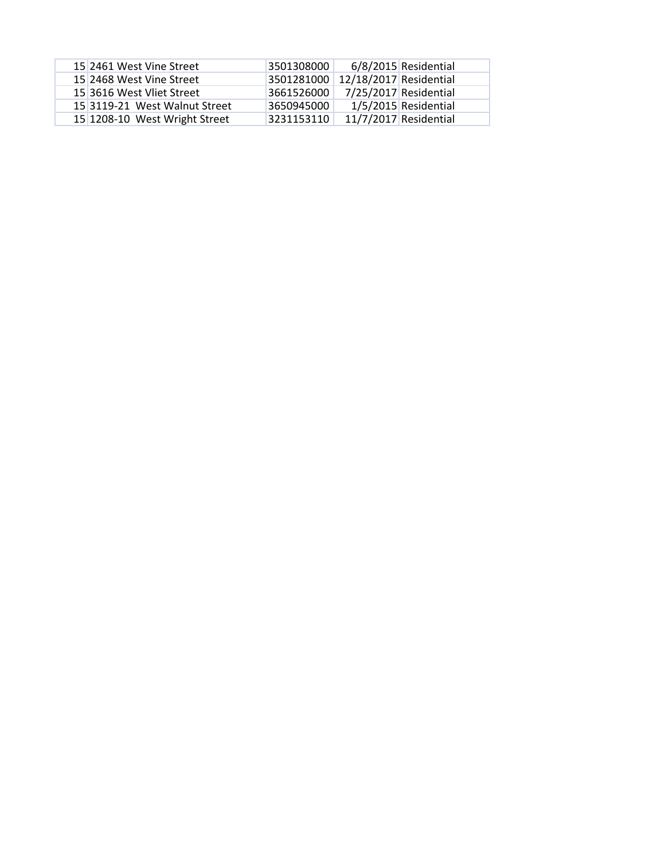| 15 2461 West Vine Street      | 3501308000 |                        | 6/8/2015 Residential  |
|-------------------------------|------------|------------------------|-----------------------|
| 15 2468 West Vine Street      | 3501281000 | 12/18/2017 Residential |                       |
| 15 3616 West Vliet Street     | 3661526000 | 7/25/2017 Residential  |                       |
| 15 3119-21 West Walnut Street | 3650945000 |                        | 1/5/2015 Residential  |
| 15 1208-10 West Wright Street | 3231153110 |                        | 11/7/2017 Residential |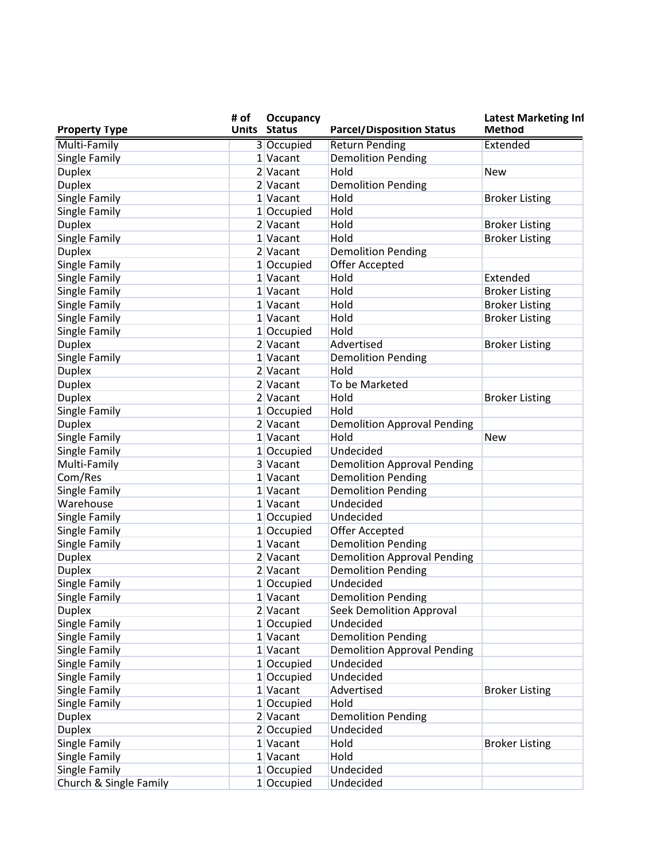| <b>Property Type</b>           | # of | <b>Occupancy</b><br><b>Units Status</b> | <b>Parcel/Disposition Status</b>             | <b>Latest Marketing Inf</b><br><b>Method</b> |
|--------------------------------|------|-----------------------------------------|----------------------------------------------|----------------------------------------------|
| Multi-Family                   |      | 3 Occupied                              | <b>Return Pending</b>                        | Extended                                     |
| Single Family                  |      | 1 Vacant                                | <b>Demolition Pending</b>                    |                                              |
| <b>Duplex</b>                  |      | 2 Vacant                                | Hold                                         | <b>New</b>                                   |
| <b>Duplex</b>                  |      | 2 Vacant                                | <b>Demolition Pending</b>                    |                                              |
| Single Family                  |      | 1 Vacant                                | Hold                                         | <b>Broker Listing</b>                        |
| Single Family                  |      | 1 Occupied                              | Hold                                         |                                              |
| <b>Duplex</b>                  |      | 2 Vacant                                | Hold                                         | <b>Broker Listing</b>                        |
| Single Family                  |      | 1 Vacant                                | Hold                                         | <b>Broker Listing</b>                        |
| <b>Duplex</b>                  |      | 2 Vacant                                | <b>Demolition Pending</b>                    |                                              |
| Single Family                  |      | 1 Occupied                              | Offer Accepted                               |                                              |
| Single Family                  |      | 1 Vacant                                | Hold                                         | Extended                                     |
| Single Family                  |      | 1 Vacant                                | Hold                                         | <b>Broker Listing</b>                        |
| Single Family                  |      | 1 Vacant                                | Hold                                         | <b>Broker Listing</b>                        |
| Single Family                  |      | 1 Vacant                                | Hold                                         | <b>Broker Listing</b>                        |
| Single Family                  |      | 1 Occupied                              | Hold                                         |                                              |
| <b>Duplex</b>                  |      | 2 Vacant                                | Advertised                                   | <b>Broker Listing</b>                        |
| Single Family                  |      | 1 Vacant                                | <b>Demolition Pending</b>                    |                                              |
| <b>Duplex</b>                  |      | 2 Vacant                                | Hold                                         |                                              |
| <b>Duplex</b>                  |      | 2 Vacant                                | To be Marketed                               |                                              |
| <b>Duplex</b>                  |      | 2 Vacant                                | Hold                                         | <b>Broker Listing</b>                        |
| Single Family                  |      | 1 Occupied                              | Hold                                         |                                              |
| <b>Duplex</b>                  |      | 2 Vacant                                | <b>Demolition Approval Pending</b>           |                                              |
| Single Family                  |      | 1 Vacant                                | Hold                                         | <b>New</b>                                   |
| Single Family                  |      | 1 Occupied                              | Undecided                                    |                                              |
| Multi-Family                   |      | 3 Vacant                                | <b>Demolition Approval Pending</b>           |                                              |
| Com/Res                        |      | 1 Vacant                                | <b>Demolition Pending</b>                    |                                              |
| Single Family                  |      | 1 Vacant                                | <b>Demolition Pending</b>                    |                                              |
| Warehouse                      |      | 1 Vacant                                | Undecided                                    |                                              |
| Single Family                  |      | 1 Occupied                              | Undecided                                    |                                              |
| Single Family                  |      | 1 Occupied                              | Offer Accepted                               |                                              |
| Single Family                  |      | 1 Vacant                                | <b>Demolition Pending</b>                    |                                              |
| <b>Duplex</b>                  |      | 2 Vacant                                | <b>Demolition Approval Pending</b>           |                                              |
| <b>Duplex</b>                  |      | 2 Vacant                                | <b>Demolition Pending</b>                    |                                              |
|                                |      | 1 Occupied                              | Undecided                                    |                                              |
| Single Family                  |      | 1 Vacant                                | <b>Demolition Pending</b>                    |                                              |
| Single Family                  |      | 2 Vacant                                |                                              |                                              |
| <b>Duplex</b><br>Single Family |      | 1 Occupied                              | <b>Seek Demolition Approval</b><br>Undecided |                                              |
|                                |      |                                         | <b>Demolition Pending</b>                    |                                              |
| Single Family                  |      | 1 Vacant<br>1 Vacant                    | <b>Demolition Approval Pending</b>           |                                              |
| Single Family                  |      |                                         | Undecided                                    |                                              |
| Single Family<br>Single Family |      | 1 Occupied                              | Undecided                                    |                                              |
|                                |      | $1$ Occupied<br>1 Vacant                | Advertised                                   |                                              |
| Single Family                  |      | $1$ Occupied                            | Hold                                         | <b>Broker Listing</b>                        |
| Single Family                  |      |                                         |                                              |                                              |
| <b>Duplex</b>                  |      | 2 Vacant                                | <b>Demolition Pending</b>                    |                                              |
| <b>Duplex</b>                  |      | 2 Occupied                              | Undecided                                    |                                              |
| Single Family                  |      | 1 Vacant                                | Hold                                         | <b>Broker Listing</b>                        |
| Single Family                  |      | 1 Vacant                                | Hold                                         |                                              |
| Single Family                  |      | 1 Occupied                              | Undecided                                    |                                              |
| Church & Single Family         |      | 1 Occupied                              | Undecided                                    |                                              |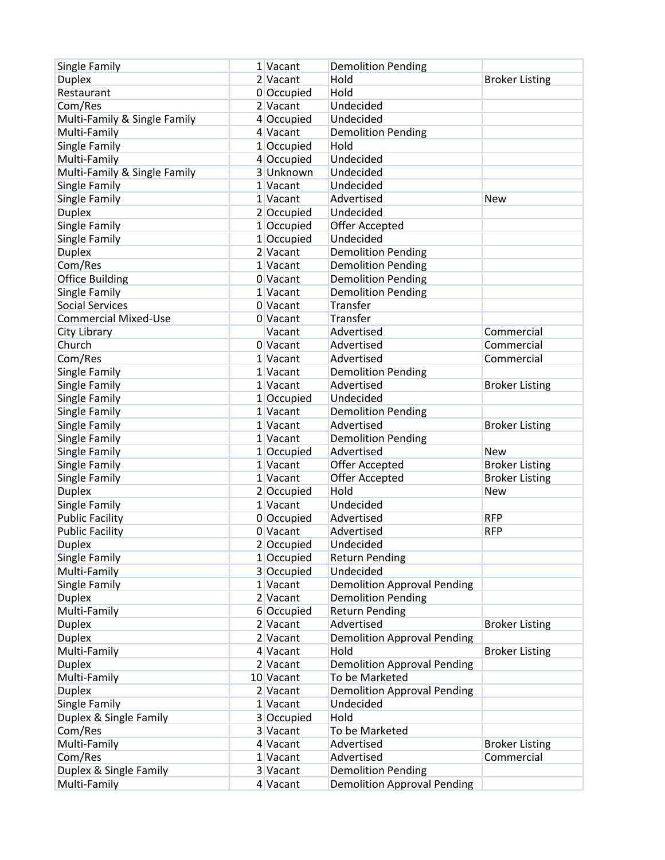| Single Family                | 1 Vacant   | <b>Demolition Pending</b>          |                       |
|------------------------------|------------|------------------------------------|-----------------------|
| <b>Duplex</b>                | 2 Vacant   | Hold                               | <b>Broker Listing</b> |
| Restaurant                   | 0 Occupied | Hold                               |                       |
| Com/Res                      | 2 Vacant   | Undecided                          |                       |
| Multi-Family & Single Family | 4 Occupied | Undecided                          |                       |
| Multi-Family                 | 4 Vacant   | <b>Demolition Pending</b>          |                       |
| Single Family                | 1 Occupied | Hold                               |                       |
| Multi-Family                 | 4 Occupied | Undecided                          |                       |
| Multi-Family & Single Family | 3 Unknown  | Undecided                          |                       |
| Single Family                | 1 Vacant   | Undecided                          |                       |
| Single Family                | 1 Vacant   | Advertised                         | <b>New</b>            |
| <b>Duplex</b>                | 2 Occupied | Undecided                          |                       |
| Single Family                | 1 Occupied | <b>Offer Accepted</b>              |                       |
| Single Family                | 1 Occupied | Undecided                          |                       |
| <b>Duplex</b>                | 2 Vacant   | <b>Demolition Pending</b>          |                       |
| Com/Res                      | 1 Vacant   | <b>Demolition Pending</b>          |                       |
| <b>Office Building</b>       | 0 Vacant   | <b>Demolition Pending</b>          |                       |
| Single Family                | 1 Vacant   | <b>Demolition Pending</b>          |                       |
| <b>Social Services</b>       | 0 Vacant   | Transfer                           |                       |
| <b>Commercial Mixed-Use</b>  | 0 Vacant   | Transfer                           |                       |
|                              |            |                                    | Commercial            |
| City Library                 | Vacant     | Advertised                         |                       |
| Church                       | 0 Vacant   | Advertised                         | Commercial            |
| Com/Res                      | 1 Vacant   | Advertised                         | Commercial            |
| Single Family                | 1 Vacant   | <b>Demolition Pending</b>          |                       |
| Single Family                | 1 Vacant   | Advertised                         | <b>Broker Listing</b> |
| Single Family                | 1 Occupied | Undecided                          |                       |
| Single Family                | 1 Vacant   | <b>Demolition Pending</b>          |                       |
| Single Family                | 1 Vacant   | Advertised                         | <b>Broker Listing</b> |
| Single Family                | 1 Vacant   | <b>Demolition Pending</b>          |                       |
| Single Family                | 1 Occupied | Advertised                         | <b>New</b>            |
| Single Family                | 1 Vacant   | Offer Accepted                     | <b>Broker Listing</b> |
| Single Family                | 1 Vacant   | <b>Offer Accepted</b>              | <b>Broker Listing</b> |
| <b>Duplex</b>                | 2 Occupied | Hold                               | <b>New</b>            |
| Single Family                | 1 Vacant   | Undecided                          |                       |
| <b>Public Facility</b>       | 0 Occupied | Advertised                         | <b>RFP</b>            |
| <b>Public Facility</b>       | 0 Vacant   | Advertised                         | <b>RFP</b>            |
| <b>Duplex</b>                | 2 Occupied | Undecided                          |                       |
| Single Family                | 1 Occupied | <b>Return Pending</b>              |                       |
| Multi-Family                 | 3 Occupied | Undecided                          |                       |
| Single Family                | 1 Vacant   | <b>Demolition Approval Pending</b> |                       |
| <b>Duplex</b>                | 2 Vacant   | <b>Demolition Pending</b>          |                       |
| Multi-Family                 | 6 Occupied | <b>Return Pending</b>              |                       |
| <b>Duplex</b>                | 2 Vacant   | Advertised                         | <b>Broker Listing</b> |
| <b>Duplex</b>                | 2 Vacant   | <b>Demolition Approval Pending</b> |                       |
| Multi-Family                 | 4 Vacant   | Hold                               | <b>Broker Listing</b> |
| <b>Duplex</b>                | 2 Vacant   | <b>Demolition Approval Pending</b> |                       |
| Multi-Family                 | 10 Vacant  | To be Marketed                     |                       |
| <b>Duplex</b>                | 2 Vacant   | <b>Demolition Approval Pending</b> |                       |
| Single Family                | 1 Vacant   | Undecided                          |                       |
| Duplex & Single Family       | 3 Occupied | Hold                               |                       |
| Com/Res                      | 3 Vacant   | To be Marketed                     |                       |
| Multi-Family                 | 4 Vacant   | Advertised                         | <b>Broker Listing</b> |
| Com/Res                      | 1 Vacant   | Advertised                         | Commercial            |
| Duplex & Single Family       | 3 Vacant   | <b>Demolition Pending</b>          |                       |
| Multi-Family                 | 4 Vacant   | <b>Demolition Approval Pending</b> |                       |
|                              |            |                                    |                       |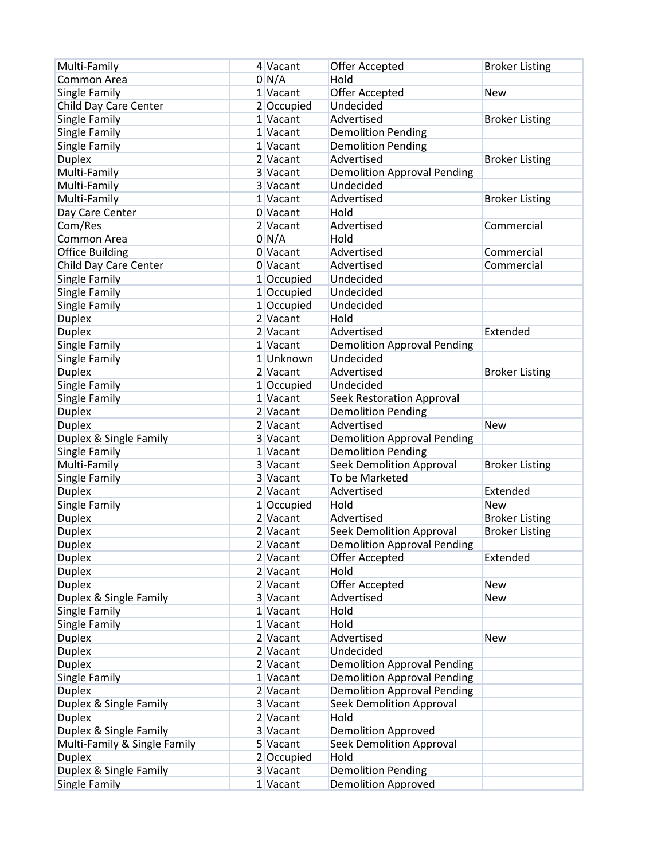| Multi-Family                 | 4 Vacant     | Offer Accepted                                  | <b>Broker Listing</b> |
|------------------------------|--------------|-------------------------------------------------|-----------------------|
| Common Area                  | 0 N/A        | Hold                                            |                       |
| Single Family                | 1 Vacant     | Offer Accepted                                  | <b>New</b>            |
| Child Day Care Center        | 2 Occupied   | Undecided                                       |                       |
| Single Family                | 1 Vacant     | Advertised                                      | <b>Broker Listing</b> |
| Single Family                | 1 Vacant     | <b>Demolition Pending</b>                       |                       |
| Single Family                | 1 Vacant     | <b>Demolition Pending</b>                       |                       |
| <b>Duplex</b>                | 2 Vacant     | Advertised                                      | <b>Broker Listing</b> |
| Multi-Family                 | 3 Vacant     | <b>Demolition Approval Pending</b>              |                       |
| Multi-Family                 | 3 Vacant     | Undecided                                       |                       |
| Multi-Family                 | 1 Vacant     | Advertised                                      | <b>Broker Listing</b> |
| Day Care Center              | 0 Vacant     | Hold                                            |                       |
| Com/Res                      | 2 Vacant     | Advertised                                      | Commercial            |
| Common Area                  | 0 N/A        | Hold                                            |                       |
| <b>Office Building</b>       | 0 Vacant     | Advertised                                      | Commercial            |
| Child Day Care Center        | 0 Vacant     | Advertised                                      | Commercial            |
| Single Family                | $1$ Occupied | Undecided                                       |                       |
| Single Family                | 1 Occupied   | Undecided                                       |                       |
| Single Family                | $1$ Occupied | Undecided                                       |                       |
| <b>Duplex</b>                | 2 Vacant     | Hold                                            |                       |
| <b>Duplex</b>                | 2 Vacant     | Advertised                                      | Extended              |
|                              | 1 Vacant     |                                                 |                       |
| Single Family                | 1 Unknown    | <b>Demolition Approval Pending</b><br>Undecided |                       |
| Single Family                |              |                                                 |                       |
| <b>Duplex</b>                | 2 Vacant     | Advertised                                      | <b>Broker Listing</b> |
| Single Family                | 1 Occupied   | Undecided                                       |                       |
| Single Family                | 1 Vacant     | Seek Restoration Approval                       |                       |
| <b>Duplex</b>                | 2 Vacant     | <b>Demolition Pending</b>                       |                       |
| <b>Duplex</b>                | 2 Vacant     | Advertised                                      | <b>New</b>            |
| Duplex & Single Family       | 3 Vacant     | <b>Demolition Approval Pending</b>              |                       |
| Single Family                | 1 Vacant     | <b>Demolition Pending</b>                       |                       |
| Multi-Family                 | 3 Vacant     | <b>Seek Demolition Approval</b>                 | <b>Broker Listing</b> |
| Single Family                | 3 Vacant     | To be Marketed                                  |                       |
| <b>Duplex</b>                | 2 Vacant     | Advertised                                      | Extended              |
| Single Family                | $1$ Occupied | Hold                                            | <b>New</b>            |
| <b>Duplex</b>                | 2 Vacant     | Advertised                                      | <b>Broker Listing</b> |
| <b>Duplex</b>                | 2 Vacant     | <b>Seek Demolition Approval</b>                 | <b>Broker Listing</b> |
| <b>Duplex</b>                | 2 Vacant     | <b>Demolition Approval Pending</b>              |                       |
| <b>Duplex</b>                | $2$ Vacant   | Offer Accepted                                  | Extended              |
| <b>Duplex</b>                | 2 Vacant     | Hold                                            |                       |
| <b>Duplex</b>                | $2$ Vacant   | Offer Accepted                                  | <b>New</b>            |
| Duplex & Single Family       | 3 Vacant     | Advertised                                      | New                   |
| Single Family                | 1 Vacant     | Hold                                            |                       |
| Single Family                | 1 Vacant     | Hold                                            |                       |
| <b>Duplex</b>                | 2 Vacant     | Advertised                                      | <b>New</b>            |
| <b>Duplex</b>                | 2 Vacant     | Undecided                                       |                       |
| <b>Duplex</b>                | $2$ Vacant   | <b>Demolition Approval Pending</b>              |                       |
| Single Family                | 1 Vacant     | <b>Demolition Approval Pending</b>              |                       |
| Duplex                       | 2 Vacant     | <b>Demolition Approval Pending</b>              |                       |
| Duplex & Single Family       | 3 Vacant     | <b>Seek Demolition Approval</b>                 |                       |
| <b>Duplex</b>                | $2$ Vacant   | Hold                                            |                       |
| Duplex & Single Family       | 3 Vacant     | <b>Demolition Approved</b>                      |                       |
| Multi-Family & Single Family | 5 Vacant     | <b>Seek Demolition Approval</b>                 |                       |
| <b>Duplex</b>                | 2 Occupied   | Hold                                            |                       |
| Duplex & Single Family       | 3 Vacant     | <b>Demolition Pending</b>                       |                       |
| Single Family                | $1$ Vacant   | <b>Demolition Approved</b>                      |                       |
|                              |              |                                                 |                       |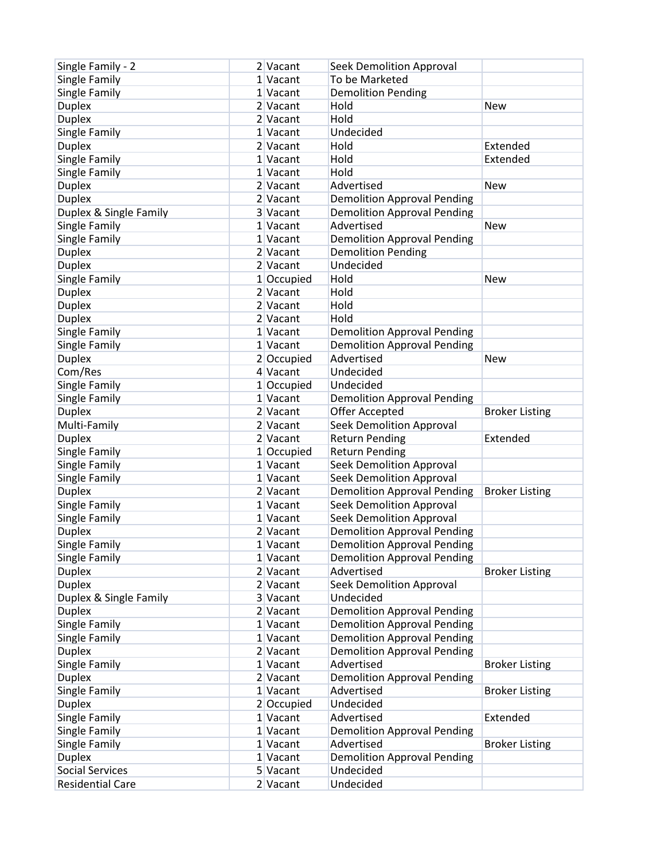| Single Family - 2       | 2 Vacant               | Seek Demolition Approval           |                       |
|-------------------------|------------------------|------------------------------------|-----------------------|
| Single Family           | 1 Vacant               | To be Marketed                     |                       |
| Single Family           | 1 Vacant               | <b>Demolition Pending</b>          |                       |
| <b>Duplex</b>           | 2 Vacant               | Hold                               | <b>New</b>            |
| <b>Duplex</b>           | 2 Vacant               | Hold                               |                       |
| Single Family           | 1 Vacant               | Undecided                          |                       |
| <b>Duplex</b>           | 2 Vacant               | Hold                               | Extended              |
| Single Family           | 1 Vacant               | Hold                               | Extended              |
| Single Family           | 1 Vacant               | Hold                               |                       |
| <b>Duplex</b>           | 2 Vacant               | Advertised                         | <b>New</b>            |
| <b>Duplex</b>           | 2 Vacant               | <b>Demolition Approval Pending</b> |                       |
| Duplex & Single Family  | 3 Vacant               | <b>Demolition Approval Pending</b> |                       |
| Single Family           | 1 Vacant               | Advertised                         | <b>New</b>            |
| Single Family           | 1 Vacant               | <b>Demolition Approval Pending</b> |                       |
| <b>Duplex</b>           | 2 Vacant               | <b>Demolition Pending</b>          |                       |
| <b>Duplex</b>           | 2 Vacant               | Undecided                          |                       |
| Single Family           | 1 Occupied             | Hold                               | <b>New</b>            |
| <b>Duplex</b>           | $2$ Vacant             | Hold                               |                       |
| <b>Duplex</b>           | 2 Vacant               | Hold                               |                       |
| <b>Duplex</b>           | 2 Vacant               | Hold                               |                       |
| Single Family           | 1 Vacant               | <b>Demolition Approval Pending</b> |                       |
|                         | 1 Vacant               | <b>Demolition Approval Pending</b> |                       |
| Single Family           |                        | Advertised                         | <b>New</b>            |
| <b>Duplex</b>           | 2 Occupied<br>4 Vacant | Undecided                          |                       |
| Com/Res                 |                        |                                    |                       |
| Single Family           | 1 Occupied             | Undecided                          |                       |
| Single Family           | 1 Vacant               | <b>Demolition Approval Pending</b> |                       |
| <b>Duplex</b>           | 2 Vacant               | Offer Accepted                     | <b>Broker Listing</b> |
| Multi-Family            | 2 Vacant               | <b>Seek Demolition Approval</b>    |                       |
| <b>Duplex</b>           | 2 Vacant               | <b>Return Pending</b>              | Extended              |
| Single Family           | 1 Occupied             | <b>Return Pending</b>              |                       |
| Single Family           | 1 Vacant               | <b>Seek Demolition Approval</b>    |                       |
| Single Family           | 1 Vacant               | <b>Seek Demolition Approval</b>    |                       |
| <b>Duplex</b>           | 2 Vacant               | <b>Demolition Approval Pending</b> | <b>Broker Listing</b> |
| Single Family           | 1 Vacant               | <b>Seek Demolition Approval</b>    |                       |
| Single Family           | 1 Vacant               | <b>Seek Demolition Approval</b>    |                       |
| <b>Duplex</b>           | 2 Vacant               | <b>Demolition Approval Pending</b> |                       |
| Single Family           | 1 Vacant               | <b>Demolition Approval Pending</b> |                       |
| Single Family           | 1 Vacant               | <b>Demolition Approval Pending</b> |                       |
| <b>Duplex</b>           | $2$ Vacant             | Advertised                         | <b>Broker Listing</b> |
| <b>Duplex</b>           | $2$ Vacant             | <b>Seek Demolition Approval</b>    |                       |
| Duplex & Single Family  | 3 Vacant               | Undecided                          |                       |
| <b>Duplex</b>           | $2$ Vacant             | <b>Demolition Approval Pending</b> |                       |
| Single Family           | 1 Vacant               | <b>Demolition Approval Pending</b> |                       |
| Single Family           | 1 Vacant               | <b>Demolition Approval Pending</b> |                       |
| <b>Duplex</b>           | $2$ Vacant             | <b>Demolition Approval Pending</b> |                       |
| Single Family           | 1 Vacant               | Advertised                         | <b>Broker Listing</b> |
| <b>Duplex</b>           | 2 Vacant               | <b>Demolition Approval Pending</b> |                       |
| Single Family           | 1 Vacant               | Advertised                         | <b>Broker Listing</b> |
| <b>Duplex</b>           | 2 Occupied             | Undecided                          |                       |
| Single Family           | $1$ Vacant             | Advertised                         | Extended              |
| Single Family           | 1 Vacant               | <b>Demolition Approval Pending</b> |                       |
| Single Family           | 1 Vacant               | Advertised                         | <b>Broker Listing</b> |
| <b>Duplex</b>           | $1$ Vacant             | <b>Demolition Approval Pending</b> |                       |
| <b>Social Services</b>  | 5 Vacant               | Undecided                          |                       |
| <b>Residential Care</b> | $2$ Vacant             | Undecided                          |                       |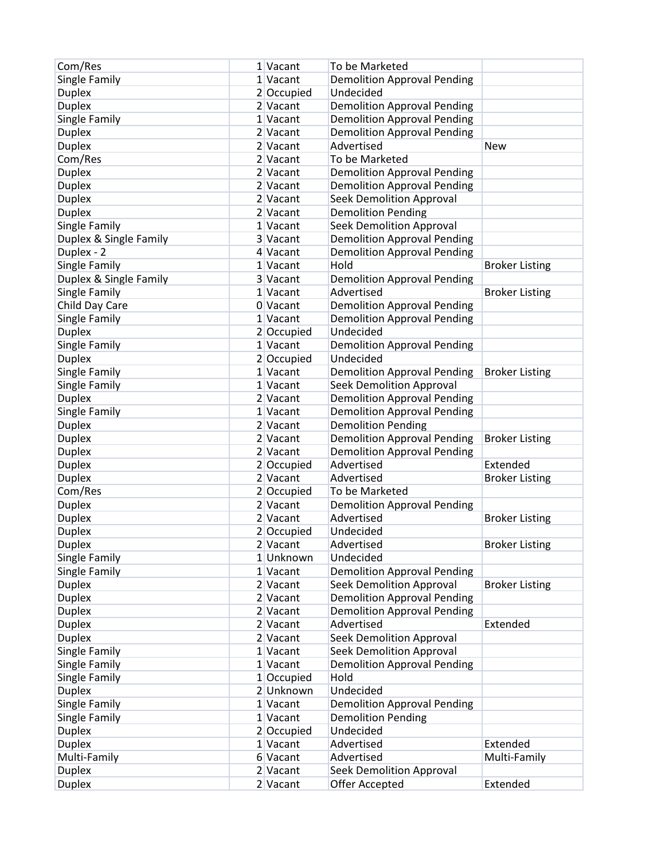| Com/Res                | 1 Vacant   | To be Marketed                     |                       |
|------------------------|------------|------------------------------------|-----------------------|
| Single Family          | 1 Vacant   | <b>Demolition Approval Pending</b> |                       |
| <b>Duplex</b>          | 2 Occupied | Undecided                          |                       |
| <b>Duplex</b>          | 2 Vacant   | <b>Demolition Approval Pending</b> |                       |
| Single Family          | 1 Vacant   | <b>Demolition Approval Pending</b> |                       |
| <b>Duplex</b>          | 2 Vacant   | <b>Demolition Approval Pending</b> |                       |
| <b>Duplex</b>          | 2 Vacant   | Advertised                         | <b>New</b>            |
| Com/Res                | 2 Vacant   | To be Marketed                     |                       |
| <b>Duplex</b>          | 2 Vacant   | <b>Demolition Approval Pending</b> |                       |
| <b>Duplex</b>          | 2 Vacant   | <b>Demolition Approval Pending</b> |                       |
| <b>Duplex</b>          | 2 Vacant   | <b>Seek Demolition Approval</b>    |                       |
| <b>Duplex</b>          | 2 Vacant   | <b>Demolition Pending</b>          |                       |
| Single Family          | 1 Vacant   | <b>Seek Demolition Approval</b>    |                       |
| Duplex & Single Family | 3 Vacant   | <b>Demolition Approval Pending</b> |                       |
| Duplex - 2             | 4 Vacant   | <b>Demolition Approval Pending</b> |                       |
| Single Family          | 1 Vacant   | Hold                               | <b>Broker Listing</b> |
| Duplex & Single Family | 3 Vacant   | <b>Demolition Approval Pending</b> |                       |
| Single Family          | 1 Vacant   | Advertised                         | <b>Broker Listing</b> |
| Child Day Care         | 0 Vacant   |                                    |                       |
| Single Family          |            | <b>Demolition Approval Pending</b> |                       |
|                        | 1 Vacant   | <b>Demolition Approval Pending</b> |                       |
| <b>Duplex</b>          | 2 Occupied | Undecided                          |                       |
| Single Family          | 1 Vacant   | <b>Demolition Approval Pending</b> |                       |
| <b>Duplex</b>          | 2 Occupied | Undecided                          |                       |
| Single Family          | 1 Vacant   | <b>Demolition Approval Pending</b> | <b>Broker Listing</b> |
| Single Family          | 1 Vacant   | <b>Seek Demolition Approval</b>    |                       |
| <b>Duplex</b>          | 2 Vacant   | <b>Demolition Approval Pending</b> |                       |
| Single Family          | 1 Vacant   | <b>Demolition Approval Pending</b> |                       |
| <b>Duplex</b>          | 2 Vacant   | <b>Demolition Pending</b>          |                       |
| <b>Duplex</b>          | 2 Vacant   | <b>Demolition Approval Pending</b> | <b>Broker Listing</b> |
| <b>Duplex</b>          | 2 Vacant   | <b>Demolition Approval Pending</b> |                       |
| <b>Duplex</b>          | 2 Occupied | Advertised                         | Extended              |
| <b>Duplex</b>          | 2 Vacant   | Advertised                         | <b>Broker Listing</b> |
| Com/Res                | 2 Occupied | To be Marketed                     |                       |
| <b>Duplex</b>          | 2 Vacant   | <b>Demolition Approval Pending</b> |                       |
| <b>Duplex</b>          | 2 Vacant   | Advertised                         | <b>Broker Listing</b> |
| <b>Duplex</b>          | 2 Occupied | Undecided                          |                       |
| <b>Duplex</b>          | 2 Vacant   | Advertised                         | <b>Broker Listing</b> |
| Single Family          | 1 Unknown  | Undecided                          |                       |
| Single Family          | 1 Vacant   | <b>Demolition Approval Pending</b> |                       |
| <b>Duplex</b>          | $2$ Vacant | <b>Seek Demolition Approval</b>    | <b>Broker Listing</b> |
| <b>Duplex</b>          | 2 Vacant   | <b>Demolition Approval Pending</b> |                       |
| <b>Duplex</b>          | 2 Vacant   | <b>Demolition Approval Pending</b> |                       |
| <b>Duplex</b>          | 2 Vacant   | Advertised                         | Extended              |
| <b>Duplex</b>          | 2 Vacant   | <b>Seek Demolition Approval</b>    |                       |
| Single Family          | 1 Vacant   | <b>Seek Demolition Approval</b>    |                       |
| Single Family          | 1 Vacant   | <b>Demolition Approval Pending</b> |                       |
| Single Family          | 1 Occupied | Hold                               |                       |
| Duplex                 | 2 Unknown  | Undecided                          |                       |
| Single Family          | 1 Vacant   | <b>Demolition Approval Pending</b> |                       |
| Single Family          | $1$ Vacant | <b>Demolition Pending</b>          |                       |
| <b>Duplex</b>          | 2 Occupied | Undecided                          |                       |
| <b>Duplex</b>          | 1 Vacant   | Advertised                         | Extended              |
| Multi-Family           | 6 Vacant   | Advertised                         | Multi-Family          |
| <b>Duplex</b>          | $2$ Vacant | <b>Seek Demolition Approval</b>    |                       |
| <b>Duplex</b>          | $2$ Vacant | Offer Accepted                     | Extended              |
|                        |            |                                    |                       |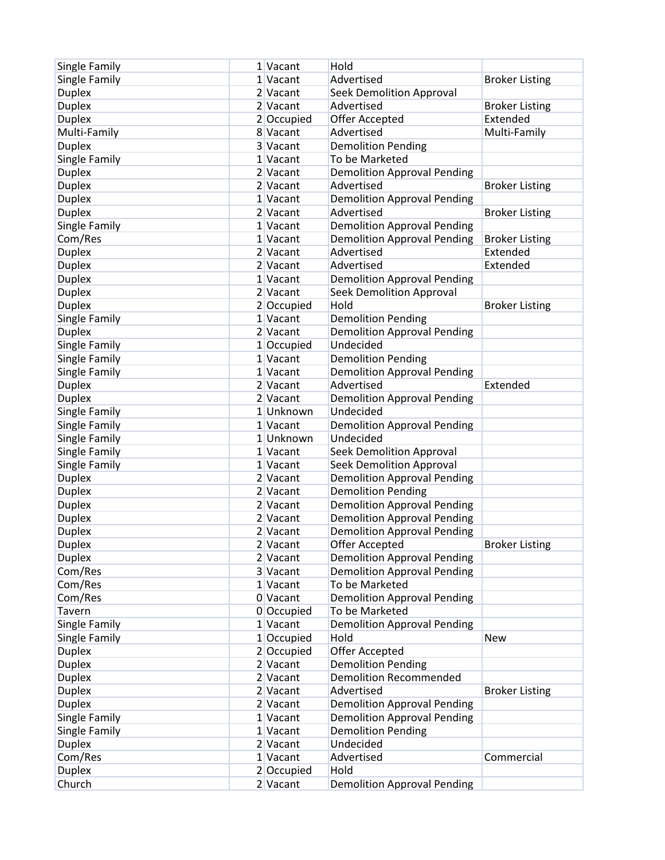| Single Family | 1 Vacant             | Hold                               |                       |
|---------------|----------------------|------------------------------------|-----------------------|
| Single Family | 1 Vacant             | Advertised                         | <b>Broker Listing</b> |
| <b>Duplex</b> | 2 Vacant             | <b>Seek Demolition Approval</b>    |                       |
| <b>Duplex</b> | 2 Vacant             | Advertised                         | <b>Broker Listing</b> |
| <b>Duplex</b> | 2 Occupied           | Offer Accepted                     | Extended              |
| Multi-Family  | 8 Vacant             | Advertised                         | Multi-Family          |
| <b>Duplex</b> | 3 Vacant             | <b>Demolition Pending</b>          |                       |
| Single Family | 1 Vacant             | To be Marketed                     |                       |
| <b>Duplex</b> | 2 Vacant             | <b>Demolition Approval Pending</b> |                       |
| <b>Duplex</b> | 2 Vacant             | Advertised                         | <b>Broker Listing</b> |
| <b>Duplex</b> | 1 Vacant             | <b>Demolition Approval Pending</b> |                       |
| <b>Duplex</b> | 2 Vacant             | Advertised                         | <b>Broker Listing</b> |
| Single Family | 1 Vacant             | <b>Demolition Approval Pending</b> |                       |
| Com/Res       | 1 Vacant             | <b>Demolition Approval Pending</b> | <b>Broker Listing</b> |
| <b>Duplex</b> | 2 Vacant             | Advertised                         | Extended              |
| <b>Duplex</b> | 2 Vacant             | Advertised                         | Extended              |
| <b>Duplex</b> | 1 Vacant             | <b>Demolition Approval Pending</b> |                       |
| <b>Duplex</b> | 2 Vacant             | <b>Seek Demolition Approval</b>    |                       |
| <b>Duplex</b> | 2 Occupied           | Hold                               | <b>Broker Listing</b> |
| Single Family | 1 Vacant             | <b>Demolition Pending</b>          |                       |
| <b>Duplex</b> | 2 Vacant             | <b>Demolition Approval Pending</b> |                       |
| Single Family | $1$ Occupied         | Undecided                          |                       |
| Single Family | 1 Vacant             | <b>Demolition Pending</b>          |                       |
| Single Family | 1 Vacant             | <b>Demolition Approval Pending</b> |                       |
| <b>Duplex</b> | 2 Vacant             | Advertised                         | Extended              |
|               | 2 Vacant             |                                    |                       |
| <b>Duplex</b> |                      | <b>Demolition Approval Pending</b> |                       |
| Single Family | 1 Unknown            | Undecided                          |                       |
| Single Family | 1 Vacant<br>1Unknown | <b>Demolition Approval Pending</b> |                       |
| Single Family |                      | Undecided                          |                       |
| Single Family | 1 Vacant             | <b>Seek Demolition Approval</b>    |                       |
| Single Family | 1 Vacant             | <b>Seek Demolition Approval</b>    |                       |
| <b>Duplex</b> | 2 Vacant             | <b>Demolition Approval Pending</b> |                       |
| <b>Duplex</b> | 2 Vacant             | <b>Demolition Pending</b>          |                       |
| <b>Duplex</b> | 2 Vacant             | <b>Demolition Approval Pending</b> |                       |
| <b>Duplex</b> | 2 Vacant             | <b>Demolition Approval Pending</b> |                       |
| <b>Duplex</b> | 2 Vacant             | <b>Demolition Approval Pending</b> |                       |
| <b>Duplex</b> | 2 Vacant             | Offer Accepted                     | <b>Broker Listing</b> |
| <b>Duplex</b> | 2 Vacant             | <b>Demolition Approval Pending</b> |                       |
| Com/Res       | 3 Vacant             | <b>Demolition Approval Pending</b> |                       |
| Com/Res       | $1$ Vacant           | To be Marketed                     |                       |
| Com/Res       | 0 Vacant             | <b>Demolition Approval Pending</b> |                       |
| Tavern        | 0 Occupied           | To be Marketed                     |                       |
| Single Family | 1 Vacant             | <b>Demolition Approval Pending</b> |                       |
| Single Family | 1 Occupied           | Hold                               | <b>New</b>            |
| <b>Duplex</b> | 2 Occupied           | Offer Accepted                     |                       |
| <b>Duplex</b> | 2 Vacant             | <b>Demolition Pending</b>          |                       |
| <b>Duplex</b> | 2 Vacant             | <b>Demolition Recommended</b>      |                       |
| <b>Duplex</b> | 2 Vacant             | Advertised                         | <b>Broker Listing</b> |
| <b>Duplex</b> | 2 Vacant             | <b>Demolition Approval Pending</b> |                       |
| Single Family | 1 Vacant             | <b>Demolition Approval Pending</b> |                       |
| Single Family | 1 Vacant             | <b>Demolition Pending</b>          |                       |
| <b>Duplex</b> | $2$ Vacant           | Undecided                          |                       |
| Com/Res       | 1 Vacant             | Advertised                         | Commercial            |
| <b>Duplex</b> | 2 Occupied           | Hold                               |                       |
| Church        | $2$ Vacant           | <b>Demolition Approval Pending</b> |                       |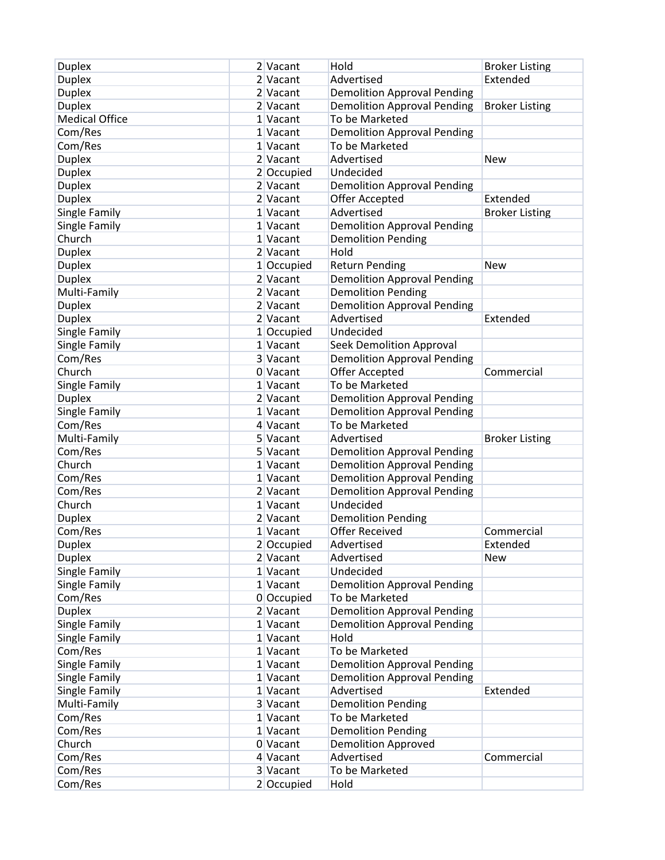| <b>Duplex</b>         | 2 Vacant   | Hold                               | <b>Broker Listing</b> |
|-----------------------|------------|------------------------------------|-----------------------|
| <b>Duplex</b>         | 2 Vacant   | Advertised                         | Extended              |
| <b>Duplex</b>         | 2 Vacant   | <b>Demolition Approval Pending</b> |                       |
| <b>Duplex</b>         | 2 Vacant   | <b>Demolition Approval Pending</b> | <b>Broker Listing</b> |
| <b>Medical Office</b> | 1 Vacant   | To be Marketed                     |                       |
| Com/Res               | 1 Vacant   | <b>Demolition Approval Pending</b> |                       |
| Com/Res               | 1 Vacant   | To be Marketed                     |                       |
| <b>Duplex</b>         | 2 Vacant   | Advertised                         | <b>New</b>            |
| <b>Duplex</b>         | 2 Occupied | Undecided                          |                       |
| <b>Duplex</b>         | 2 Vacant   | <b>Demolition Approval Pending</b> |                       |
| <b>Duplex</b>         | 2 Vacant   | Offer Accepted                     | Extended              |
| Single Family         | 1 Vacant   | Advertised                         | <b>Broker Listing</b> |
| Single Family         | 1 Vacant   | <b>Demolition Approval Pending</b> |                       |
| Church                | 1 Vacant   | <b>Demolition Pending</b>          |                       |
| <b>Duplex</b>         | 2 Vacant   | Hold                               |                       |
| <b>Duplex</b>         | 1 Occupied | <b>Return Pending</b>              | <b>New</b>            |
| <b>Duplex</b>         | 2 Vacant   | <b>Demolition Approval Pending</b> |                       |
| Multi-Family          | 2 Vacant   | <b>Demolition Pending</b>          |                       |
| <b>Duplex</b>         | 2 Vacant   | <b>Demolition Approval Pending</b> |                       |
| <b>Duplex</b>         | 2 Vacant   | Advertised                         | Extended              |
|                       |            |                                    |                       |
| Single Family         | 1 Occupied | Undecided                          |                       |
| Single Family         | 1 Vacant   | <b>Seek Demolition Approval</b>    |                       |
| Com/Res               | 3 Vacant   | <b>Demolition Approval Pending</b> |                       |
| Church                | 0 Vacant   | <b>Offer Accepted</b>              | Commercial            |
| Single Family         | 1 Vacant   | To be Marketed                     |                       |
| <b>Duplex</b>         | 2 Vacant   | <b>Demolition Approval Pending</b> |                       |
| <b>Single Family</b>  | 1 Vacant   | <b>Demolition Approval Pending</b> |                       |
| Com/Res               | 4 Vacant   | To be Marketed                     |                       |
| Multi-Family          | 5 Vacant   | Advertised                         | <b>Broker Listing</b> |
| Com/Res               | 5 Vacant   | <b>Demolition Approval Pending</b> |                       |
| Church                | 1 Vacant   | <b>Demolition Approval Pending</b> |                       |
| Com/Res               | 1 Vacant   | <b>Demolition Approval Pending</b> |                       |
| Com/Res               | 2 Vacant   | <b>Demolition Approval Pending</b> |                       |
| Church                | 1 Vacant   | Undecided                          |                       |
| <b>Duplex</b>         | 2 Vacant   | <b>Demolition Pending</b>          |                       |
| Com/Res               | 1 Vacant   | <b>Offer Received</b>              | Commercial            |
| <b>Duplex</b>         | 2 Occupied | Advertised                         | Extended              |
| <b>Duplex</b>         | $2$ Vacant | Advertised                         | <b>New</b>            |
| Single Family         | $1$ Vacant | Undecided                          |                       |
| Single Family         | $1$ Vacant | <b>Demolition Approval Pending</b> |                       |
| Com/Res               | 0 Occupied | To be Marketed                     |                       |
| <b>Duplex</b>         | 2 Vacant   | <b>Demolition Approval Pending</b> |                       |
| Single Family         | 1 Vacant   | <b>Demolition Approval Pending</b> |                       |
| Single Family         | 1 Vacant   | Hold                               |                       |
| Com/Res               | 1 Vacant   | To be Marketed                     |                       |
| Single Family         | 1 Vacant   | <b>Demolition Approval Pending</b> |                       |
| Single Family         | 1 Vacant   | <b>Demolition Approval Pending</b> |                       |
| Single Family         | 1 Vacant   | Advertised                         | Extended              |
| Multi-Family          | 3 Vacant   | <b>Demolition Pending</b>          |                       |
| Com/Res               | 1 Vacant   | To be Marketed                     |                       |
| Com/Res               | 1 Vacant   | <b>Demolition Pending</b>          |                       |
| Church                | $0$ Vacant | <b>Demolition Approved</b>         |                       |
| Com/Res               | 4 Vacant   | Advertised                         | Commercial            |
| Com/Res               | 3 Vacant   | To be Marketed                     |                       |
| Com/Res               | 2 Occupied | Hold                               |                       |
|                       |            |                                    |                       |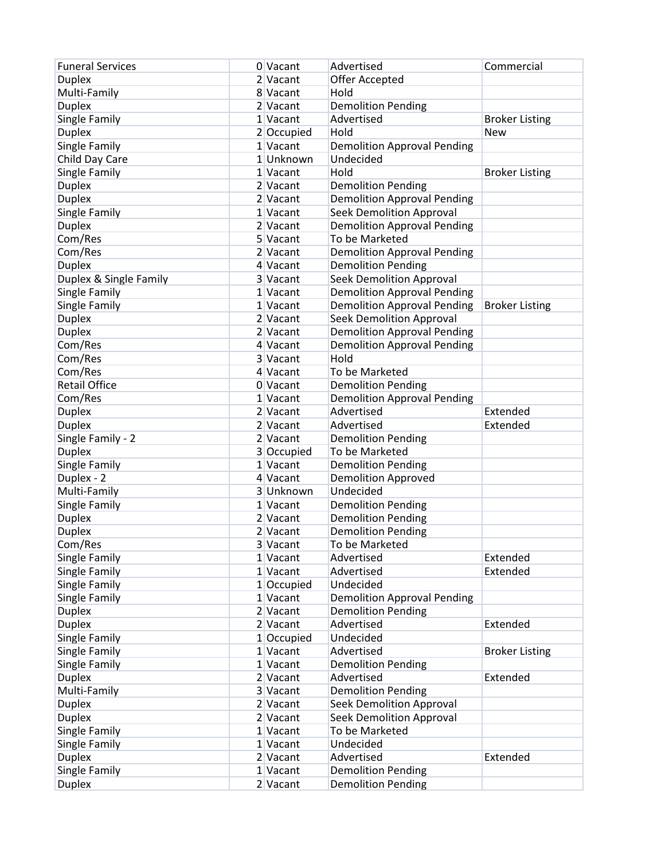| <b>Funeral Services</b> | 0 Vacant   | Advertised                         | Commercial            |
|-------------------------|------------|------------------------------------|-----------------------|
| <b>Duplex</b>           | 2 Vacant   | Offer Accepted                     |                       |
| Multi-Family            | 8 Vacant   | Hold                               |                       |
| <b>Duplex</b>           | 2 Vacant   | <b>Demolition Pending</b>          |                       |
| Single Family           | 1 Vacant   | Advertised                         | <b>Broker Listing</b> |
| <b>Duplex</b>           | 2 Occupied | Hold                               | <b>New</b>            |
| Single Family           | 1 Vacant   | <b>Demolition Approval Pending</b> |                       |
| Child Day Care          | 1 Unknown  | Undecided                          |                       |
| Single Family           | 1 Vacant   | Hold                               | <b>Broker Listing</b> |
| <b>Duplex</b>           | 2 Vacant   | <b>Demolition Pending</b>          |                       |
| <b>Duplex</b>           | 2 Vacant   | <b>Demolition Approval Pending</b> |                       |
| Single Family           | 1 Vacant   | <b>Seek Demolition Approval</b>    |                       |
| <b>Duplex</b>           | 2 Vacant   | <b>Demolition Approval Pending</b> |                       |
| Com/Res                 | 5 Vacant   | To be Marketed                     |                       |
| Com/Res                 | 2 Vacant   | <b>Demolition Approval Pending</b> |                       |
| <b>Duplex</b>           | 4 Vacant   | <b>Demolition Pending</b>          |                       |
| Duplex & Single Family  |            |                                    |                       |
|                         | 3 Vacant   | <b>Seek Demolition Approval</b>    |                       |
| Single Family           | 1 Vacant   | <b>Demolition Approval Pending</b> |                       |
| Single Family           | 1 Vacant   | <b>Demolition Approval Pending</b> | <b>Broker Listing</b> |
| <b>Duplex</b>           | 2 Vacant   | <b>Seek Demolition Approval</b>    |                       |
| <b>Duplex</b>           | 2 Vacant   | <b>Demolition Approval Pending</b> |                       |
| Com/Res                 | 4 Vacant   | <b>Demolition Approval Pending</b> |                       |
| Com/Res                 | 3 Vacant   | Hold                               |                       |
| Com/Res                 | 4 Vacant   | To be Marketed                     |                       |
| <b>Retail Office</b>    | 0 Vacant   | <b>Demolition Pending</b>          |                       |
| Com/Res                 | 1 Vacant   | <b>Demolition Approval Pending</b> |                       |
| <b>Duplex</b>           | 2 Vacant   | Advertised                         | Extended              |
| <b>Duplex</b>           | 2 Vacant   | Advertised                         | Extended              |
| Single Family - 2       | $2$ Vacant | <b>Demolition Pending</b>          |                       |
| <b>Duplex</b>           | 3 Occupied | To be Marketed                     |                       |
| Single Family           | 1 Vacant   | <b>Demolition Pending</b>          |                       |
| Duplex - 2              | 4 Vacant   | <b>Demolition Approved</b>         |                       |
| Multi-Family            | 3 Unknown  | Undecided                          |                       |
| Single Family           | 1 Vacant   | <b>Demolition Pending</b>          |                       |
| <b>Duplex</b>           | 2 Vacant   | <b>Demolition Pending</b>          |                       |
| <b>Duplex</b>           | 2 Vacant   | <b>Demolition Pending</b>          |                       |
| Com/Res                 | 3 Vacant   | To be Marketed                     |                       |
| Single Family           | 1 Vacant   | Advertised                         | Extended              |
| Single Family           | $1$ Vacant | Advertised                         | Extended              |
| Single Family           | 1 Occupied | Undecided                          |                       |
| Single Family           | 1 Vacant   | <b>Demolition Approval Pending</b> |                       |
| <b>Duplex</b>           | $2$ Vacant | <b>Demolition Pending</b>          |                       |
| <b>Duplex</b>           | 2 Vacant   | Advertised                         | Extended              |
| Single Family           | 1 Occupied | Undecided                          |                       |
| Single Family           | 1 Vacant   | Advertised                         | <b>Broker Listing</b> |
| Single Family           | 1 Vacant   | <b>Demolition Pending</b>          |                       |
| <b>Duplex</b>           | 2 Vacant   | Advertised                         | Extended              |
| Multi-Family            | 3 Vacant   | <b>Demolition Pending</b>          |                       |
| <b>Duplex</b>           | 2 Vacant   | <b>Seek Demolition Approval</b>    |                       |
| <b>Duplex</b>           | $2$ Vacant | <b>Seek Demolition Approval</b>    |                       |
| Single Family           | 1 Vacant   | To be Marketed                     |                       |
| Single Family           | 1 Vacant   | Undecided                          |                       |
| <b>Duplex</b>           | $2$ Vacant | Advertised                         | Extended              |
| Single Family           | 1 Vacant   | <b>Demolition Pending</b>          |                       |
|                         |            |                                    |                       |
| <b>Duplex</b>           | $2$ Vacant | <b>Demolition Pending</b>          |                       |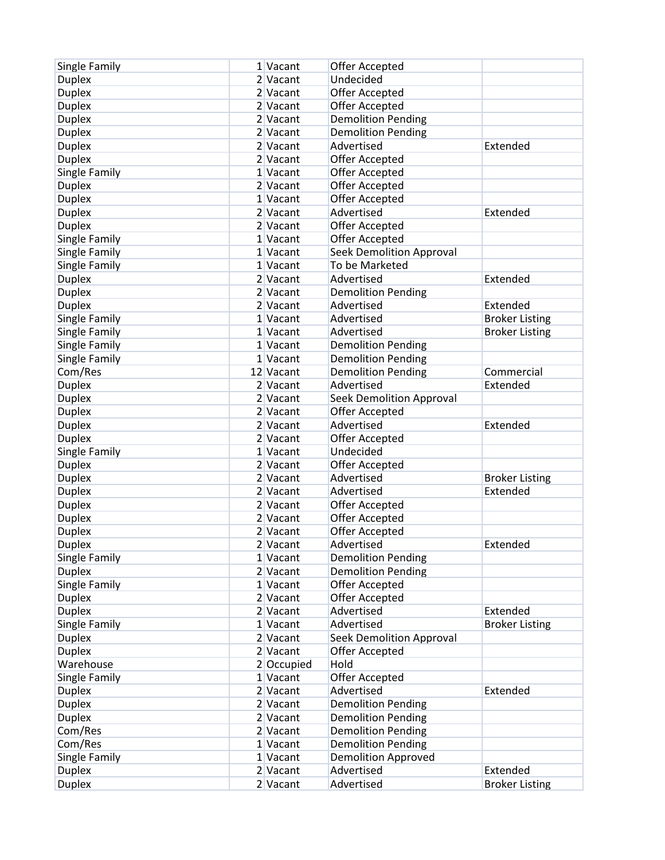| Single Family                  | 1 Vacant             | Offer Accepted                          |                       |
|--------------------------------|----------------------|-----------------------------------------|-----------------------|
| <b>Duplex</b>                  | 2 Vacant             | Undecided                               |                       |
| <b>Duplex</b>                  | 2 Vacant             | Offer Accepted                          |                       |
| <b>Duplex</b>                  | 2 Vacant             | Offer Accepted                          |                       |
| <b>Duplex</b>                  | 2 Vacant             | <b>Demolition Pending</b>               |                       |
| <b>Duplex</b>                  | 2 Vacant             | <b>Demolition Pending</b>               |                       |
| <b>Duplex</b>                  | 2 Vacant             | Advertised                              | Extended              |
| <b>Duplex</b>                  | 2 Vacant             | Offer Accepted                          |                       |
|                                | 1 Vacant             | Offer Accepted                          |                       |
| Single Family<br><b>Duplex</b> | $2$ Vacant           | Offer Accepted                          |                       |
| <b>Duplex</b>                  | 1 Vacant             | Offer Accepted                          |                       |
| <b>Duplex</b>                  | 2 Vacant             | Advertised                              | Extended              |
| <b>Duplex</b>                  | 2 Vacant             | Offer Accepted                          |                       |
| Single Family                  | 1 Vacant             | Offer Accepted                          |                       |
|                                | 1 Vacant             | <b>Seek Demolition Approval</b>         |                       |
| Single Family                  | 1 Vacant             | To be Marketed                          |                       |
| Single Family                  | 2 Vacant             | Advertised                              | Extended              |
| <b>Duplex</b>                  |                      |                                         |                       |
| <b>Duplex</b>                  | 2 Vacant<br>2 Vacant | <b>Demolition Pending</b><br>Advertised | Extended              |
| <b>Duplex</b>                  |                      |                                         |                       |
| Single Family                  | 1 Vacant             | Advertised                              | <b>Broker Listing</b> |
| Single Family                  | 1 Vacant             | Advertised                              | <b>Broker Listing</b> |
| Single Family                  | 1 Vacant             | <b>Demolition Pending</b>               |                       |
| Single Family                  | 1 Vacant             | <b>Demolition Pending</b>               |                       |
| Com/Res                        | 12 Vacant            | <b>Demolition Pending</b>               | Commercial            |
| <b>Duplex</b>                  | 2 Vacant             | Advertised                              | Extended              |
| Duplex                         | 2 Vacant             | Seek Demolition Approval                |                       |
| <b>Duplex</b>                  | 2 Vacant             | Offer Accepted                          |                       |
| Duplex                         | 2 Vacant             | Advertised                              | Extended              |
| <b>Duplex</b>                  | 2 Vacant             | Offer Accepted                          |                       |
| Single Family                  | 1 Vacant             | Undecided                               |                       |
| <b>Duplex</b>                  | 2 Vacant             | Offer Accepted                          |                       |
| <b>Duplex</b>                  | 2 Vacant             | Advertised                              | <b>Broker Listing</b> |
| <b>Duplex</b>                  | 2 Vacant             | Advertised                              | Extended              |
| <b>Duplex</b>                  | 2 Vacant             | Offer Accepted                          |                       |
| Duplex                         | 2 Vacant             | Offer Accepted                          |                       |
| <b>Duplex</b>                  | 2 Vacant             | Offer Accepted                          |                       |
| <b>Duplex</b>                  | 2 Vacant             | Advertised                              | Extended              |
| Single Family                  | 1 Vacant             | <b>Demolition Pending</b>               |                       |
| <b>Duplex</b>                  | $2$ Vacant           | <b>Demolition Pending</b>               |                       |
| Single Family                  | $1$ Vacant           | Offer Accepted                          |                       |
| <b>Duplex</b>                  | $2$ Vacant           | <b>Offer Accepted</b>                   |                       |
| <b>Duplex</b>                  | $2$ Vacant           | Advertised                              | Extended              |
| Single Family                  | 1 Vacant             | Advertised                              | <b>Broker Listing</b> |
| <b>Duplex</b>                  | 2 Vacant             | <b>Seek Demolition Approval</b>         |                       |
| <b>Duplex</b>                  | 2 Vacant             | Offer Accepted                          |                       |
| Warehouse                      | 2 Occupied           | Hold                                    |                       |
| Single Family                  | $1$ Vacant           | Offer Accepted                          |                       |
| <b>Duplex</b>                  | 2 Vacant             | Advertised                              | Extended              |
| <b>Duplex</b>                  | 2 Vacant             | <b>Demolition Pending</b>               |                       |
| <b>Duplex</b>                  | $2$ Vacant           | <b>Demolition Pending</b>               |                       |
| Com/Res                        | $2$ Vacant           | <b>Demolition Pending</b>               |                       |
| Com/Res                        | $1$ Vacant           | <b>Demolition Pending</b>               |                       |
| Single Family                  | 1 Vacant             | <b>Demolition Approved</b>              |                       |
| <b>Duplex</b>                  | $2$ Vacant           | Advertised                              | Extended              |
| <b>Duplex</b>                  | $2$ Vacant           | Advertised                              | <b>Broker Listing</b> |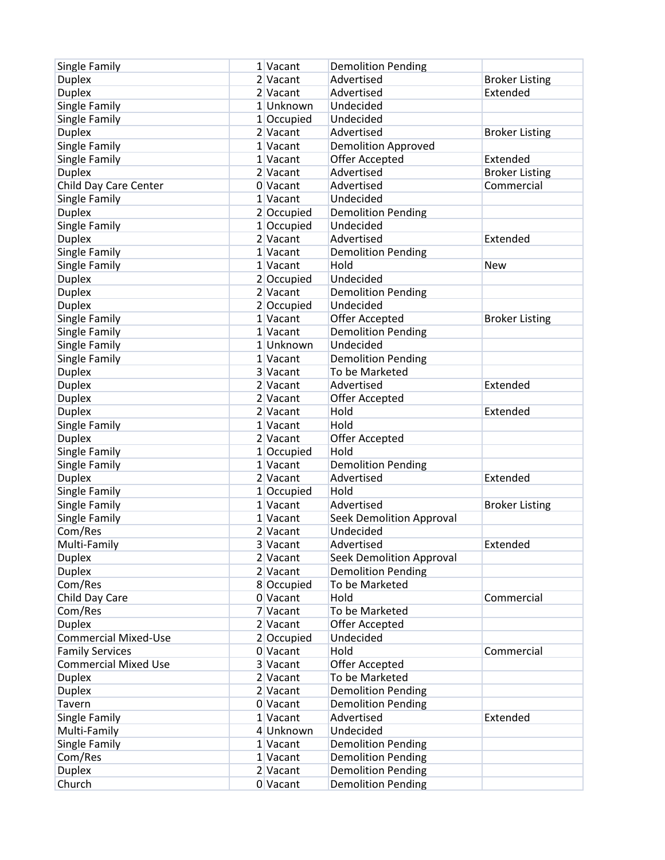| Single Family               | 1 Vacant   | <b>Demolition Pending</b>       |                       |
|-----------------------------|------------|---------------------------------|-----------------------|
| <b>Duplex</b>               | 2 Vacant   | Advertised                      | <b>Broker Listing</b> |
| <b>Duplex</b>               | 2 Vacant   | Advertised                      | Extended              |
| Single Family               | 1 Unknown  | Undecided                       |                       |
| Single Family               | 1 Occupied | Undecided                       |                       |
| <b>Duplex</b>               | 2 Vacant   | Advertised                      | <b>Broker Listing</b> |
| Single Family               | 1 Vacant   | <b>Demolition Approved</b>      |                       |
| Single Family               | 1 Vacant   | Offer Accepted                  | Extended              |
| <b>Duplex</b>               | 2 Vacant   | Advertised                      | <b>Broker Listing</b> |
| Child Day Care Center       | 0 Vacant   | Advertised                      | Commercial            |
| Single Family               | 1 Vacant   | Undecided                       |                       |
| <b>Duplex</b>               | 2 Occupied | <b>Demolition Pending</b>       |                       |
| Single Family               | 1 Occupied | Undecided                       |                       |
| <b>Duplex</b>               | 2 Vacant   | Advertised                      | Extended              |
| Single Family               | 1 Vacant   | <b>Demolition Pending</b>       |                       |
| Single Family               | 1 Vacant   | Hold                            | <b>New</b>            |
| <b>Duplex</b>               | 2 Occupied | Undecided                       |                       |
| <b>Duplex</b>               | 2 Vacant   | <b>Demolition Pending</b>       |                       |
| <b>Duplex</b>               | 2 Occupied | Undecided                       |                       |
| Single Family               | 1 Vacant   | Offer Accepted                  | <b>Broker Listing</b> |
|                             | 1 Vacant   | <b>Demolition Pending</b>       |                       |
| Single Family               | 1 Unknown  | Undecided                       |                       |
| Single Family               |            |                                 |                       |
| Single Family               | 1 Vacant   | <b>Demolition Pending</b>       |                       |
| <b>Duplex</b>               | 3 Vacant   | To be Marketed                  |                       |
| <b>Duplex</b>               | 2 Vacant   | Advertised                      | Extended              |
| <b>Duplex</b>               | 2 Vacant   | Offer Accepted                  |                       |
| <b>Duplex</b>               | 2 Vacant   | Hold                            | Extended              |
| Single Family               | 1 Vacant   | Hold                            |                       |
| <b>Duplex</b>               | 2 Vacant   | Offer Accepted                  |                       |
| Single Family               | 1 Occupied | Hold                            |                       |
| Single Family               | 1 Vacant   | <b>Demolition Pending</b>       |                       |
| <b>Duplex</b>               | 2 Vacant   | Advertised                      | Extended              |
| Single Family               | 1 Occupied | Hold                            |                       |
| Single Family               | 1 Vacant   | Advertised                      | <b>Broker Listing</b> |
| Single Family               | 1 Vacant   | <b>Seek Demolition Approval</b> |                       |
| Com/Res                     | 2 Vacant   | Undecided                       |                       |
| Multi-Family                | 3 Vacant   | Advertised                      | Extended              |
| <b>Duplex</b>               | 2 Vacant   | <b>Seek Demolition Approval</b> |                       |
| <b>Duplex</b>               | $2$ Vacant | <b>Demolition Pending</b>       |                       |
| Com/Res                     | 8 Occupied | To be Marketed                  |                       |
| Child Day Care              | 0 Vacant   | Hold                            | Commercial            |
| Com/Res                     | 7 Vacant   | To be Marketed                  |                       |
| <b>Duplex</b>               | 2 Vacant   | Offer Accepted                  |                       |
| <b>Commercial Mixed-Use</b> | 2 Occupied | Undecided                       |                       |
| <b>Family Services</b>      | 0 Vacant   | Hold                            | Commercial            |
| <b>Commercial Mixed Use</b> | 3 Vacant   | Offer Accepted                  |                       |
| <b>Duplex</b>               | 2 Vacant   | To be Marketed                  |                       |
| <b>Duplex</b>               | 2 Vacant   | <b>Demolition Pending</b>       |                       |
| Tavern                      | 0 Vacant   | <b>Demolition Pending</b>       |                       |
| Single Family               | 1 Vacant   | Advertised                      | Extended              |
| Multi-Family                | 4 Unknown  | Undecided                       |                       |
| Single Family               | 1 Vacant   | <b>Demolition Pending</b>       |                       |
| Com/Res                     | 1 Vacant   | <b>Demolition Pending</b>       |                       |
| <b>Duplex</b>               | $2$ Vacant | <b>Demolition Pending</b>       |                       |
| Church                      | 0 Vacant   | <b>Demolition Pending</b>       |                       |
|                             |            |                                 |                       |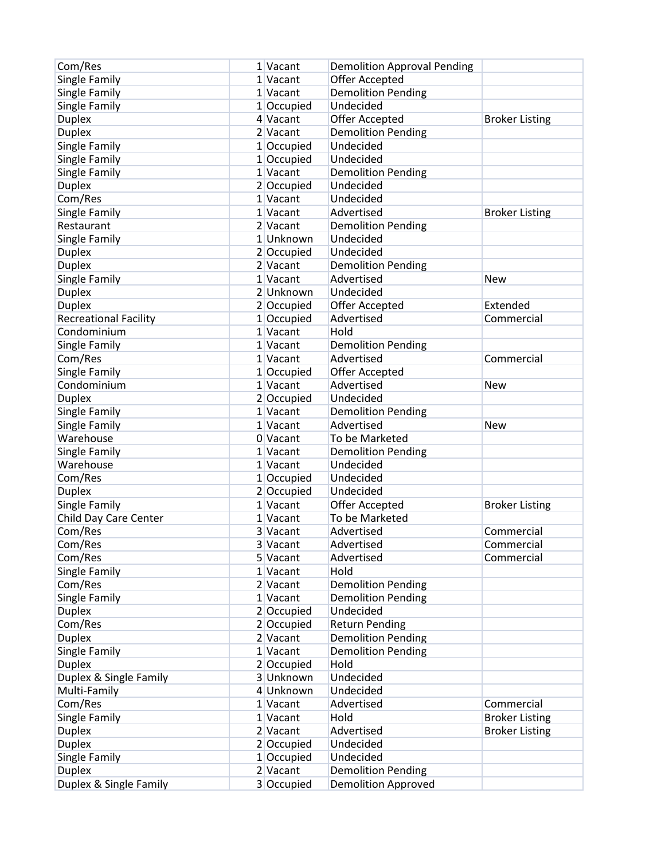| Com/Res                      | 1 Vacant     | <b>Demolition Approval Pending</b> |                       |
|------------------------------|--------------|------------------------------------|-----------------------|
| Single Family                | 1 Vacant     | Offer Accepted                     |                       |
| Single Family                | 1 Vacant     | <b>Demolition Pending</b>          |                       |
| Single Family                | 1 Occupied   | Undecided                          |                       |
| <b>Duplex</b>                | 4 Vacant     | Offer Accepted                     | <b>Broker Listing</b> |
| <b>Duplex</b>                | 2 Vacant     | <b>Demolition Pending</b>          |                       |
| Single Family                | 1 Occupied   | Undecided                          |                       |
| Single Family                | 1 Occupied   | Undecided                          |                       |
| Single Family                | 1 Vacant     | <b>Demolition Pending</b>          |                       |
| <b>Duplex</b>                | 2 Occupied   | Undecided                          |                       |
| Com/Res                      | 1 Vacant     | Undecided                          |                       |
| Single Family                | 1 Vacant     | Advertised                         | <b>Broker Listing</b> |
| Restaurant                   | 2 Vacant     | <b>Demolition Pending</b>          |                       |
| Single Family                | 1 Unknown    | Undecided                          |                       |
| <b>Duplex</b>                | 2 Occupied   | Undecided                          |                       |
| <b>Duplex</b>                | 2 Vacant     | <b>Demolition Pending</b>          |                       |
| Single Family                | 1 Vacant     | Advertised                         | <b>New</b>            |
| <b>Duplex</b>                | 2 Unknown    | Undecided                          |                       |
|                              |              | Offer Accepted                     | Extended              |
| <b>Duplex</b>                | 2 Occupied   | Advertised                         |                       |
| <b>Recreational Facility</b> | 1 Occupied   |                                    | Commercial            |
| Condominium                  | 1 Vacant     | Hold                               |                       |
| Single Family                | $1$ Vacant   | <b>Demolition Pending</b>          |                       |
| Com/Res                      | 1 Vacant     | Advertised                         | Commercial            |
| Single Family                | 1 Occupied   | Offer Accepted                     |                       |
| Condominium                  | 1 Vacant     | Advertised                         | <b>New</b>            |
| <b>Duplex</b>                | 2 Occupied   | Undecided                          |                       |
| Single Family                | $1$ Vacant   | <b>Demolition Pending</b>          |                       |
| Single Family                | 1 Vacant     | Advertised                         | New                   |
| Warehouse                    | 0 Vacant     | To be Marketed                     |                       |
| Single Family                | 1 Vacant     | <b>Demolition Pending</b>          |                       |
| Warehouse                    | 1 Vacant     | Undecided                          |                       |
| Com/Res                      | 1 Occupied   | Undecided                          |                       |
| <b>Duplex</b>                | 2 Occupied   | Undecided                          |                       |
| Single Family                | $1$ Vacant   | Offer Accepted                     | <b>Broker Listing</b> |
| Child Day Care Center        | 1 Vacant     | To be Marketed                     |                       |
| Com/Res                      | 3 Vacant     | Advertised                         | Commercial            |
| Com/Res                      | 3 Vacant     | Advertised                         | Commercial            |
| Com/Res                      | 5 Vacant     | Advertised                         | Commercial            |
| Single Family                | 1 Vacant     | Hold                               |                       |
| Com/Res                      | $2$ Vacant   | <b>Demolition Pending</b>          |                       |
| Single Family                | 1 Vacant     | <b>Demolition Pending</b>          |                       |
| <b>Duplex</b>                | 2 Occupied   | Undecided                          |                       |
| Com/Res                      | 2 Occupied   | <b>Return Pending</b>              |                       |
| <b>Duplex</b>                | $2$ Vacant   | <b>Demolition Pending</b>          |                       |
| Single Family                | 1 Vacant     | <b>Demolition Pending</b>          |                       |
| <b>Duplex</b>                | 2 Occupied   | Hold                               |                       |
| Duplex & Single Family       | 3 Unknown    | Undecided                          |                       |
| Multi-Family                 | 4 Unknown    | Undecided                          |                       |
| Com/Res                      | 1 Vacant     | Advertised                         | Commercial            |
| Single Family                | 1 Vacant     | Hold                               | <b>Broker Listing</b> |
| <b>Duplex</b>                | $2$ Vacant   | Advertised                         | <b>Broker Listing</b> |
| <b>Duplex</b>                | 2 Occupied   | Undecided                          |                       |
| Single Family                | $1$ Occupied | Undecided                          |                       |
| <b>Duplex</b>                | $2$ Vacant   | <b>Demolition Pending</b>          |                       |
| Duplex & Single Family       | 3 Occupied   | <b>Demolition Approved</b>         |                       |
|                              |              |                                    |                       |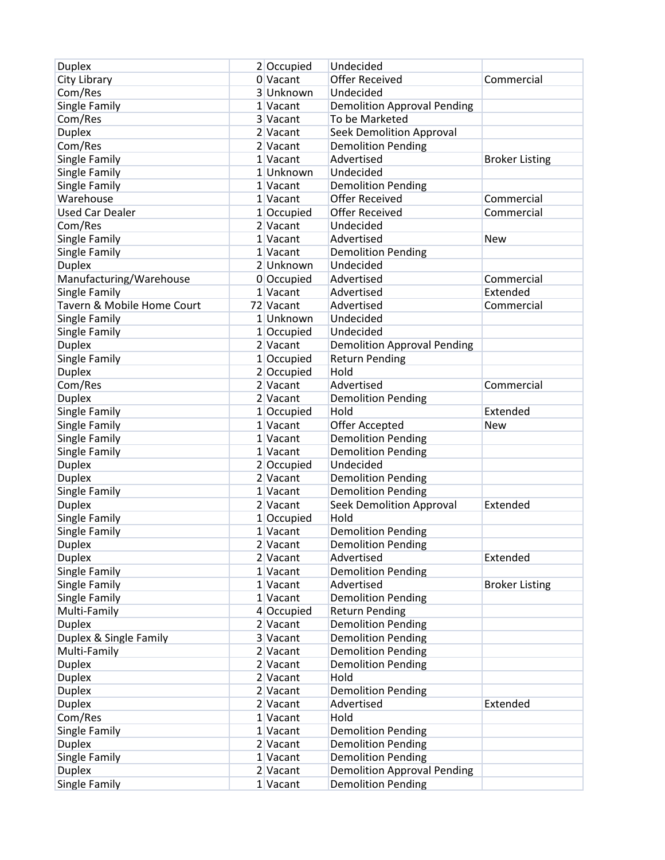| <b>Duplex</b>              | 2 Occupied             | Undecided                          |                       |
|----------------------------|------------------------|------------------------------------|-----------------------|
| City Library               | 0 Vacant               | <b>Offer Received</b>              | Commercial            |
| Com/Res                    | 3 Unknown              | Undecided                          |                       |
| Single Family              | 1 Vacant               | <b>Demolition Approval Pending</b> |                       |
| Com/Res                    | 3 Vacant               | To be Marketed                     |                       |
| <b>Duplex</b>              | 2 Vacant               | <b>Seek Demolition Approval</b>    |                       |
| Com/Res                    | 2 Vacant               | <b>Demolition Pending</b>          |                       |
| Single Family              | 1 Vacant               | Advertised                         | <b>Broker Listing</b> |
| Single Family              | 1 Unknown              | Undecided                          |                       |
| Single Family              | 1 Vacant               | <b>Demolition Pending</b>          |                       |
| Warehouse                  | 1 Vacant               | <b>Offer Received</b>              | Commercial            |
| <b>Used Car Dealer</b>     | 1 Occupied             | <b>Offer Received</b>              | Commercial            |
| Com/Res                    | $2$ Vacant             | Undecided                          |                       |
| Single Family              | 1 Vacant               | Advertised                         | <b>New</b>            |
| Single Family              | 1 Vacant               | <b>Demolition Pending</b>          |                       |
| <b>Duplex</b>              | 2 Unknown              | Undecided                          |                       |
| Manufacturing/Warehouse    | 0 Occupied             | Advertised                         | Commercial            |
| Single Family              | 1 Vacant               | Advertised                         | Extended              |
| Tavern & Mobile Home Court | 72 Vacant              | Advertised                         | Commercial            |
| Single Family              | 1 Unknown              | Undecided                          |                       |
| Single Family              | 1 Occupied             | Undecided                          |                       |
| <b>Duplex</b>              | 2 Vacant               | <b>Demolition Approval Pending</b> |                       |
| Single Family              | $1$ Occupied           | <b>Return Pending</b>              |                       |
| <b>Duplex</b>              | 2 Occupied             | Hold                               |                       |
| Com/Res                    | 2 Vacant               | Advertised                         | Commercial            |
| <b>Duplex</b>              | 2 Vacant               |                                    |                       |
|                            |                        | <b>Demolition Pending</b><br>Hold  |                       |
| Single Family              | 1 Occupied<br>1 Vacant |                                    | Extended              |
| Single Family              |                        | Offer Accepted                     | <b>New</b>            |
| Single Family              | 1 Vacant               | <b>Demolition Pending</b>          |                       |
| Single Family              | 1 Vacant               | <b>Demolition Pending</b>          |                       |
| <b>Duplex</b>              | 2 Occupied             | Undecided                          |                       |
| <b>Duplex</b>              | 2 Vacant               | <b>Demolition Pending</b>          |                       |
| Single Family              | 1 Vacant               | <b>Demolition Pending</b>          |                       |
| <b>Duplex</b>              | 2 Vacant               | <b>Seek Demolition Approval</b>    | Extended              |
| Single Family              | 1 Occupied             | Hold                               |                       |
| Single Family              | 1 Vacant               | <b>Demolition Pending</b>          |                       |
| <b>Duplex</b>              | 2 Vacant               | <b>Demolition Pending</b>          |                       |
| <b>Duplex</b>              | 2 Vacant               | Advertised                         | Extended              |
| Single Family              | $1$ Vacant             | <b>Demolition Pending</b>          |                       |
| Single Family              | 1 Vacant               | Advertised                         | <b>Broker Listing</b> |
| Single Family              | 1 Vacant               | <b>Demolition Pending</b>          |                       |
| Multi-Family               | 4 Occupied             | <b>Return Pending</b>              |                       |
| <b>Duplex</b>              | 2 Vacant               | <b>Demolition Pending</b>          |                       |
| Duplex & Single Family     | 3 Vacant               | <b>Demolition Pending</b>          |                       |
| Multi-Family               | $2$ Vacant             | <b>Demolition Pending</b>          |                       |
| <b>Duplex</b>              | 2 Vacant               | <b>Demolition Pending</b>          |                       |
| <b>Duplex</b>              | $2$ Vacant             | Hold                               |                       |
| <b>Duplex</b>              | 2 Vacant               | <b>Demolition Pending</b>          |                       |
| <b>Duplex</b>              | 2 Vacant               | Advertised                         | Extended              |
| Com/Res                    | 1 Vacant               | Hold                               |                       |
| Single Family              | $1$ Vacant             | <b>Demolition Pending</b>          |                       |
| <b>Duplex</b>              | $2$ Vacant             | <b>Demolition Pending</b>          |                       |
| Single Family              | 1 Vacant               | <b>Demolition Pending</b>          |                       |
| <b>Duplex</b>              | $2$ Vacant             | <b>Demolition Approval Pending</b> |                       |
| Single Family              | $1$ Vacant             | <b>Demolition Pending</b>          |                       |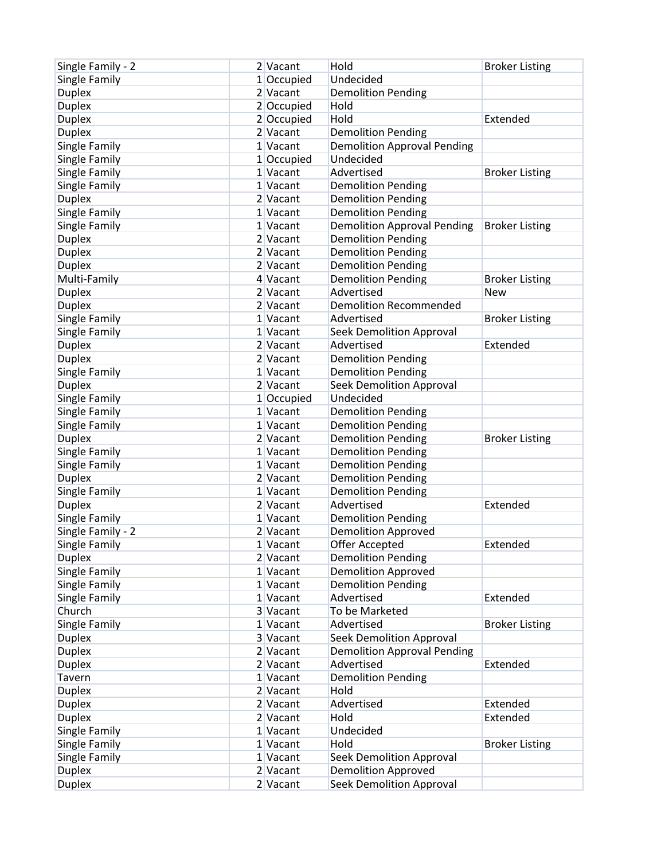| Single Family - 2 | 2 Vacant   | Hold                               | <b>Broker Listing</b> |
|-------------------|------------|------------------------------------|-----------------------|
| Single Family     | 1 Occupied | Undecided                          |                       |
| <b>Duplex</b>     | 2 Vacant   | <b>Demolition Pending</b>          |                       |
| <b>Duplex</b>     | 2 Occupied | Hold                               |                       |
| <b>Duplex</b>     | 2 Occupied | Hold                               | Extended              |
| <b>Duplex</b>     | 2 Vacant   | <b>Demolition Pending</b>          |                       |
| Single Family     | 1 Vacant   | <b>Demolition Approval Pending</b> |                       |
| Single Family     | 1 Occupied | Undecided                          |                       |
| Single Family     | 1 Vacant   | Advertised                         | <b>Broker Listing</b> |
| Single Family     | 1 Vacant   | <b>Demolition Pending</b>          |                       |
| <b>Duplex</b>     | 2 Vacant   | <b>Demolition Pending</b>          |                       |
| Single Family     | 1 Vacant   | <b>Demolition Pending</b>          |                       |
| Single Family     | 1 Vacant   | <b>Demolition Approval Pending</b> | <b>Broker Listing</b> |
| <b>Duplex</b>     | 2 Vacant   | <b>Demolition Pending</b>          |                       |
| <b>Duplex</b>     | 2 Vacant   | <b>Demolition Pending</b>          |                       |
| <b>Duplex</b>     | 2 Vacant   | <b>Demolition Pending</b>          |                       |
| Multi-Family      | 4 Vacant   | <b>Demolition Pending</b>          | <b>Broker Listing</b> |
| <b>Duplex</b>     | 2 Vacant   | Advertised                         | <b>New</b>            |
| <b>Duplex</b>     | 2 Vacant   | <b>Demolition Recommended</b>      |                       |
| Single Family     | 1 Vacant   | Advertised                         | <b>Broker Listing</b> |
| Single Family     | 1 Vacant   | <b>Seek Demolition Approval</b>    |                       |
| <b>Duplex</b>     | 2 Vacant   | Advertised                         | Extended              |
| <b>Duplex</b>     | 2 Vacant   |                                    |                       |
|                   |            | <b>Demolition Pending</b>          |                       |
| Single Family     | 1 Vacant   | <b>Demolition Pending</b>          |                       |
| <b>Duplex</b>     | 2 Vacant   | <b>Seek Demolition Approval</b>    |                       |
| Single Family     | 1 Occupied | Undecided                          |                       |
| Single Family     | 1 Vacant   | <b>Demolition Pending</b>          |                       |
| Single Family     | 1 Vacant   | <b>Demolition Pending</b>          |                       |
| <b>Duplex</b>     | 2 Vacant   | <b>Demolition Pending</b>          | <b>Broker Listing</b> |
| Single Family     | 1 Vacant   | <b>Demolition Pending</b>          |                       |
| Single Family     | 1 Vacant   | <b>Demolition Pending</b>          |                       |
| <b>Duplex</b>     | 2 Vacant   | <b>Demolition Pending</b>          |                       |
| Single Family     | 1 Vacant   | <b>Demolition Pending</b>          |                       |
| <b>Duplex</b>     | 2 Vacant   | Advertised                         | Extended              |
| Single Family     | 1 Vacant   | <b>Demolition Pending</b>          |                       |
| Single Family - 2 | 2 Vacant   | <b>Demolition Approved</b>         |                       |
| Single Family     | 1 Vacant   | Offer Accepted                     | Extended              |
| <b>Duplex</b>     | 2 Vacant   | <b>Demolition Pending</b>          |                       |
| Single Family     | $1$ Vacant | <b>Demolition Approved</b>         |                       |
| Single Family     | 1 Vacant   | <b>Demolition Pending</b>          |                       |
| Single Family     | 1 Vacant   | Advertised                         | Extended              |
| Church            | 3 Vacant   | To be Marketed                     |                       |
| Single Family     | 1 Vacant   | Advertised                         | <b>Broker Listing</b> |
| <b>Duplex</b>     | 3 Vacant   | <b>Seek Demolition Approval</b>    |                       |
| <b>Duplex</b>     | $2$ Vacant | <b>Demolition Approval Pending</b> |                       |
| <b>Duplex</b>     | 2 Vacant   | Advertised                         | Extended              |
| Tavern            | 1 Vacant   | <b>Demolition Pending</b>          |                       |
| <b>Duplex</b>     | 2 Vacant   | Hold                               |                       |
| <b>Duplex</b>     | $2$ Vacant | Advertised                         | Extended              |
| <b>Duplex</b>     | $2$ Vacant | Hold                               | Extended              |
| Single Family     | $1$ Vacant | Undecided                          |                       |
| Single Family     | $1$ Vacant | Hold                               | <b>Broker Listing</b> |
| Single Family     | $1$ Vacant | <b>Seek Demolition Approval</b>    |                       |
| <b>Duplex</b>     | $2$ Vacant | <b>Demolition Approved</b>         |                       |
| <b>Duplex</b>     | $2$ Vacant | <b>Seek Demolition Approval</b>    |                       |
|                   |            |                                    |                       |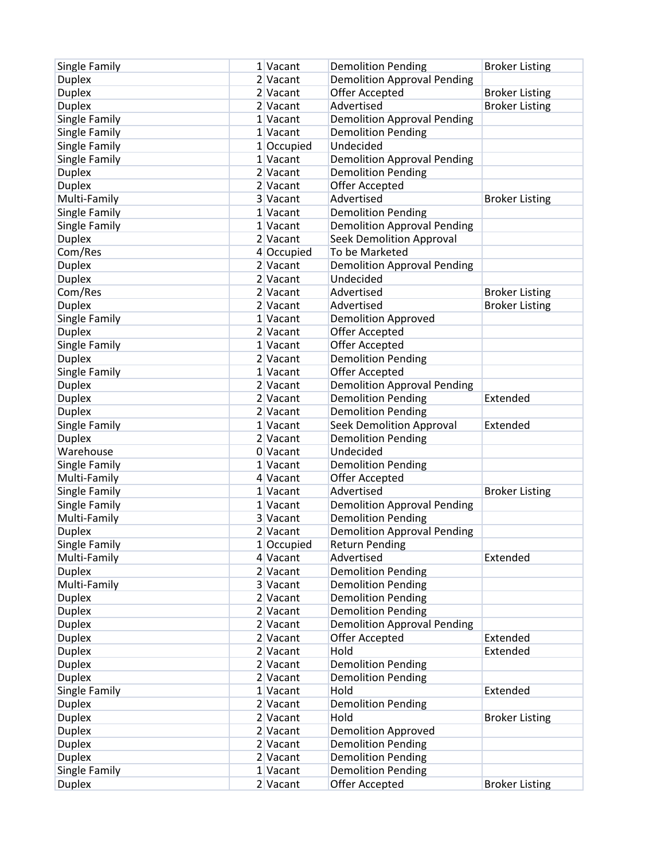| Single Family                  | 1 Vacant<br>2 Vacant | <b>Demolition Pending</b><br><b>Demolition Approval Pending</b> | <b>Broker Listing</b> |
|--------------------------------|----------------------|-----------------------------------------------------------------|-----------------------|
| <b>Duplex</b><br><b>Duplex</b> | 2 Vacant             | Offer Accepted                                                  |                       |
|                                |                      | Advertised                                                      | <b>Broker Listing</b> |
| <b>Duplex</b><br>Single Family | 2 Vacant<br>1 Vacant |                                                                 | <b>Broker Listing</b> |
|                                |                      | <b>Demolition Approval Pending</b>                              |                       |
| Single Family                  | 1 Vacant             | <b>Demolition Pending</b>                                       |                       |
| Single Family                  | 1 Occupied           | Undecided                                                       |                       |
| Single Family                  | 1 Vacant             | <b>Demolition Approval Pending</b>                              |                       |
| <b>Duplex</b>                  | 2 Vacant             | <b>Demolition Pending</b>                                       |                       |
| <b>Duplex</b>                  | 2 Vacant             | <b>Offer Accepted</b>                                           |                       |
| Multi-Family                   | 3 Vacant             | Advertised                                                      | <b>Broker Listing</b> |
| Single Family                  | 1 Vacant             | <b>Demolition Pending</b>                                       |                       |
| Single Family                  | 1 Vacant             | <b>Demolition Approval Pending</b>                              |                       |
| <b>Duplex</b>                  | 2 Vacant             | <b>Seek Demolition Approval</b>                                 |                       |
| Com/Res                        | 4 Occupied           | To be Marketed                                                  |                       |
| <b>Duplex</b>                  | 2 Vacant             | <b>Demolition Approval Pending</b>                              |                       |
| <b>Duplex</b>                  | 2 Vacant             | Undecided                                                       |                       |
| Com/Res                        | 2 Vacant             | Advertised                                                      | <b>Broker Listing</b> |
| <b>Duplex</b>                  | 2 Vacant             | Advertised                                                      | <b>Broker Listing</b> |
| Single Family                  | 1 Vacant             | <b>Demolition Approved</b>                                      |                       |
| <b>Duplex</b>                  | 2 Vacant             | Offer Accepted                                                  |                       |
| Single Family                  | 1 Vacant             | Offer Accepted                                                  |                       |
| <b>Duplex</b>                  | 2 Vacant             | <b>Demolition Pending</b>                                       |                       |
| Single Family                  | 1 Vacant             | Offer Accepted                                                  |                       |
| <b>Duplex</b>                  | 2 Vacant             | <b>Demolition Approval Pending</b>                              |                       |
| <b>Duplex</b>                  | 2 Vacant             | <b>Demolition Pending</b>                                       | Extended              |
| <b>Duplex</b>                  | 2 Vacant             | <b>Demolition Pending</b>                                       |                       |
| Single Family                  | 1 Vacant             | <b>Seek Demolition Approval</b>                                 | Extended              |
| <b>Duplex</b>                  | 2 Vacant             | <b>Demolition Pending</b>                                       |                       |
| Warehouse                      | 0 Vacant             | Undecided                                                       |                       |
| Single Family                  | 1 Vacant             | <b>Demolition Pending</b>                                       |                       |
| Multi-Family                   | 4 Vacant             | Offer Accepted                                                  |                       |
| Single Family                  | 1 Vacant             | Advertised                                                      | <b>Broker Listing</b> |
| Single Family                  | 1 Vacant             | <b>Demolition Approval Pending</b>                              |                       |
| Multi-Family                   | 3 Vacant             | <b>Demolition Pending</b>                                       |                       |
| <b>Duplex</b>                  | 2 Vacant             | <b>Demolition Approval Pending</b>                              |                       |
| Single Family                  | 1 Occupied           | <b>Return Pending</b>                                           |                       |
| Multi-Family                   | 4 Vacant             | Advertised                                                      | Extended              |
| <b>Duplex</b>                  | 2 Vacant             | <b>Demolition Pending</b>                                       |                       |
| Multi-Family                   | 3 Vacant             | <b>Demolition Pending</b>                                       |                       |
| <b>Duplex</b>                  | 2 Vacant             | <b>Demolition Pending</b>                                       |                       |
| <b>Duplex</b>                  | 2 Vacant             | <b>Demolition Pending</b>                                       |                       |
| <b>Duplex</b>                  | 2 Vacant             | <b>Demolition Approval Pending</b>                              |                       |
| <b>Duplex</b>                  | 2 Vacant             | <b>Offer Accepted</b>                                           | Extended              |
| <b>Duplex</b>                  | 2 Vacant             | Hold                                                            | Extended              |
| <b>Duplex</b>                  | 2 Vacant             | <b>Demolition Pending</b>                                       |                       |
| <b>Duplex</b>                  | 2 Vacant             | <b>Demolition Pending</b>                                       |                       |
| Single Family                  | 1 Vacant             | Hold                                                            | Extended              |
| <b>Duplex</b>                  | 2 Vacant             | <b>Demolition Pending</b>                                       |                       |
| <b>Duplex</b>                  | $2$ Vacant           | Hold                                                            | <b>Broker Listing</b> |
| <b>Duplex</b>                  | 2 Vacant             | <b>Demolition Approved</b>                                      |                       |
| <b>Duplex</b>                  | $2$ Vacant           | <b>Demolition Pending</b>                                       |                       |
| <b>Duplex</b>                  | $2$ Vacant           | <b>Demolition Pending</b>                                       |                       |
| Single Family                  | 1 Vacant             | <b>Demolition Pending</b>                                       |                       |
| <b>Duplex</b>                  | $2$ Vacant           | Offer Accepted                                                  | <b>Broker Listing</b> |
|                                |                      |                                                                 |                       |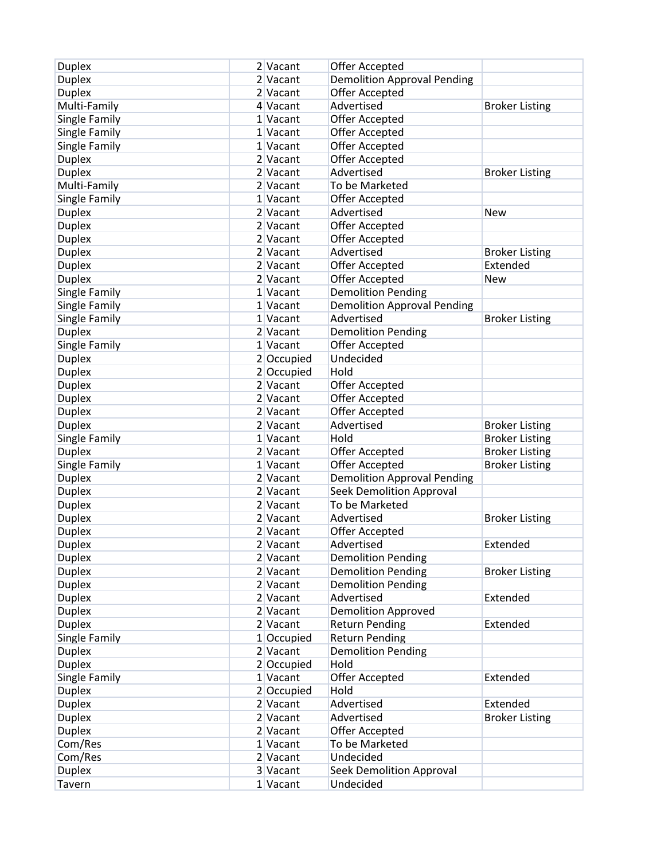| <b>Duplex</b> | 2 Vacant   | Offer Accepted                     |                       |
|---------------|------------|------------------------------------|-----------------------|
| <b>Duplex</b> | 2 Vacant   | <b>Demolition Approval Pending</b> |                       |
| <b>Duplex</b> | 2 Vacant   | Offer Accepted                     |                       |
| Multi-Family  | 4 Vacant   | Advertised                         | <b>Broker Listing</b> |
| Single Family | 1 Vacant   | Offer Accepted                     |                       |
| Single Family | 1 Vacant   | Offer Accepted                     |                       |
| Single Family | 1 Vacant   | Offer Accepted                     |                       |
| <b>Duplex</b> | 2 Vacant   | Offer Accepted                     |                       |
| <b>Duplex</b> | 2 Vacant   | Advertised                         | <b>Broker Listing</b> |
| Multi-Family  | 2 Vacant   | To be Marketed                     |                       |
| Single Family | 1 Vacant   | Offer Accepted                     |                       |
|               | 2 Vacant   | Advertised                         | <b>New</b>            |
| <b>Duplex</b> |            |                                    |                       |
| <b>Duplex</b> | 2 Vacant   | Offer Accepted                     |                       |
| <b>Duplex</b> | 2 Vacant   | Offer Accepted                     |                       |
| <b>Duplex</b> | 2 Vacant   | Advertised                         | <b>Broker Listing</b> |
| <b>Duplex</b> | 2 Vacant   | Offer Accepted                     | Extended              |
| <b>Duplex</b> | 2 Vacant   | Offer Accepted                     | New                   |
| Single Family | 1 Vacant   | <b>Demolition Pending</b>          |                       |
| Single Family | 1 Vacant   | <b>Demolition Approval Pending</b> |                       |
| Single Family | 1 Vacant   | Advertised                         | <b>Broker Listing</b> |
| <b>Duplex</b> | 2 Vacant   | <b>Demolition Pending</b>          |                       |
| Single Family | 1 Vacant   | Offer Accepted                     |                       |
| <b>Duplex</b> | 2 Occupied | Undecided                          |                       |
| <b>Duplex</b> | 2 Occupied | Hold                               |                       |
| <b>Duplex</b> | $2$ Vacant | Offer Accepted                     |                       |
| <b>Duplex</b> | 2 Vacant   | Offer Accepted                     |                       |
| <b>Duplex</b> | 2 Vacant   | Offer Accepted                     |                       |
| <b>Duplex</b> | 2 Vacant   | Advertised                         | <b>Broker Listing</b> |
| Single Family | 1 Vacant   | Hold                               | <b>Broker Listing</b> |
| <b>Duplex</b> | 2 Vacant   | Offer Accepted                     | <b>Broker Listing</b> |
| Single Family | 1 Vacant   | Offer Accepted                     | <b>Broker Listing</b> |
| <b>Duplex</b> | 2 Vacant   | <b>Demolition Approval Pending</b> |                       |
| <b>Duplex</b> | 2 Vacant   | <b>Seek Demolition Approval</b>    |                       |
| <b>Duplex</b> | 2 Vacant   | To be Marketed                     |                       |
| <b>Duplex</b> | 2 Vacant   | Advertised                         | <b>Broker Listing</b> |
| <b>Duplex</b> | 2 Vacant   | Offer Accepted                     |                       |
| <b>Duplex</b> | 2 Vacant   | Advertised                         | Extended              |
| <b>Duplex</b> | $2$ Vacant | <b>Demolition Pending</b>          |                       |
| <b>Duplex</b> | $2$ Vacant | <b>Demolition Pending</b>          | <b>Broker Listing</b> |
| <b>Duplex</b> | $2$ Vacant | <b>Demolition Pending</b>          |                       |
| <b>Duplex</b> | $2$ Vacant | Advertised                         | Extended              |
| <b>Duplex</b> | $2$ Vacant | Demolition Approved                |                       |
| <b>Duplex</b> | 2 Vacant   | <b>Return Pending</b>              | Extended              |
| Single Family | 1 Occupied | <b>Return Pending</b>              |                       |
| <b>Duplex</b> | $2$ Vacant | <b>Demolition Pending</b>          |                       |
| <b>Duplex</b> | 2 Occupied | Hold                               |                       |
| Single Family | $1$ Vacant | Offer Accepted                     | Extended              |
| <b>Duplex</b> | 2 Occupied | Hold                               |                       |
| <b>Duplex</b> | 2 Vacant   | Advertised                         | Extended              |
| <b>Duplex</b> | $2$ Vacant | Advertised                         | <b>Broker Listing</b> |
| <b>Duplex</b> | $2$ Vacant | Offer Accepted                     |                       |
|               |            |                                    |                       |
| Com/Res       | $1$ Vacant | To be Marketed                     |                       |
| Com/Res       | 2 Vacant   | Undecided                          |                       |
| <b>Duplex</b> | 3 Vacant   | <b>Seek Demolition Approval</b>    |                       |
| Tavern        | $1$ Vacant | Undecided                          |                       |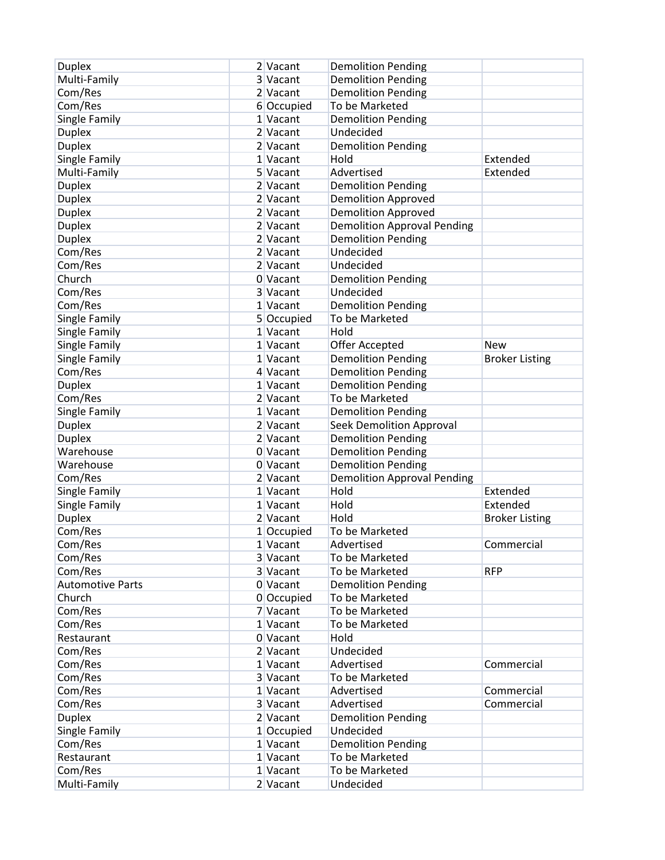| <b>Duplex</b>           | 2 Vacant   | <b>Demolition Pending</b>                   |                       |
|-------------------------|------------|---------------------------------------------|-----------------------|
| Multi-Family            | 3 Vacant   | <b>Demolition Pending</b>                   |                       |
| Com/Res                 | 2 Vacant   | <b>Demolition Pending</b>                   |                       |
| Com/Res                 | 6 Occupied | To be Marketed                              |                       |
| Single Family           | 1 Vacant   | <b>Demolition Pending</b>                   |                       |
| <b>Duplex</b>           | 2 Vacant   | Undecided                                   |                       |
| <b>Duplex</b>           | 2 Vacant   | <b>Demolition Pending</b>                   |                       |
| Single Family           | 1 Vacant   | Hold                                        | Extended              |
| Multi-Family            | 5 Vacant   | Advertised                                  | Extended              |
| <b>Duplex</b>           | 2 Vacant   | <b>Demolition Pending</b>                   |                       |
| <b>Duplex</b>           | 2 Vacant   | <b>Demolition Approved</b>                  |                       |
| <b>Duplex</b>           | 2 Vacant   | <b>Demolition Approved</b>                  |                       |
| <b>Duplex</b>           | 2 Vacant   | <b>Demolition Approval Pending</b>          |                       |
| <b>Duplex</b>           | 2 Vacant   | <b>Demolition Pending</b>                   |                       |
| Com/Res                 | 2 Vacant   | Undecided                                   |                       |
| Com/Res                 | 2 Vacant   | Undecided                                   |                       |
| Church                  | 0 Vacant   | <b>Demolition Pending</b>                   |                       |
| Com/Res                 | 3 Vacant   | Undecided                                   |                       |
| Com/Res                 | 1 Vacant   | <b>Demolition Pending</b>                   |                       |
| Single Family           | 5 Occupied | To be Marketed                              |                       |
| Single Family           | 1 Vacant   | Hold                                        |                       |
|                         | 1 Vacant   |                                             | <b>New</b>            |
| Single Family           | 1 Vacant   | Offer Accepted<br><b>Demolition Pending</b> |                       |
| Single Family           |            |                                             | <b>Broker Listing</b> |
| Com/Res                 | 4 Vacant   | <b>Demolition Pending</b>                   |                       |
| <b>Duplex</b>           | 1 Vacant   | <b>Demolition Pending</b>                   |                       |
| Com/Res                 | 2 Vacant   | To be Marketed                              |                       |
| Single Family           | 1 Vacant   | <b>Demolition Pending</b>                   |                       |
| <b>Duplex</b>           | 2 Vacant   | <b>Seek Demolition Approval</b>             |                       |
| <b>Duplex</b>           | 2 Vacant   | <b>Demolition Pending</b>                   |                       |
| Warehouse               | 0 Vacant   | <b>Demolition Pending</b>                   |                       |
| Warehouse               | 0 Vacant   | <b>Demolition Pending</b>                   |                       |
| Com/Res                 | 2 Vacant   | <b>Demolition Approval Pending</b>          |                       |
| Single Family           | 1 Vacant   | Hold                                        | Extended              |
| Single Family           | 1 Vacant   | Hold                                        | Extended              |
| <b>Duplex</b>           | 2 Vacant   | Hold                                        | <b>Broker Listing</b> |
| Com/Res                 | 1 Occupied | To be Marketed                              |                       |
| Com/Res                 | 1 Vacant   | Advertised                                  | Commercial            |
| Com/Res                 | 3 Vacant   | To be Marketed                              |                       |
| Com/Res                 | 3 Vacant   | To be Marketed                              | <b>RFP</b>            |
| <b>Automotive Parts</b> | 0 Vacant   | <b>Demolition Pending</b>                   |                       |
| Church                  | 0 Occupied | To be Marketed                              |                       |
| Com/Res                 | 7 Vacant   | To be Marketed                              |                       |
| Com/Res                 | 1 Vacant   | To be Marketed                              |                       |
| Restaurant              | 0 Vacant   | Hold                                        |                       |
| Com/Res                 | 2 Vacant   | Undecided                                   |                       |
| Com/Res                 | 1 Vacant   | Advertised                                  | Commercial            |
| Com/Res                 | 3 Vacant   | To be Marketed                              |                       |
| Com/Res                 | 1 Vacant   | Advertised                                  | Commercial            |
| Com/Res                 | 3 Vacant   | Advertised                                  | Commercial            |
| <b>Duplex</b>           | 2 Vacant   | <b>Demolition Pending</b>                   |                       |
| Single Family           | 1 Occupied | Undecided                                   |                       |
| Com/Res                 | 1 Vacant   | <b>Demolition Pending</b>                   |                       |
| Restaurant              | $1$ Vacant | To be Marketed                              |                       |
| Com/Res                 | 1 Vacant   | To be Marketed                              |                       |
| Multi-Family            | $2$ Vacant | Undecided                                   |                       |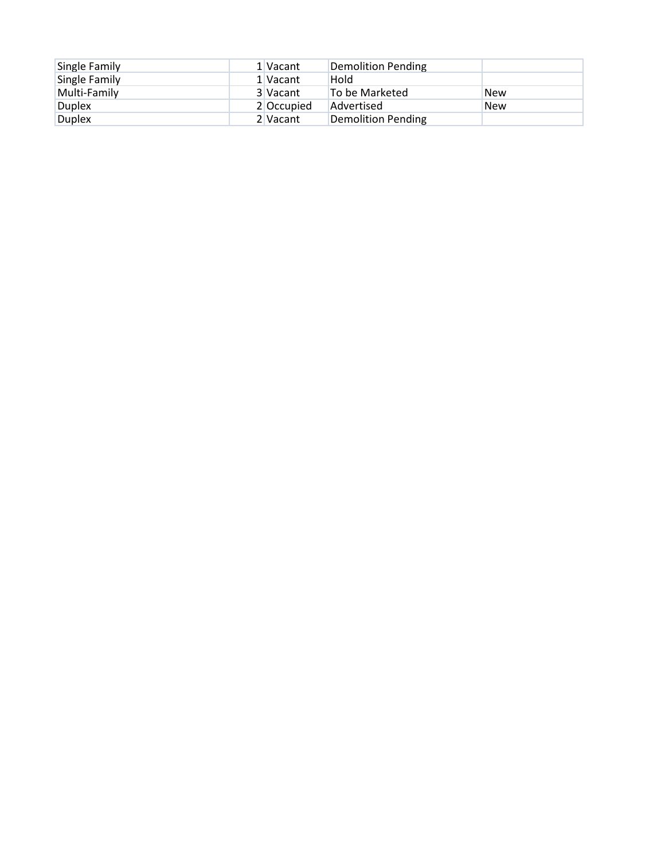| Single Family | 1 Vacant   | Demolition Pending |            |
|---------------|------------|--------------------|------------|
| Single Family | 1 Vacant   | Hold               |            |
| Multi-Family  | 3 Vacant   | To be Marketed     | <b>New</b> |
| Duplex        | 2 Occupied | Advertised         | <b>New</b> |
| <b>Duplex</b> | 2 Vacant   | Demolition Pending |            |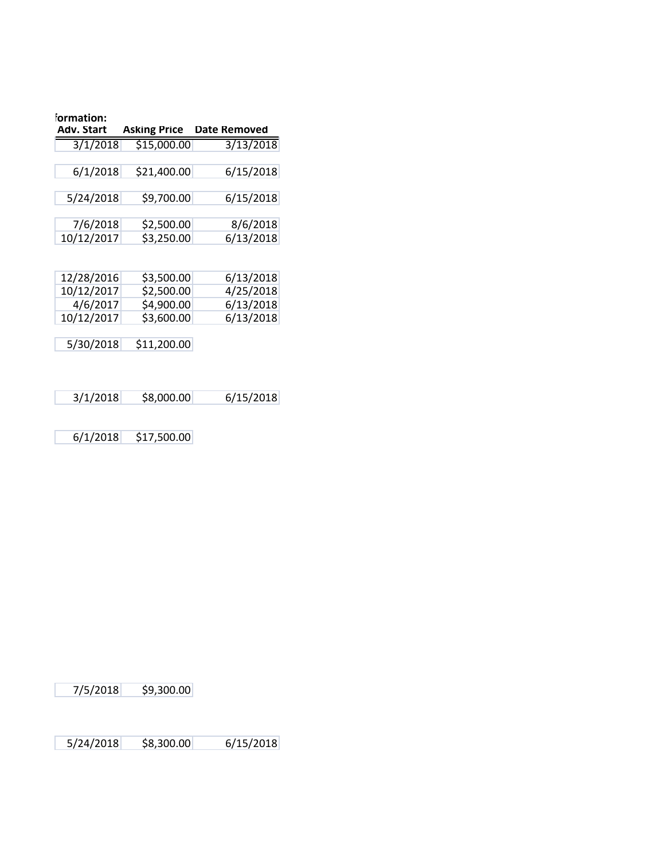| formation: |              |              |
|------------|--------------|--------------|
| Adv. Start | Asking Price | Date Removed |
| 3/1/2018   | \$15,000.00  | 3/13/2018    |
| 6/1/2018   | \$21,400.00  | 6/15/2018    |
| 5/24/2018  | \$9,700.00   | 6/15/2018    |
| 7/6/2018   | \$2,500.00   | 8/6/2018     |
| 10/12/2017 | \$3,250.00   | 6/13/2018    |
|            |              |              |
| 12/28/2016 | \$3,500.00   | 6/13/2018    |
| 10/12/2017 | \$2,500.00   | 4/25/2018    |
| 4/6/2017   | \$4,900.00   | 6/13/2018    |
| 10/12/2017 | \$3,600.00   | 6/13/2018    |
|            |              |              |
| 5/30/2018  | \$11,200.00  |              |

|  |  | 3/1/2018 | \$8,000.00 | 6/15/2018 |
|--|--|----------|------------|-----------|
|--|--|----------|------------|-----------|

6/1/2018 \$17,500.00

7/5/2018 \$9,300.00

5/24/2018 \$8,300.00 6/15/2018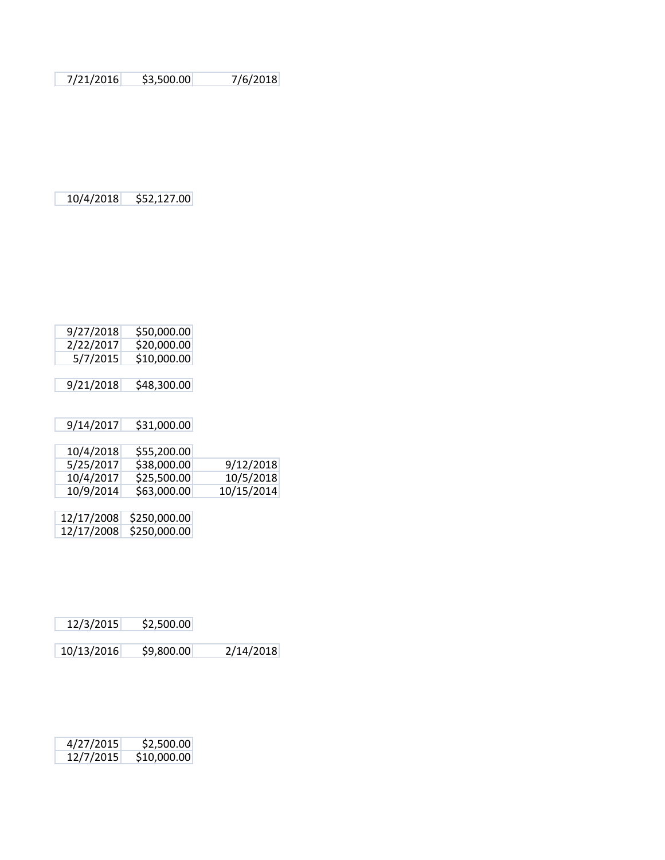7/21/2016 \$3,500.00 7/6/2018

10/4/2018 \$52,127.00

| 9/27/2018  | \$50,000.00  |            |
|------------|--------------|------------|
| 2/22/2017  | \$20,000.00  |            |
| 5/7/2015   | \$10,000.00  |            |
|            |              |            |
| 9/21/2018  | \$48,300.00  |            |
|            |              |            |
|            |              |            |
| 9/14/2017  | \$31,000.00  |            |
|            |              |            |
| 10/4/2018  | \$55,200.00  |            |
| 5/25/2017  | \$38,000.00  | 9/12/2018  |
| 10/4/2017  | \$25,500.00  | 10/5/2018  |
| 10/9/2014  | \$63,000.00  | 10/15/2014 |
|            |              |            |
| 12/17/2008 | \$250,000.00 |            |
| 12/17/2008 | \$250,000.00 |            |
|            |              |            |

| 12/3/2015 | \$2,500.00 |
|-----------|------------|
|-----------|------------|

| 10/13/2016 | \$9,800.00 | 2/14/2018 |
|------------|------------|-----------|
|------------|------------|-----------|

| 4/27/2015 | \$2,500.00  |
|-----------|-------------|
| 12/7/2015 | \$10,000.00 |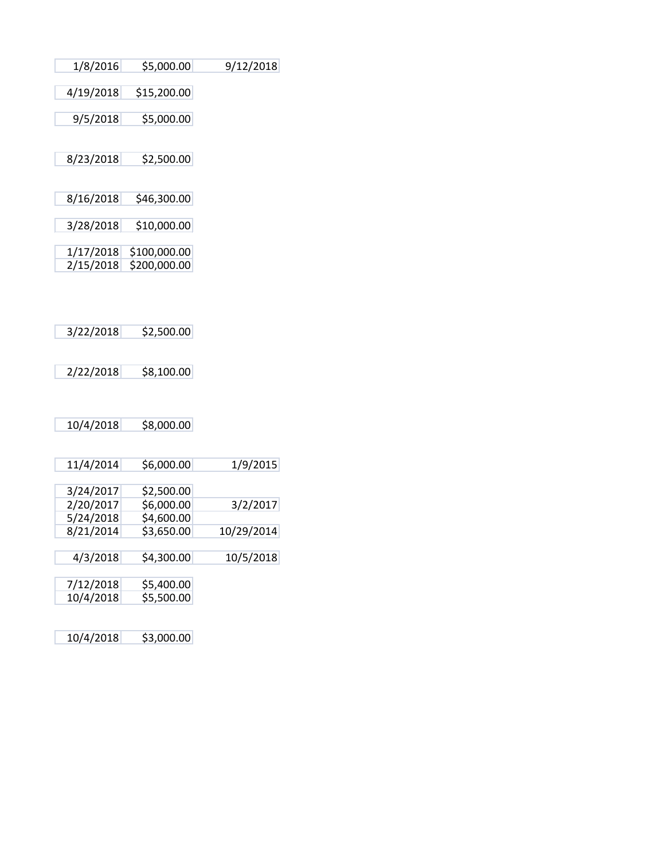| 1/8/2016  | \$5,000.00   | 9/12/2018  |
|-----------|--------------|------------|
| 4/19/2018 | \$15,200.00  |            |
| 9/5/2018  | \$5,000.00   |            |
| 8/23/2018 | \$2,500.00   |            |
|           |              |            |
| 8/16/2018 | \$46,300.00  |            |
| 3/28/2018 | \$10,000.00  |            |
| 1/17/2018 | \$100,000.00 |            |
| 2/15/2018 | \$200,000.00 |            |
|           |              |            |
| 3/22/2018 | \$2,500.00   |            |
|           |              |            |
| 2/22/2018 | \$8,100.00   |            |
|           |              |            |
| 10/4/2018 | \$8,000.00   |            |
|           |              |            |
| 11/4/2014 | \$6,000.00   | 1/9/2015   |
| 3/24/2017 | \$2,500.00   |            |
| 2/20/2017 | \$6,000.00   | 3/2/2017   |
| 5/24/2018 | \$4,600.00   |            |
| 8/21/2014 | \$3,650.00   | 10/29/2014 |
| 4/3/2018  | \$4,300.00   | 10/5/2018  |

| 7/12/2018 | \$5,400.00 |
|-----------|------------|
| 10/4/2018 | \$5,500.00 |

10/4/2018 \$3,000.00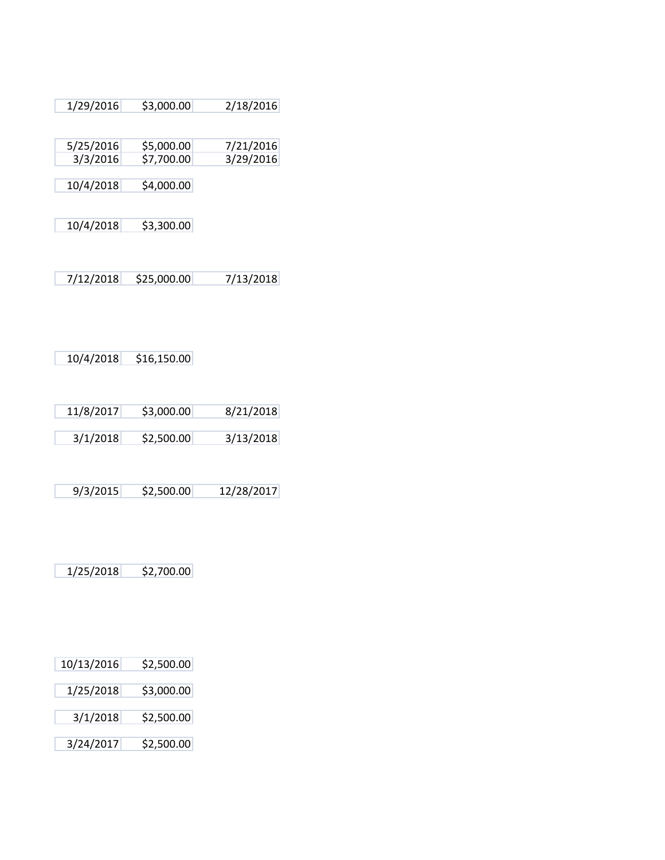| 1/29/2016             | \$3,000.00               | 2/18/2016              |
|-----------------------|--------------------------|------------------------|
| 5/25/2016<br>3/3/2016 | \$5,000.00<br>\$7,700.00 | 7/21/2016<br>3/29/2016 |
| 10/4/2018             | \$4,000.00               |                        |
| 10/4/2018             | \$3,300.00               |                        |
| 7/12/2018             | \$25,000.00              | 7/13/2018              |

10/4/2018 \$16,150.00

| 11/8/2017 | \$3,000.00 | 8/21/2018 |
|-----------|------------|-----------|
|           |            |           |
| 3/1/2018  | \$2,500.00 | 3/13/2018 |

9/3/2015 \$2,500.00 12/28/2017

1/25/2018 \$2,700.00

| \$2,500.00 |
|------------|
|            |
| \$3,000.00 |
|            |
| \$2,500.00 |
|            |
| \$2,500.00 |
|            |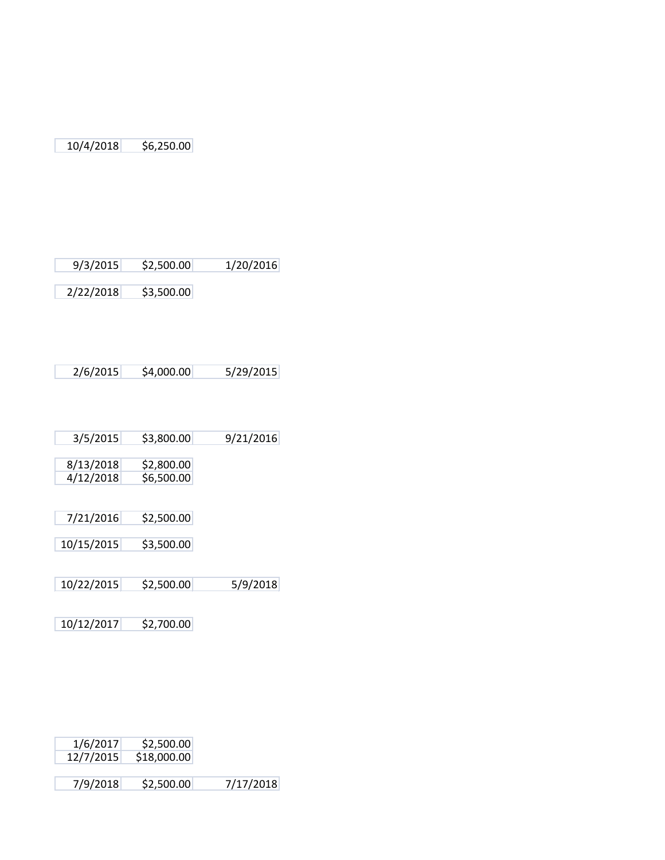10/4/2018 \$6,250.00

9/3/2015 \$2,500.00 1/20/2016

2/22/2018 \$3,500.00

| 3/5/2015 | \$3,800.00 | 9/21/2016 |
|----------|------------|-----------|
|          |            |           |

- 8/13/2018 \$2,800.00 4/12/2018 \$6,500.00
- 7/21/2016 \$2,500.00
- 10/15/2015 \$3,500.00
- 10/22/2015 \$2,500.00 5/9/2018
- 10/12/2017 \$2,700.00

| 1/6/2017<br>\$2,500.00<br>12/7/2015<br>\$18,000.00 |          |            |
|----------------------------------------------------|----------|------------|
|                                                    |          |            |
|                                                    |          |            |
|                                                    |          |            |
|                                                    |          |            |
|                                                    | 7/9/2018 | \$2,500.00 |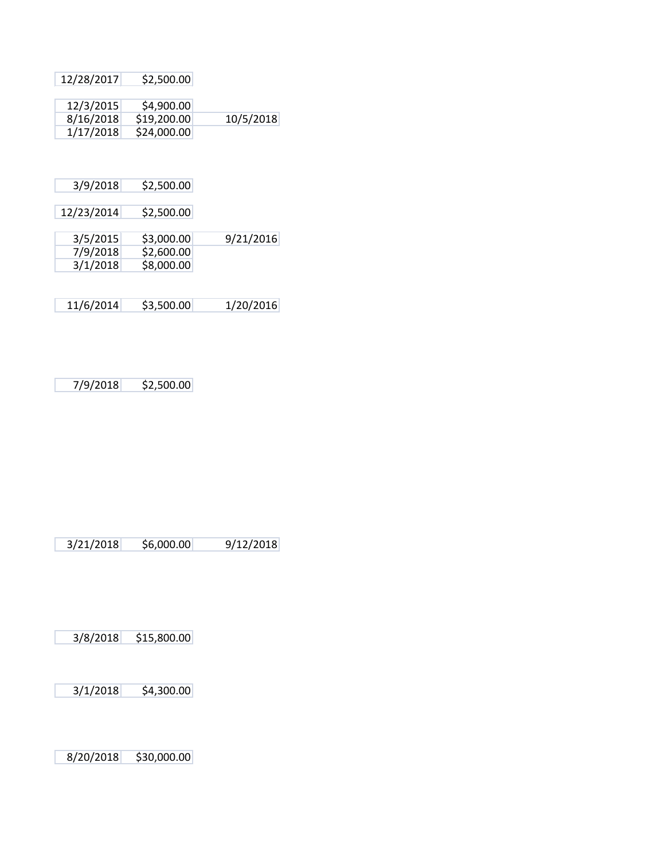|           | \$2,500.00  | 12/28/2017 |
|-----------|-------------|------------|
|           |             |            |
|           | \$4,900.00  | 12/3/2015  |
| 10/5/2018 | \$19,200.00 | 8/16/2018  |
|           | \$24,000.00 | 1/17/2018  |
|           |             |            |
|           |             |            |
|           |             |            |
|           | \$2,500.00  | 3/9/2018   |
|           |             |            |
|           | \$2,500.00  | 12/23/2014 |
|           |             |            |
| 9/21/2016 | \$3,000.00  | 3/5/2015   |
|           | \$2,600.00  | 7/9/2018   |
|           | \$8,000.00  | 3/1/2018   |
|           |             |            |
|           |             |            |
| 1/20/2016 | \$3,500.00  | 11/6/2014  |

7/9/2018 \$2,500.00

3/21/2018 \$6,000.00 9/12/2018

3/8/2018 \$15,800.00

3/1/2018 \$4,300.00

8/20/2018 \$30,000.00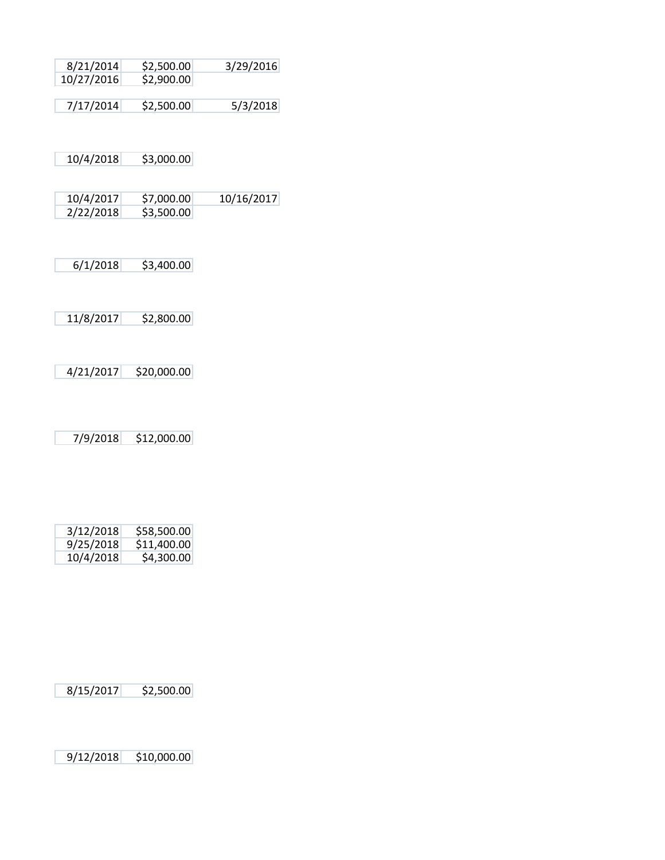| 3/29/2016  | \$2,500.00  | 8/21/2014  |
|------------|-------------|------------|
|            | \$2,900.00  | 10/27/2016 |
|            |             |            |
| 5/3/2018   | \$2,500.00  | 7/17/2014  |
|            |             |            |
|            |             |            |
|            |             |            |
|            |             |            |
|            | \$3,000.00  | 10/4/2018  |
|            |             |            |
|            |             |            |
| 10/16/2017 | \$7,000.00  | 10/4/2017  |
|            | \$3,500.00  | 2/22/2018  |
|            |             |            |
|            |             |            |
|            |             |            |
|            | \$3,400.00  | 6/1/2018   |
|            |             |            |
|            |             |            |
|            |             |            |
|            | \$2,800.00  | 11/8/2017  |
|            |             |            |
|            |             |            |
|            |             |            |
|            |             |            |
|            | \$20,000.00 | 4/21/2017  |
|            |             |            |
|            |             |            |
|            |             |            |

7/9/2018 \$12,000.00

| 3/12/2018 | \$58,500.00 |
|-----------|-------------|
| 9/25/2018 | \$11,400.00 |
| 10/4/2018 | \$4,300.00  |

8/15/2017 \$2,500.00

9/12/2018 \$10,000.00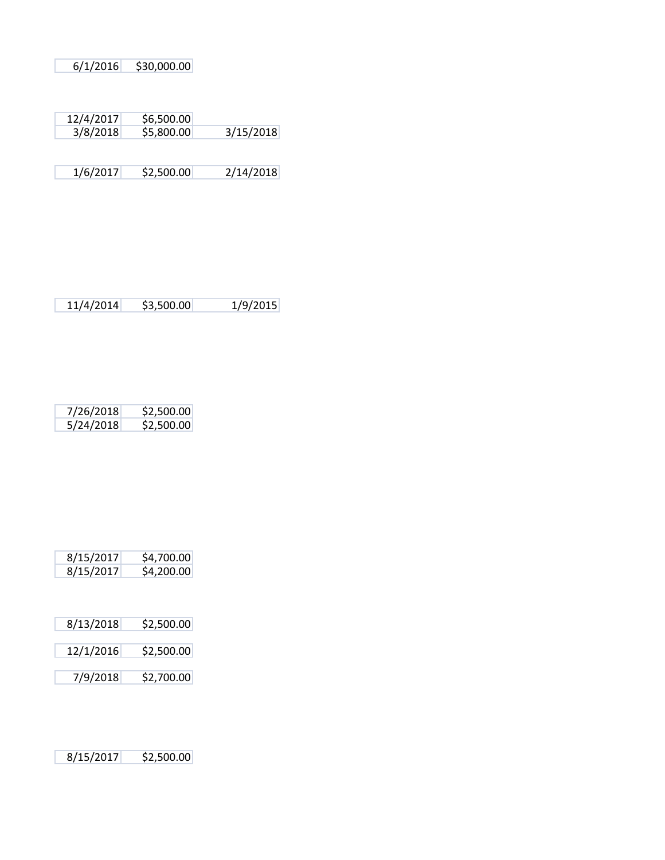6/1/2016 \$30,000.00

| 12/4/2017 | \$6,500.00 |           |
|-----------|------------|-----------|
| 3/8/2018  | \$5,800.00 | 3/15/2018 |

1/6/2017 \$2,500.00 2/14/2018

| 7/26/2018 | \$2,500.00 |
|-----------|------------|
| 5/24/2018 | \$2,500.00 |

| 8/15/2017 | \$4,700.00 |
|-----------|------------|
| 8/15/2017 | \$4,200.00 |

| 8/13/2018 | \$2,500.00 |
|-----------|------------|
| 12/1/2016 | \$2,500.00 |

7/9/2018 \$2,700.00

8/15/2017 \$2,500.00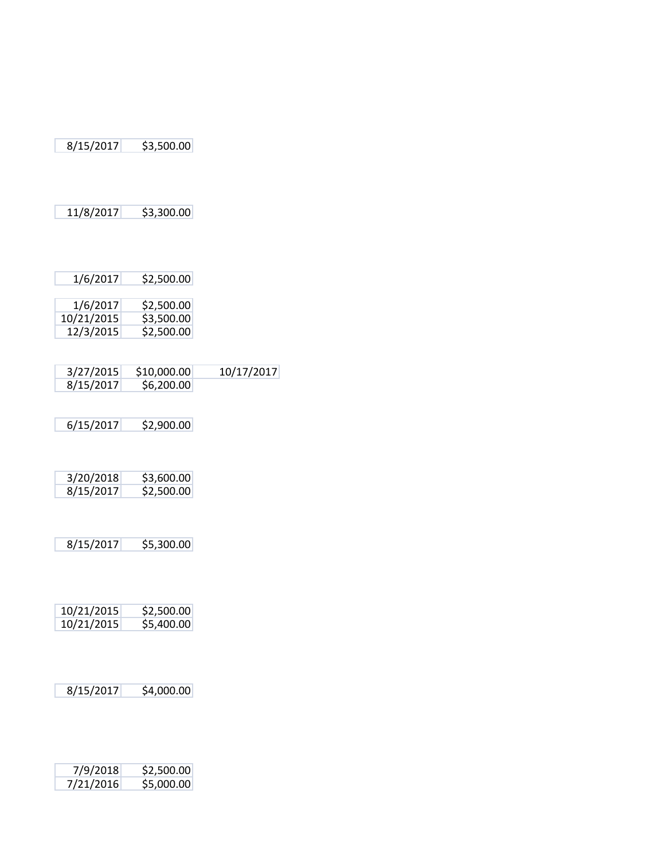| 8/15/2017 | \$3,500.00 |
|-----------|------------|
|-----------|------------|

11/8/2017 \$3,300.00

| 1/6/2017   | \$2,500.00 |
|------------|------------|
| 10/21/2015 | \$3,500.00 |
| 12/3/2015  | \$2,500.00 |

| 3/27/2015 | \$10,000.00 | 10/17/2017 |
|-----------|-------------|------------|
| 8/15/2017 | \$6,200.00  |            |

6/15/2017 \$2,900.00

| 3/20/2018 | \$3,600.00 |
|-----------|------------|
| 8/15/2017 | \$2,500.00 |

8/15/2017 \$5,300.00

| 10/21/2015 | \$2,500.00 |
|------------|------------|
| 10/21/2015 | \$5,400.00 |

8/15/2017 \$4,000.00

| 7/9/2018  | \$2,500.00 |
|-----------|------------|
| 7/21/2016 | \$5,000.00 |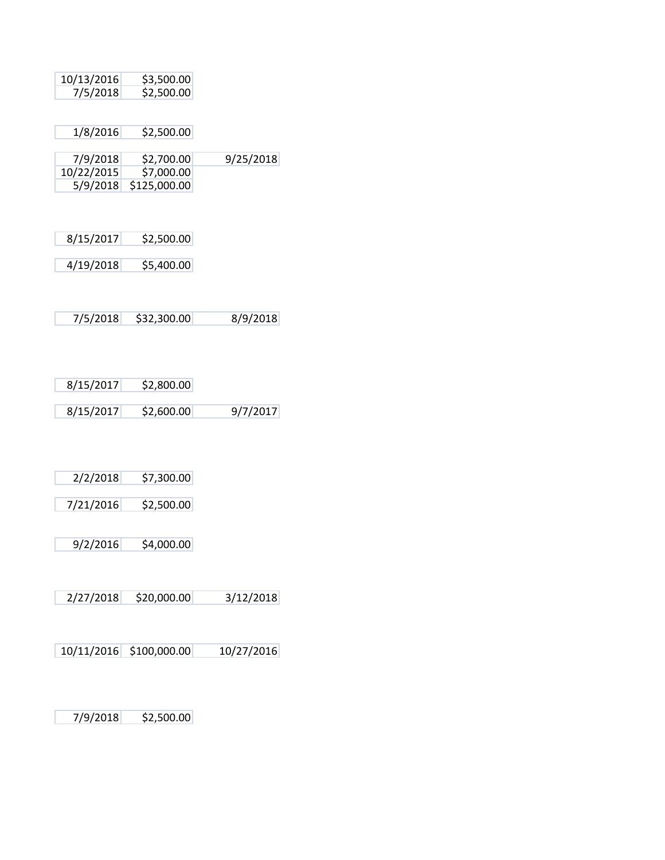| 10/13/2016 | \$3,500.00 |
|------------|------------|
| 7/5/2018   | \$2,500.00 |

| 1/8/2016 | \$2,500.00 |
|----------|------------|
|----------|------------|

| 7/9/2018   | \$2,700.00            | 9/25/2018 |
|------------|-----------------------|-----------|
| 10/22/2015 | \$7,000.00            |           |
|            | 5/9/2018 \$125,000.00 |           |

4/19/2018 \$5,400.00

7/5/2018 \$32,300.00 8/9/2018

| 8/15/2017 | \$2,800.00 |          |
|-----------|------------|----------|
|           |            |          |
| 8/15/2017 | \$2,600.00 | 9/7/2017 |

7/21/2016 \$2,500.00

9/2/2016 \$4,000.00

2/27/2018 \$20,000.00 3/12/2018

10/11/2016 \$100,000.00 10/27/2016

7/9/2018 \$2,500.00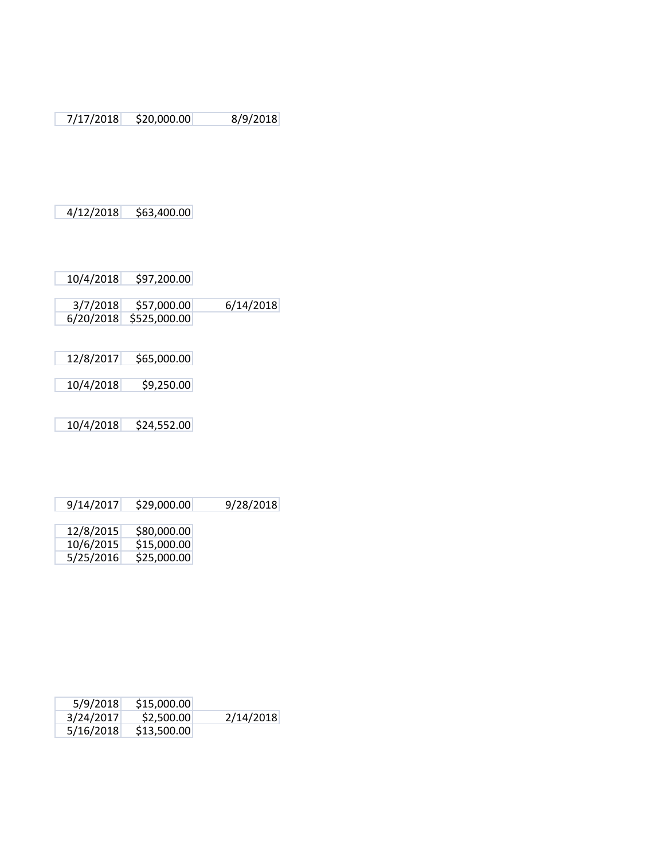7/17/2018 \$20,000.00 8/9/2018

4/12/2018 \$63,400.00

10/4/2018 \$97,200.00

| 3/7/2018 | \$57,000.00            | 6/14/2018 |
|----------|------------------------|-----------|
|          | 6/20/2018 \$525,000.00 |           |

| 12/8/2017 | \$65,000.00 |
|-----------|-------------|
|           |             |
| 10/4/2018 | \$9,250.00  |
|           |             |

10/4/2018 \$24,552.00

| 9/14/2017 | \$29,000.00 | 9/28/2018 |
|-----------|-------------|-----------|
|           |             |           |
| 12/8/2015 | \$80,000.00 |           |
| 10/6/2015 | \$15,000.00 |           |

| 5/25/2016 | \$25,000.00 |
|-----------|-------------|
|-----------|-------------|

| 5/9/2018  | \$15,000.00 |           |
|-----------|-------------|-----------|
| 3/24/2017 | \$2,500.00  | 2/14/2018 |
| 5/16/2018 | \$13,500.00 |           |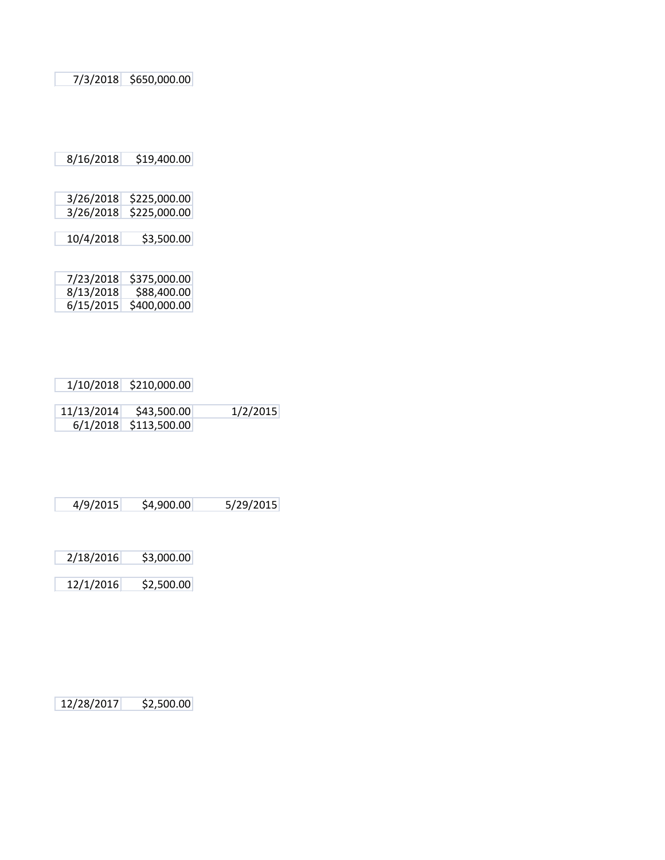7/3/2018 \$650,000.00

8/16/2018 \$19,400.00

| 3/26/2018 | \$225,000.00 |
|-----------|--------------|
| 3/26/2018 | \$225,000.00 |
|           |              |
| 10/4/2018 | \$3,500.00   |

| 7/23/2018 | \$375,000.00 |
|-----------|--------------|
| 8/13/2018 | \$88,400.00  |
| 6/15/2015 | \$400,000.00 |

| 1/10/2018 \$210,000.00  |          |
|-------------------------|----------|
|                         |          |
| 11/13/2014 \$43,500.00  | 1/2/2015 |
| $6/1/2018$ \$113,500.00 |          |

12/1/2016 \$2,500.00

12/28/2017 \$2,500.00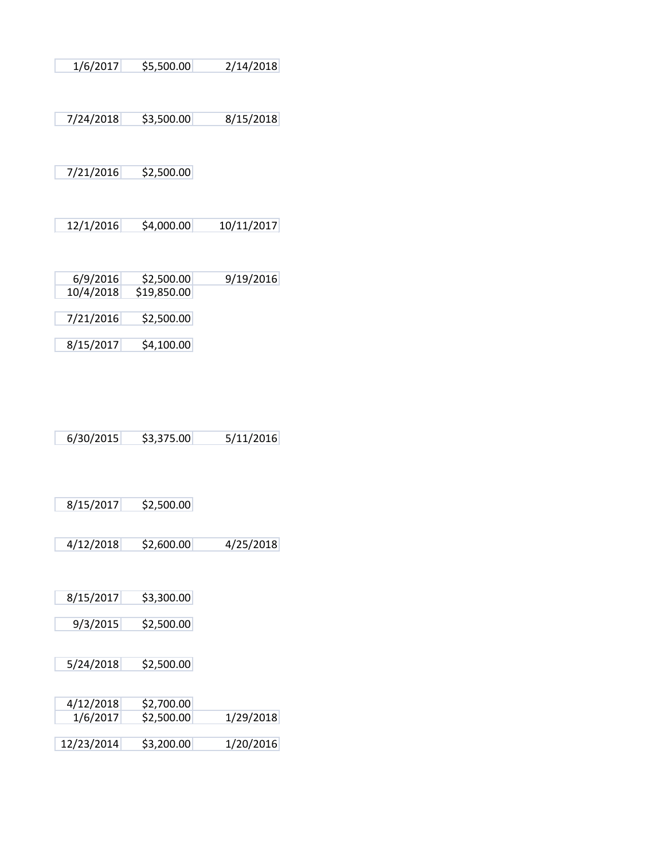| 1/6/2017  | \$5,500.00                | 2/14/2018  |
|-----------|---------------------------|------------|
|           |                           |            |
| 7/24/2018 | \$3,500.00                | 8/15/2018  |
|           |                           |            |
| 7/21/2016 | \$2,500.00                |            |
|           |                           |            |
|           |                           |            |
| 12/1/2016 | \$4,000.00                | 10/11/2017 |
|           |                           |            |
| 6/9/2016  |                           |            |
|           |                           |            |
| 10/4/2018 | \$2,500.00<br>\$19,850.00 | 9/19/2016  |
| 7/21/2016 | \$2,500.00                |            |
| 8/15/2017 | \$4,100.00                |            |

6/30/2015 \$3,375.00 5/11/2016

| 8/15/2017 | \$2,500.00 |
|-----------|------------|
|-----------|------------|

4/12/2018 \$2,600.00 4/25/2018

8/15/2017 \$3,300.00

9/3/2015 \$2,500.00

5/24/2018 \$2,500.00

| 4/12/2018  | \$2,700.00 |           |
|------------|------------|-----------|
| 1/6/2017   | \$2,500.00 | 1/29/2018 |
|            |            |           |
| 12/23/2014 | \$3,200.00 | 1/20/2016 |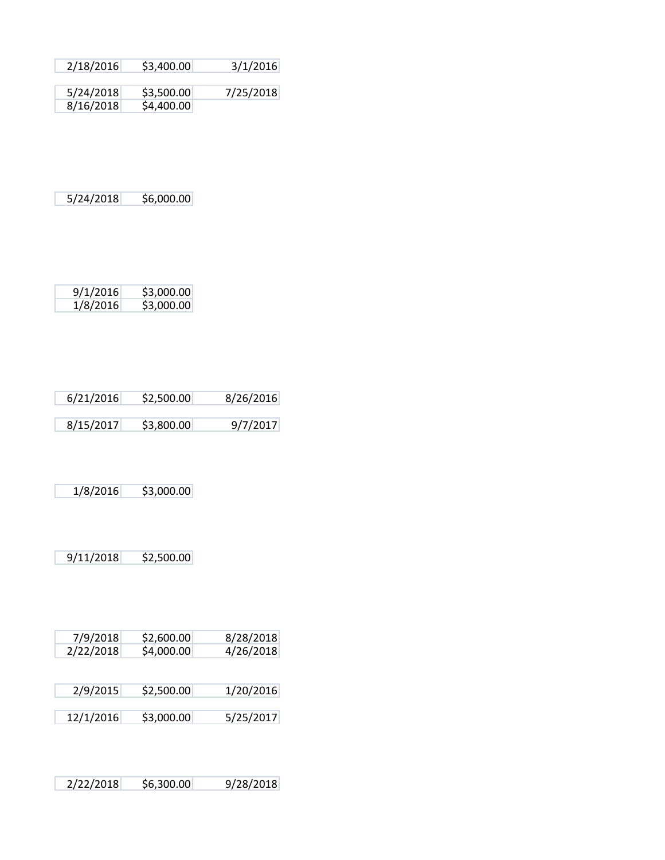| 2/18/2016 | \$3,400.00 | 3/1/2016  |
|-----------|------------|-----------|
|           |            |           |
| 5/24/2018 | \$3,500.00 | 7/25/2018 |
| 8/16/2018 | \$4,400.00 |           |

5/24/2018 \$6,000.00

| 9/1/2016 | \$3,000.00 |
|----------|------------|
| 1/8/2016 | \$3,000.00 |

| 6/21/2016 | \$2,500.00 | 8/26/2016 |
|-----------|------------|-----------|
|           |            |           |
| 8/15/2017 | \$3,800.00 | 9/7/2017  |

1/8/2016 \$3,000.00

9/11/2018 \$2,500.00

| 7/9/2018<br>2/22/2018 | \$2,600.00<br>\$4,000.00 | 8/28/2018<br>4/26/2018 |
|-----------------------|--------------------------|------------------------|
| 2/9/2015              | \$2,500.00               | 1/20/2016              |
| 12/1/2016             | \$3,000.00               | 5/25/2017              |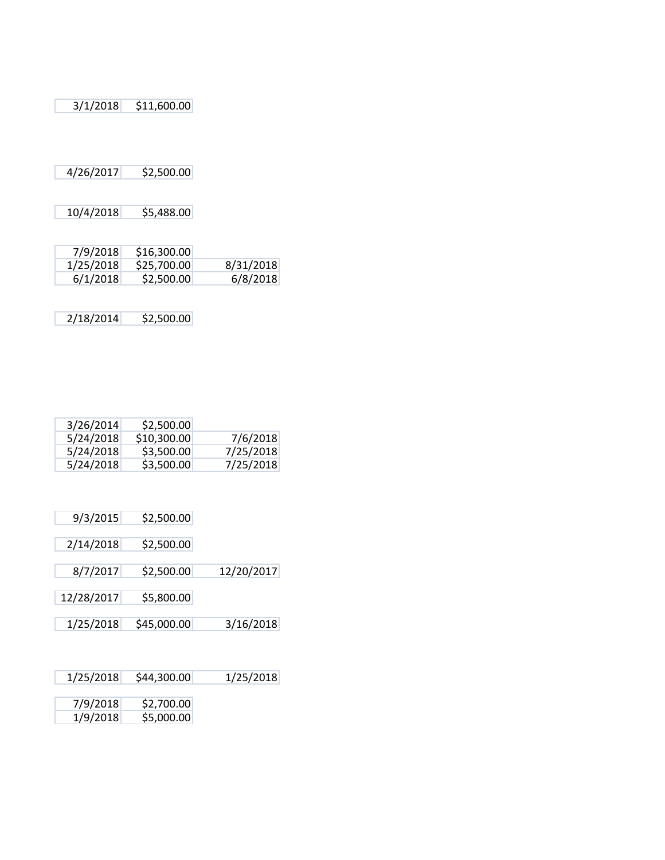3/1/2018 \$11,600.00

4/26/2017 \$2,500.00

10/4/2018 \$5,488.00

| 7/9/2018  | \$16,300.00 |           |
|-----------|-------------|-----------|
| 1/25/2018 | \$25,700.00 | 8/31/2018 |
| 6/1/2018  | \$2,500.00  | 6/8/2018  |

2/18/2014 \$2,500.00

| 3/26/2014 | \$2,500.00  |           |
|-----------|-------------|-----------|
| 5/24/2018 | \$10,300.00 | 7/6/2018  |
| 5/24/2018 | \$3,500.00  | 7/25/2018 |
| 5/24/2018 | \$3,500.00  | 7/25/2018 |

| 9/3/2015   | \$2,500.00  |            |
|------------|-------------|------------|
| 2/14/2018  | \$2,500.00  |            |
| 8/7/2017   | \$2,500.00  | 12/20/2017 |
| 12/28/2017 | \$5,800.00  |            |
| 1/25/2018  | \$45,000.00 | 3/16/2018  |

| 1/25/2018 | \$44,300.00 | 1/25/2018 |
|-----------|-------------|-----------|
|           |             |           |

| 7/9/2018 | \$2,700.00 |
|----------|------------|
| 1/9/2018 | \$5,000.00 |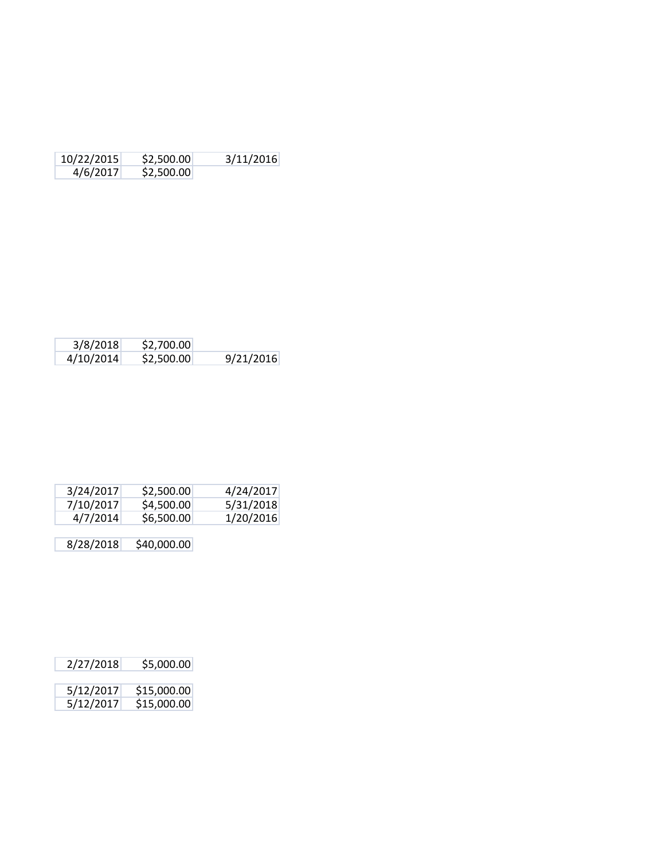| 10/22/2015 | \$2,500.00 | 3/11/2016 |
|------------|------------|-----------|
| 4/6/2017   | \$2,500.00 |           |

| 3/8/2018  | \$2,700.00 |           |
|-----------|------------|-----------|
| 4/10/2014 | \$2,500.00 | 9/21/2016 |

| 5/31/2018 |
|-----------|
| 1/20/2016 |
|           |

| 2/27/2018 | \$5,000.00  |
|-----------|-------------|
| 5/12/2017 | \$15,000.00 |
| 5/12/2017 | \$15,000.00 |